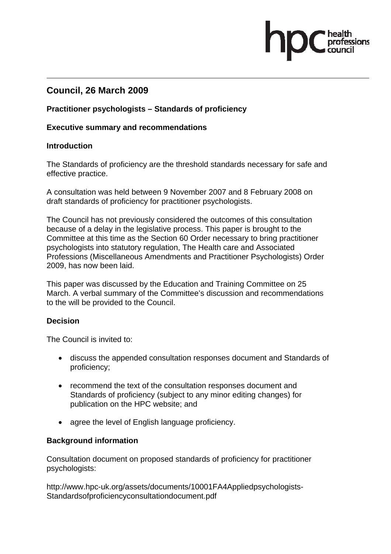## **Council, 26 March 2009**

#### **Practitioner psychologists – Standards of proficiency**

#### **Executive summary and recommendations**

#### **Introduction**

The Standards of proficiency are the threshold standards necessary for safe and effective practice.

A consultation was held between 9 November 2007 and 8 February 2008 on draft standards of proficiency for practitioner psychologists.

The Council has not previously considered the outcomes of this consultation because of a delay in the legislative process. This paper is brought to the Committee at this time as the Section 60 Order necessary to bring practitioner psychologists into statutory regulation, The Health care and Associated Professions (Miscellaneous Amendments and Practitioner Psychologists) Order 2009, has now been laid.

This paper was discussed by the Education and Training Committee on 25 March. A verbal summary of the Committee's discussion and recommendations to the will be provided to the Council.

## **Decision**

The Council is invited to:

- discuss the appended consultation responses document and Standards of proficiency;
- recommend the text of the consultation responses document and Standards of proficiency (subject to any minor editing changes) for publication on the HPC website; and
- agree the level of English language proficiency.

## **Background information**

Consultation document on proposed standards of proficiency for practitioner psychologists:

http://www.hpc-uk.org/assets/documents/10001FA4Appliedpsychologists-Standardsofproficiencyconsultationdocument.pdf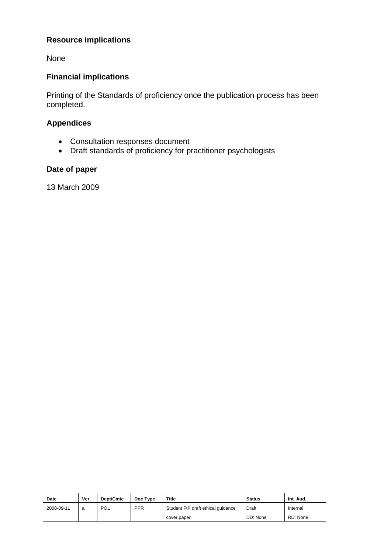## **Resource implications**

None

## **Financial implications**

Printing of the Standards of proficiency once the publication process has been completed.

## **Appendices**

- Consultation responses document
- Draft standards of proficiency for practitioner psychologists

## **Date of paper**

13 March 2009

| Date       | Ver. | Dept/Cmte  | Doc Type   | <b>Title</b>                       | <b>Status</b> | Int. Aud. |
|------------|------|------------|------------|------------------------------------|---------------|-----------|
| 2008-09-11 | a    | <b>POL</b> | <b>PPR</b> | Student FtP draft ethical quidance | Draft         | Internal  |
|            |      |            |            | cover paper                        | DD: None      | RD: None  |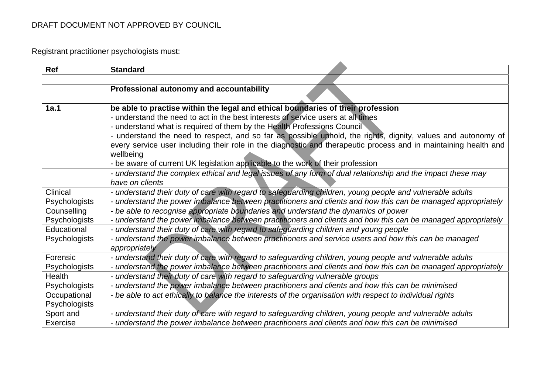Registrant practitioner psychologists must:

| Ref                  | <b>Standard</b>                                                                                                 |
|----------------------|-----------------------------------------------------------------------------------------------------------------|
|                      |                                                                                                                 |
|                      | Professional autonomy and accountability                                                                        |
|                      |                                                                                                                 |
| 1a.1                 | be able to practise within the legal and ethical boundaries of their profession                                 |
|                      | - understand the need to act in the best interests of service users at all times                                |
|                      | - understand what is required of them by the Health Professions Council                                         |
|                      | - understand the need to respect, and so far as possible uphold, the rights, dignity, values and autonomy of    |
|                      | every service user including their role in the diagnostic and therapeutic process and in maintaining health and |
|                      | wellbeing                                                                                                       |
|                      | - be aware of current UK legislation applicable to the work of their profession                                 |
|                      | - understand the complex ethical and legal issues of any form of dual relationship and the impact these may     |
|                      | have on clients                                                                                                 |
| Clinical             | - understand their duty of care with regard to safeguarding children, young people and vulnerable adults        |
| <b>Psychologists</b> | - understand the power imbalance between practitioners and clients and how this can be managed appropriately    |
| Counselling          | - be able to recognise appropriate boundaries and understand the dynamics of power                              |
| Psychologists        | - understand the power imbalance between practitioners and clients and how this can be managed appropriately    |
| Educational          | - understand their duty of care with regard to safeguarding children and young people                           |
| Psychologists        | - understand the power imbalance between practitioners and service users and how this can be managed            |
|                      | appropriately                                                                                                   |
| Forensic             | - understand their duty of care with regard to safeguarding children, young people and vulnerable adults        |
| Psychologists        | - understand the power imbalance between practitioners and clients and how this can be managed appropriately    |
| <b>Health</b>        | - understand their duty of care with regard to safeguarding vulnerable groups                                   |
| Psychologists        | - understand the power imbalance between practitioners and clients and how this can be minimised                |
| Occupational         | - be able to act ethically to balance the interests of the organisation with respect to individual rights       |
| Psychologists        |                                                                                                                 |
| Sport and            | - understand their duty of care with regard to safeguarding children, young people and vulnerable adults        |
| Exercise             | - understand the power imbalance between practitioners and clients and how this can be minimised                |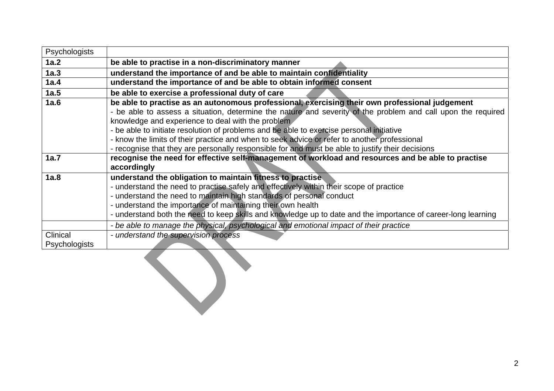| Psychologists             |                                                                                                                                                                                                                                                                                                                                                                                                                                                                                                                                                                     |
|---------------------------|---------------------------------------------------------------------------------------------------------------------------------------------------------------------------------------------------------------------------------------------------------------------------------------------------------------------------------------------------------------------------------------------------------------------------------------------------------------------------------------------------------------------------------------------------------------------|
| 1a.2                      | be able to practise in a non-discriminatory manner                                                                                                                                                                                                                                                                                                                                                                                                                                                                                                                  |
| 1a.3                      | understand the importance of and be able to maintain confidentiality                                                                                                                                                                                                                                                                                                                                                                                                                                                                                                |
| 1a.4                      | understand the importance of and be able to obtain informed consent                                                                                                                                                                                                                                                                                                                                                                                                                                                                                                 |
| 1a.5                      | be able to exercise a professional duty of care                                                                                                                                                                                                                                                                                                                                                                                                                                                                                                                     |
| 1a.6                      | be able to practise as an autonomous professional, exercising their own professional judgement<br>- be able to assess a situation, determine the nature and severity of the problem and call upon the required<br>knowledge and experience to deal with the problem<br>- be able to initiate resolution of problems and be able to exercise personal initiative<br>- know the limits of their practice and when to seek advice or refer to another professional<br>- recognise that they are personally responsible for and must be able to justify their decisions |
| 1a.7                      | recognise the need for effective self-management of workload and resources and be able to practise<br>accordingly                                                                                                                                                                                                                                                                                                                                                                                                                                                   |
| 1a.8                      | understand the obligation to maintain fitness to practise.<br>- understand the need to practise safely and effectively within their scope of practice<br>- understand the need to maintain high standards of personal conduct<br>- understand the importance of maintaining their own health<br>- understand both the need to keep skills and knowledge up to date and the importance of career-long learning                                                                                                                                                       |
|                           | - be able to manage the physical, psychological and emotional impact of their practice                                                                                                                                                                                                                                                                                                                                                                                                                                                                              |
| Clinical<br>Psychologists | - understand the supervision process                                                                                                                                                                                                                                                                                                                                                                                                                                                                                                                                |
|                           |                                                                                                                                                                                                                                                                                                                                                                                                                                                                                                                                                                     |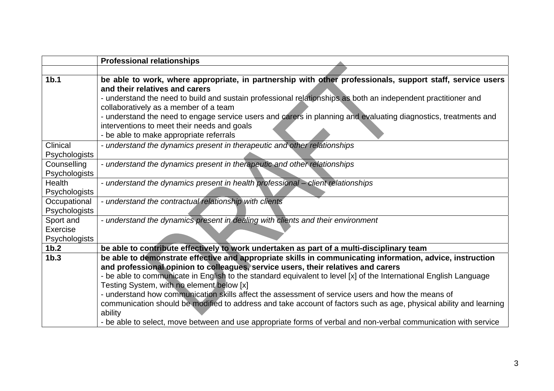|                                        | <b>Professional relationships</b>                                                                                                                                                                                                                                                                                                                                                                                                                                                                                  |
|----------------------------------------|--------------------------------------------------------------------------------------------------------------------------------------------------------------------------------------------------------------------------------------------------------------------------------------------------------------------------------------------------------------------------------------------------------------------------------------------------------------------------------------------------------------------|
|                                        |                                                                                                                                                                                                                                                                                                                                                                                                                                                                                                                    |
| 1 <sub>b.1</sub>                       | be able to work, where appropriate, in partnership with other professionals, support staff, service users<br>and their relatives and carers<br>- understand the need to build and sustain professional relationships as both an independent practitioner and<br>collaboratively as a member of a team<br>- understand the need to engage service users and carers in planning and evaluating diagnostics, treatments and<br>interventions to meet their needs and goals<br>- be able to make appropriate referrals |
| Clinical<br>Psychologists              | - understand the dynamics present in therapeutic and other relationships                                                                                                                                                                                                                                                                                                                                                                                                                                           |
| Counselling<br>Psychologists           | - understand the dynamics present in therapeutic and other relationships                                                                                                                                                                                                                                                                                                                                                                                                                                           |
| Health<br>Psychologists                | - understand the dynamics present in health professional - client relationships                                                                                                                                                                                                                                                                                                                                                                                                                                    |
| Occupational<br>Psychologists          | - understand the contractual relationship with clients                                                                                                                                                                                                                                                                                                                                                                                                                                                             |
| Sport and<br>Exercise<br>Psychologists | - understand the dynamics present in dealing with clients and their environment                                                                                                                                                                                                                                                                                                                                                                                                                                    |
| 1 <sub>b.2</sub>                       | be able to contribute effectively to work undertaken as part of a multi-disciplinary team                                                                                                                                                                                                                                                                                                                                                                                                                          |
| 1 <sub>b.3</sub>                       | be able to demonstrate effective and appropriate skills in communicating information, advice, instruction<br>and professional opinion to colleagues, service users, their relatives and carers                                                                                                                                                                                                                                                                                                                     |
|                                        | - be able to communicate in English to the standard equivalent to level [x] of the International English Language<br>Testing System, with no element below [x]<br>- understand how communication skills affect the assessment of service users and how the means of                                                                                                                                                                                                                                                |
|                                        | communication should be modified to address and take account of factors such as age, physical ability and learning<br>ability                                                                                                                                                                                                                                                                                                                                                                                      |
|                                        | - be able to select, move between and use appropriate forms of verbal and non-verbal communication with service                                                                                                                                                                                                                                                                                                                                                                                                    |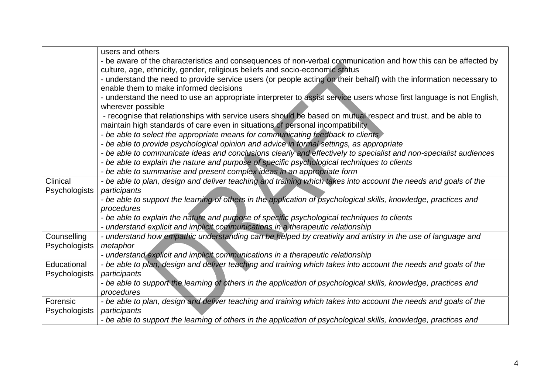|               | users and others                                                                                                                                                                                |
|---------------|-------------------------------------------------------------------------------------------------------------------------------------------------------------------------------------------------|
|               | - be aware of the characteristics and consequences of non-verbal communication and how this can be affected by                                                                                  |
|               | culture, age, ethnicity, gender, religious beliefs and socio-economic status                                                                                                                    |
|               | - understand the need to provide service users (or people acting on their behalf) with the information necessary to                                                                             |
|               | enable them to make informed decisions                                                                                                                                                          |
|               | - understand the need to use an appropriate interpreter to assist service users whose first language is not English,<br>wherever possible                                                       |
|               | - recognise that relationships with service users should be based on mutual respect and trust, and be able to<br>maintain high standards of care even in situations of personal incompatibility |
|               | - be able to select the appropriate means for communicating feedback to clients                                                                                                                 |
|               | - be able to provide psychological opinion and advice in formal settings, as appropriate                                                                                                        |
|               | - be able to communicate ideas and conclusions clearly and effectively to specialist and non-specialist audiences                                                                               |
|               | - be able to explain the nature and purpose of specific psychological techniques to clients                                                                                                     |
|               | - be able to summarise and present complex ideas in an appropriate form                                                                                                                         |
| Clinical      | - be able to plan, design and deliver teaching and training which takes into account the needs and goals of the                                                                                 |
| Psychologists | participants                                                                                                                                                                                    |
|               | - be able to support the learning of others in the application of psychological skills, knowledge, practices and                                                                                |
|               | procedures                                                                                                                                                                                      |
|               | - be able to explain the nature and purpose of specific psychological techniques to clients                                                                                                     |
|               | - understand explicit and implicit communications in a therapeutic relationship                                                                                                                 |
| Counselling   | - understand how empathic understanding can be helped by creativity and artistry in the use of language and                                                                                     |
| Psychologists | metaphor                                                                                                                                                                                        |
|               | - understand explicit and implicit communications in a therapeutic relationship                                                                                                                 |
| Educational   | - be able to plan, design and deliver teaching and training which takes into account the needs and goals of the                                                                                 |
| Psychologists | participants                                                                                                                                                                                    |
|               | - be able to support the learning of others in the application of psychological skills, knowledge, practices and                                                                                |
|               | procedures                                                                                                                                                                                      |
| Forensic      | - be able to plan, design and deliver teaching and training which takes into account the needs and goals of the                                                                                 |
| Psychologists | participants                                                                                                                                                                                    |
|               | - be able to support the learning of others in the application of psychological skills, knowledge, practices and                                                                                |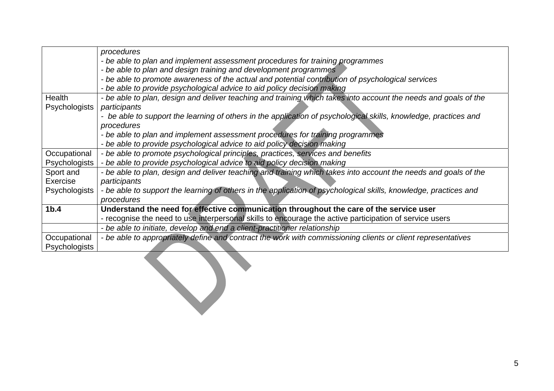|                  | procedures                                                                                                       |
|------------------|------------------------------------------------------------------------------------------------------------------|
|                  | - be able to plan and implement assessment procedures for training programmes                                    |
|                  | - be able to plan and design training and development programmes                                                 |
|                  | - be able to promote awareness of the actual and potential contribution of psychological services                |
|                  | - be able to provide psychological advice to aid policy decision making                                          |
| Health           | - be able to plan, design and deliver teaching and training which takes into account the needs and goals of the  |
| Psychologists    | participants                                                                                                     |
|                  | - be able to support the learning of others in the application of psychological skills, knowledge, practices and |
|                  | procedures                                                                                                       |
|                  | - be able to plan and implement assessment procedures for training programmes                                    |
|                  | - be able to provide psychological advice to aid policy decision making                                          |
| Occupational     | - be able to promote psychological principles, practices, services and benefits                                  |
| Psychologists    | - be able to provide psychological advice to aid policy decision making                                          |
| Sport and        | - be able to plan, design and deliver teaching and training which takes into account the needs and goals of the  |
| Exercise         | participants                                                                                                     |
| Psychologists    | - be able to support the learning of others in the application of psychological skills, knowledge, practices and |
|                  | procedures                                                                                                       |
| 1 <sub>b.4</sub> | Understand the need for effective communication throughout the care of the service user                          |
|                  | - recognise the need to use interpersonal skills to encourage the active participation of service users          |
|                  | - be able to initiate, develop and end a client-practitioner relationship                                        |
| Occupational     | - be able to appropriately define and contract the work with commissioning clients or client representatives     |
| Psychologists    |                                                                                                                  |
|                  |                                                                                                                  |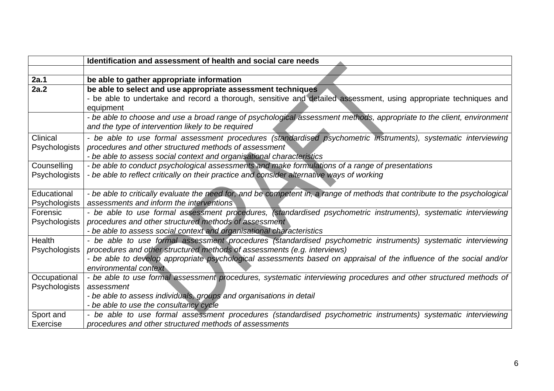|               | Identification and assessment of health and social care needs                                                               |
|---------------|-----------------------------------------------------------------------------------------------------------------------------|
|               |                                                                                                                             |
| 2a.1          | be able to gather appropriate information                                                                                   |
| 2a.2          | be able to select and use appropriate assessment techniques                                                                 |
|               | - be able to undertake and record a thorough, sensitive and detailed assessment, using appropriate techniques and           |
|               | equipment                                                                                                                   |
|               | - be able to choose and use a broad range of psychological assessment methods, appropriate to the client, environment       |
|               | and the type of intervention likely to be required                                                                          |
| Clinical      | - be able to use formal assessment procedures (standardised psychometric instruments), systematic interviewing              |
| Psychologists | procedures and other structured methods of assessment                                                                       |
|               | - be able to assess social context and organisational characteristics                                                       |
| Counselling   | - be able to conduct psychological assessments and make formulations of a range of presentations                            |
| Psychologists | - be able to reflect critically on their practice and consider alternative ways of working                                  |
|               |                                                                                                                             |
| Educational   | - be able to critically evaluate the need for, and be competent in, a range of methods that contribute to the psychological |
| Psychologists | assessments and inform the interventions                                                                                    |
| Forensic      | - be able to use formal assessment procedures, (standardised psychometric instruments), systematic interviewing             |
| Psychologists | procedures and other structured methods of assessment                                                                       |
|               | - be able to assess social context and organisational characteristics                                                       |
| Health        | - be able to use formal assessment procedures (standardised psychometric instruments) systematic interviewing               |
| Psychologists | procedures and other structured methods of assessments (e.g. interviews)                                                    |
|               | - be able to develop appropriate psychological assessments based on appraisal of the influence of the social and/or         |
|               | environmental context                                                                                                       |
| Occupational  | - be able to use formal assessment procedures, systematic interviewing procedures and other structured methods of           |
| Psychologists | assessment                                                                                                                  |
|               | - be able to assess individuals, groups and organisations in detail                                                         |
|               | - be able to use the consultancy cycle                                                                                      |
| Sport and     | - be able to use formal assessment procedures (standardised psychometric instruments) systematic interviewing               |
| Exercise      | procedures and other structured methods of assessments                                                                      |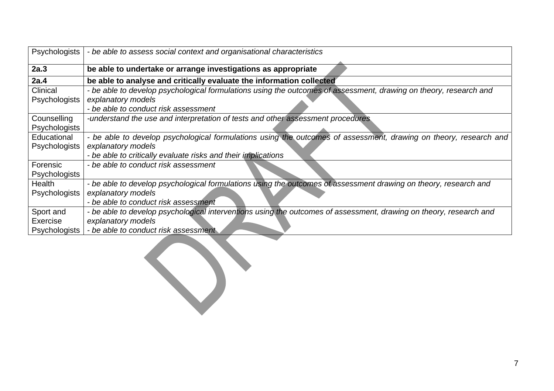| Psychologists        | - be able to assess social context and organisational characteristics                                              |
|----------------------|--------------------------------------------------------------------------------------------------------------------|
| 2a.3                 | be able to undertake or arrange investigations as appropriate                                                      |
| 2a.4                 | be able to analyse and critically evaluate the information collected                                               |
| Clinical             | - be able to develop psychological formulations using the outcomes of assessment, drawing on theory, research and  |
| <b>Psychologists</b> | explanatory models                                                                                                 |
|                      | - be able to conduct risk assessment                                                                               |
| Counselling          | -understand the use and interpretation of tests and other assessment procedures                                    |
| Psychologists        |                                                                                                                    |
| Educational          | - be able to develop psychological formulations using the outcomes of assessment, drawing on theory, research and  |
| Psychologists        | explanatory models                                                                                                 |
|                      | - be able to critically evaluate risks and their implications                                                      |
| Forensic             | - be able to conduct risk assessment                                                                               |
| <b>Psychologists</b> |                                                                                                                    |
| Health               | - be able to develop psychological formulations using the outcomes of assessment drawing on theory, research and   |
| Psychologists        | explanatory models                                                                                                 |
|                      | - be able to conduct risk assessment                                                                               |
| Sport and            | - be able to develop psychological interventions using the outcomes of assessment, drawing on theory, research and |
| Exercise             | explanatory models                                                                                                 |
| <b>Psychologists</b> | - be able to conduct risk assessment                                                                               |

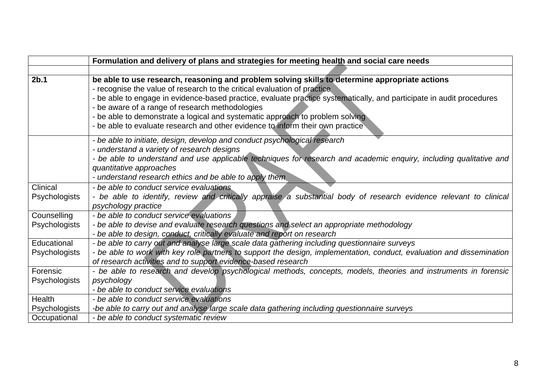|                                                | Formulation and delivery of plans and strategies for meeting health and social care needs                                                                                                                                                                                                                                                                                                                                                                                                                                 |
|------------------------------------------------|---------------------------------------------------------------------------------------------------------------------------------------------------------------------------------------------------------------------------------------------------------------------------------------------------------------------------------------------------------------------------------------------------------------------------------------------------------------------------------------------------------------------------|
|                                                |                                                                                                                                                                                                                                                                                                                                                                                                                                                                                                                           |
| 2 <sub>b.1</sub>                               | be able to use research, reasoning and problem solving skills to determine appropriate actions<br>- recognise the value of research to the critical evaluation of practice<br>- be able to engage in evidence-based practice, evaluate practice systematically, and participate in audit procedures<br>- be aware of a range of research methodologies<br>- be able to demonstrate a logical and systematic approach to problem solving<br>- be able to evaluate research and other evidence to inform their own practice |
|                                                | - be able to initiate, design, develop and conduct psychological research<br>- understand a variety of research designs<br>- be able to understand and use applicable techniques for research and academic enquiry, including qualitative and<br>quantitative approaches<br>- understand research ethics and be able to apply them                                                                                                                                                                                        |
| Clinical<br>Psychologists                      | - be able to conduct service evaluations<br>- be able to identify, review and critically appraise a substantial body of research evidence relevant to clinical<br>psychology practice                                                                                                                                                                                                                                                                                                                                     |
| Counselling<br>Psychologists                   | - be able to conduct service evaluations<br>- be able to devise and evaluate research questions and select an appropriate methodology<br>- be able to design, conduct, critically evaluate and report on research                                                                                                                                                                                                                                                                                                         |
| Educational<br>Psychologists                   | - be able to carry out and analyse large scale data gathering including questionnaire surveys<br>- be able to work with key role partners to support the design, implementation, conduct, evaluation and dissemination<br>of research activities and to support evidence-based research                                                                                                                                                                                                                                   |
| Forensic<br><b>Psychologists</b>               | - be able to research and develop psychological methods, concepts, models, theories and instruments in forensic<br>psychology<br>- be able to conduct service evaluations                                                                                                                                                                                                                                                                                                                                                 |
| Health<br><b>Psychologists</b><br>Occupational | - be able to conduct service evaluations<br>-be able to carry out and analyse large scale data gathering including questionnaire surveys<br>- be able to conduct systematic review                                                                                                                                                                                                                                                                                                                                        |
|                                                |                                                                                                                                                                                                                                                                                                                                                                                                                                                                                                                           |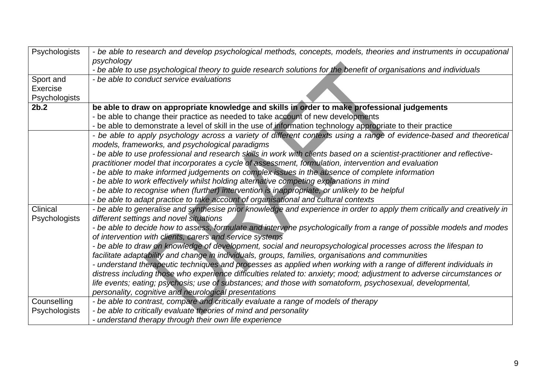| Psychologists             | - be able to research and develop psychological methods, concepts, models, theories and instruments in occupational<br>psychology                                    |
|---------------------------|----------------------------------------------------------------------------------------------------------------------------------------------------------------------|
|                           | - be able to use psychological theory to guide research solutions for the benefit of organisations and individuals                                                   |
| Sport and                 | - be able to conduct service evaluations                                                                                                                             |
| Exercise                  |                                                                                                                                                                      |
| <b>Psychologists</b>      |                                                                                                                                                                      |
| 2b.2                      | be able to draw on appropriate knowledge and skills in order to make professional judgements                                                                         |
|                           | - be able to change their practice as needed to take account of new developments                                                                                     |
|                           | - be able to demonstrate a level of skill in the use of information technology appropriate to their practice                                                         |
|                           | - be able to apply psychology across a variety of different contexts using a range of evidence-based and theoretical                                                 |
|                           | models, frameworks, and psychological paradigms                                                                                                                      |
|                           | - be able to use professional and research skills in work with clients based on a scientist-practitioner and reflective-                                             |
|                           | practitioner model that incorporates a cycle of assessment, formulation, intervention and evaluation                                                                 |
|                           | - be able to make informed judgements on complex issues in the absence of complete information                                                                       |
|                           | - be able to work effectively whilst holding alternative competing explanations in mind                                                                              |
|                           | - be able to recognise when (further) intervention is inappropriate, or unlikely to be helpful                                                                       |
|                           | - be able to adapt practice to take account of organisational and cultural contexts                                                                                  |
| Clinical<br>Psychologists | - be able to generalise and synthesise prior knowledge and experience in order to apply them critically and creatively in<br>different settings and novel situations |
|                           | - be able to decide how to assess, formulate and intervene psychologically from a range of possible models and modes                                                 |
|                           | of intervention with clients, carers and service systems                                                                                                             |
|                           | - be able to draw on knowledge of development, social and neuropsychological processes across the lifespan to                                                        |
|                           | facilitate adaptability and change in individuals, groups, families, organisations and communities                                                                   |
|                           | - understand therapeutic techniques and processes as applied when working with a range of different individuals in                                                   |
|                           | distress including those who experience difficulties related to: anxiety; mood; adjustment to adverse circumstances or                                               |
|                           | life events; eating; psychosis; use of substances; and those with somatoform, psychosexual, developmental,                                                           |
|                           | personality, cognitive and neurological presentations                                                                                                                |
| Counselling               | - be able to contrast, compare and critically evaluate a range of models of therapy                                                                                  |
| Psychologists             | - be able to critically evaluate theories of mind and personality                                                                                                    |
|                           | - understand therapy through their own life experience                                                                                                               |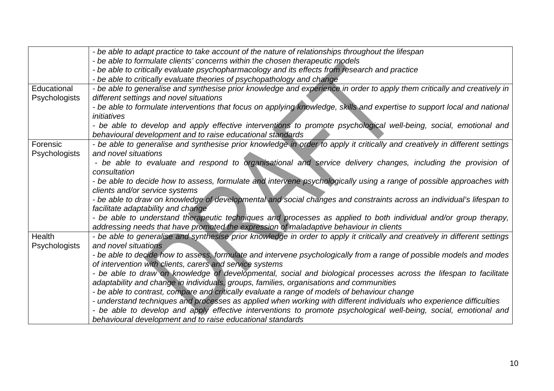|                      | - be able to adapt practice to take account of the nature of relationships throughout the lifespan                                                                               |
|----------------------|----------------------------------------------------------------------------------------------------------------------------------------------------------------------------------|
|                      | - be able to formulate clients' concerns within the chosen therapeutic models                                                                                                    |
|                      | - be able to critically evaluate psychopharmacology and its effects from research and practice                                                                                   |
|                      | - be able to critically evaluate theories of psychopathology and change                                                                                                          |
| Educational          | - be able to generalise and synthesise prior knowledge and experience in order to apply them critically and creatively in                                                        |
| Psychologists        | different settings and novel situations                                                                                                                                          |
|                      | - be able to formulate interventions that focus on applying knowledge, skills and expertise to support local and national                                                        |
|                      | initiatives                                                                                                                                                                      |
|                      | - be able to develop and apply effective interventions to promote psychological well-being, social, emotional and                                                                |
|                      | behavioural development and to raise educational standards                                                                                                                       |
| Forensic             | - be able to generalise and synthesise prior knowledge in order to apply it critically and creatively in different settings                                                      |
| <b>Psychologists</b> | and novel situations                                                                                                                                                             |
|                      | - be able to evaluate and respond to organisational and service delivery changes, including the provision of                                                                     |
|                      | consultation                                                                                                                                                                     |
|                      | - be able to decide how to assess, formulate and intervene psychologically using a range of possible approaches with                                                             |
|                      | clients and/or service systems                                                                                                                                                   |
|                      | - be able to draw on knowledge of developmental and social changes and constraints across an individual's lifespan to                                                            |
|                      | facilitate adaptability and change                                                                                                                                               |
|                      | - be able to understand therapeutic techniques and processes as applied to both individual and/or group therapy,                                                                 |
| Health               | addressing needs that have promoted the expression of maladaptive behaviour in clients                                                                                           |
|                      | - be able to generalise and synthesise prior knowledge in order to apply it critically and creatively in different settings                                                      |
| Psychologists        | and novel situations                                                                                                                                                             |
|                      | - be able to decide how to assess, formulate and intervene psychologically from a range of possible models and modes<br>of intervention with clients, carers and service systems |
|                      |                                                                                                                                                                                  |
|                      | - be able to draw on knowledge of developmental, social and biological processes across the lifespan to facilitate                                                               |
|                      | adaptability and change in individuals, groups, families, organisations and communities                                                                                          |
|                      | - be able to contrast, compare and critically evaluate a range of models of behaviour change                                                                                     |
|                      | - understand techniques and processes as applied when working with different individuals who experience difficulties                                                             |
|                      | - be able to develop and apply effective interventions to promote psychological well-being, social, emotional and                                                                |
|                      | behavioural development and to raise educational standards                                                                                                                       |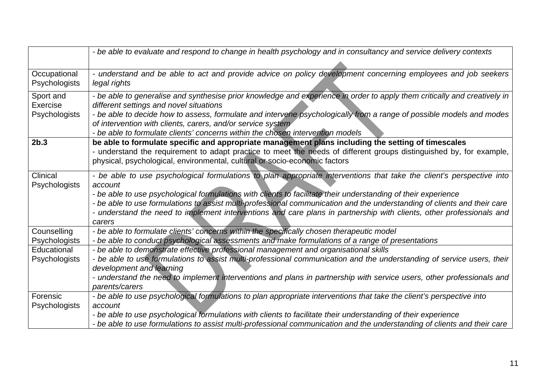|                                        | - be able to evaluate and respond to change in health psychology and in consultancy and service delivery contexts                                                                                                                                                                                                                                                                                                                                                                                                |
|----------------------------------------|------------------------------------------------------------------------------------------------------------------------------------------------------------------------------------------------------------------------------------------------------------------------------------------------------------------------------------------------------------------------------------------------------------------------------------------------------------------------------------------------------------------|
|                                        |                                                                                                                                                                                                                                                                                                                                                                                                                                                                                                                  |
| Occupational<br>Psychologists          | - understand and be able to act and provide advice on policy development concerning employees and job seekers<br>legal rights                                                                                                                                                                                                                                                                                                                                                                                    |
| Sport and<br>Exercise<br>Psychologists | - be able to generalise and synthesise prior knowledge and experience in order to apply them critically and creatively in<br>different settings and novel situations<br>- be able to decide how to assess, formulate and intervene psychologically from a range of possible models and modes<br>of intervention with clients, carers, and/or service system<br>- be able to formulate clients' concerns within the chosen intervention models                                                                    |
| 2 <sub>b.3</sub>                       | be able to formulate specific and appropriate management plans including the setting of timescales<br>- understand the requirement to adapt practice to meet the needs of different groups distinguished by, for example,<br>physical, psychological, environmental, cultural or socio-economic factors                                                                                                                                                                                                          |
| Clinical<br><b>Psychologists</b>       | - be able to use psychological formulations to plan appropriate interventions that take the client's perspective into<br>account<br>- be able to use psychological formulations with clients to facilitate their understanding of their experience<br>- be able to use formulations to assist multi-professional communication and the understanding of clients and their care<br>- understand the need to implement interventions and care plans in partnership with clients, other professionals and<br>carers |
| Counselling                            | - be able to formulate clients' concerns within the specifically chosen therapeutic model                                                                                                                                                                                                                                                                                                                                                                                                                        |
| Psychologists                          | - be able to conduct psychological assessments and make formulations of a range of presentations                                                                                                                                                                                                                                                                                                                                                                                                                 |
| Educational<br><b>Psychologists</b>    | - be able to demonstrate effective professional management and organisational skills<br>- be able to use formulations to assist multi-professional communication and the understanding of service users, their<br>development and learning<br>- understand the need to implement interventions and plans in partnership with service users, other professionals and<br>parents/carers                                                                                                                            |
| Forensic<br><b>Psychologists</b>       | - be able to use psychological formulations to plan appropriate interventions that take the client's perspective into<br>account<br>- be able to use psychological formulations with clients to facilitate their understanding of their experience<br>- be able to use formulations to assist multi-professional communication and the understanding of clients and their care                                                                                                                                   |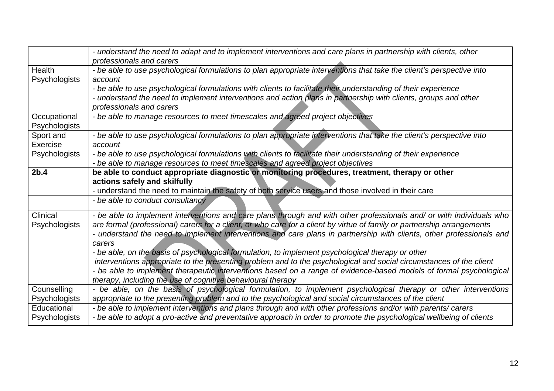|                                        | - understand the need to adapt and to implement interventions and care plans in partnership with clients, other<br>professionals and carers                                                                                                                                                                                                                                                                                                                                                                                                                                                                                                                                                                                                                                                         |
|----------------------------------------|-----------------------------------------------------------------------------------------------------------------------------------------------------------------------------------------------------------------------------------------------------------------------------------------------------------------------------------------------------------------------------------------------------------------------------------------------------------------------------------------------------------------------------------------------------------------------------------------------------------------------------------------------------------------------------------------------------------------------------------------------------------------------------------------------------|
| <b>Health</b><br><b>Psychologists</b>  | - be able to use psychological formulations to plan appropriate interventions that take the client's perspective into<br>account<br>- be able to use psychological formulations with clients to facilitate their understanding of their experience<br>- understand the need to implement interventions and action plans in partnership with clients, groups and other<br>professionals and carers                                                                                                                                                                                                                                                                                                                                                                                                   |
| Occupational<br>Psychologists          | - be able to manage resources to meet timescales and agreed project objectives                                                                                                                                                                                                                                                                                                                                                                                                                                                                                                                                                                                                                                                                                                                      |
| Sport and<br>Exercise<br>Psychologists | - be able to use psychological formulations to plan appropriate interventions that take the client's perspective into<br>account<br>- be able to use psychological formulations with clients to facilitate their understanding of their experience<br>- be able to manage resources to meet timescales and agreed project objectives                                                                                                                                                                                                                                                                                                                                                                                                                                                                |
| 2b.4                                   | be able to conduct appropriate diagnostic or monitoring procedures, treatment, therapy or other<br>actions safely and skilfully<br>- understand the need to maintain the safety of both service users and those involved in their care                                                                                                                                                                                                                                                                                                                                                                                                                                                                                                                                                              |
|                                        | - be able to conduct consultancy                                                                                                                                                                                                                                                                                                                                                                                                                                                                                                                                                                                                                                                                                                                                                                    |
| Clinical<br><b>Psychologists</b>       | - be able to implement interventions and care plans through and with other professionals and/ or with individuals who<br>are formal (professional) carers for a client, or who care for a client by virtue of family or partnership arrangements<br>- understand the need to implement interventions and care plans in partnership with clients, other professionals and<br>carers<br>- be able, on the basis of psychological formulation, to implement psychological therapy or other<br>interventions appropriate to the presenting problem and to the psychological and social circumstances of the client<br>- be able to implement therapeutic interventions based on a range of evidence-based models of formal psychological<br>therapy, including the use of cognitive behavioural therapy |
| Counselling<br><b>Psychologists</b>    | - be able, on the basis of psychological formulation, to implement psychological therapy or other interventions<br>appropriate to the presenting problem and to the psychological and social circumstances of the client                                                                                                                                                                                                                                                                                                                                                                                                                                                                                                                                                                            |
| Educational<br>Psychologists           | - be able to implement interventions and plans through and with other professions and/or with parents/ carers<br>- be able to adopt a pro-active and preventative approach in order to promote the psychological wellbeing of clients                                                                                                                                                                                                                                                                                                                                                                                                                                                                                                                                                               |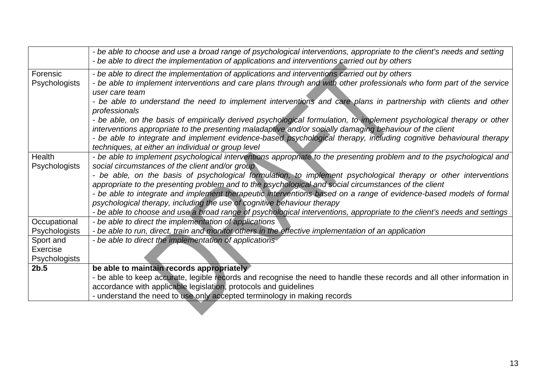|                      | - be able to choose and use a broad range of psychological interventions, appropriate to the client's needs and setting<br>- be able to direct the implementation of applications and interventions carried out by others |
|----------------------|---------------------------------------------------------------------------------------------------------------------------------------------------------------------------------------------------------------------------|
| Forensic             | - be able to direct the implementation of applications and interventions carried out by others                                                                                                                            |
| Psychologists        | - be able to implement interventions and care plans through and with other professionals who form part of the service                                                                                                     |
|                      | user care team                                                                                                                                                                                                            |
|                      | - be able to understand the need to implement interventions and care plans in partnership with clients and other                                                                                                          |
|                      | professionals                                                                                                                                                                                                             |
|                      | - be able, on the basis of empirically derived psychological formulation, to implement psychological therapy or other                                                                                                     |
|                      | interventions appropriate to the presenting maladaptive and/or socially damaging behaviour of the client                                                                                                                  |
|                      | - be able to integrate and implement evidence-based psychological therapy, including cognitive behavioural therapy                                                                                                        |
|                      | techniques, at either an individual or group level                                                                                                                                                                        |
| Health               | - be able to implement psychological interventions appropriate to the presenting problem and to the psychological and                                                                                                     |
| <b>Psychologists</b> | social circumstances of the client and/or group                                                                                                                                                                           |
|                      | - be able, on the basis of psychological formulation, to implement psychological therapy or other interventions                                                                                                           |
|                      | appropriate to the presenting problem and to the psychological and social circumstances of the client                                                                                                                     |
|                      | - be able to integrate and implement therapeutic interventions based on a range of evidence-based models of formal                                                                                                        |
|                      | psychological therapy, including the use of cognitive behaviour therapy                                                                                                                                                   |
|                      | - be able to choose and use a broad range of psychological interventions, appropriate to the client's needs and settings                                                                                                  |
| Occupational         | - be able to direct the implementation of applications                                                                                                                                                                    |
| Psychologists        | - be able to run, direct, train and monitor others in the effective implementation of an application                                                                                                                      |
| Sport and            | - be able to direct the implementation of applications                                                                                                                                                                    |
| <b>Exercise</b>      |                                                                                                                                                                                                                           |
| Psychologists        |                                                                                                                                                                                                                           |
| 2b.5                 | be able to maintain records appropriately                                                                                                                                                                                 |
|                      | - be able to keep accurate, legible records and recognise the need to handle these records and all other information in                                                                                                   |
|                      | accordance with applicable legislation, protocols and guidelines                                                                                                                                                          |
|                      | - understand the need to use only accepted terminology in making records                                                                                                                                                  |
|                      |                                                                                                                                                                                                                           |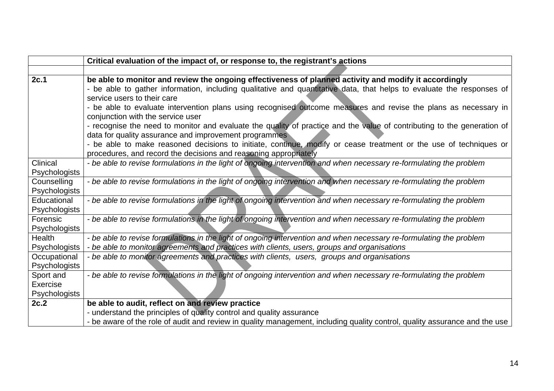|               | Critical evaluation of the impact of, or response to, the registrant's actions                                             |
|---------------|----------------------------------------------------------------------------------------------------------------------------|
|               |                                                                                                                            |
| 2c.1          | be able to monitor and review the ongoing effectiveness of planned activity and modify it accordingly                      |
|               | - be able to gather information, including qualitative and quantitative data, that helps to evaluate the responses of      |
|               | service users to their care                                                                                                |
|               | - be able to evaluate intervention plans using recognised outcome measures and revise the plans as necessary in            |
|               | conjunction with the service user                                                                                          |
|               | - recognise the need to monitor and evaluate the quality of practice and the value of contributing to the generation of    |
|               | data for quality assurance and improvement programmes                                                                      |
|               | - be able to make reasoned decisions to initiate, continue, modify or cease treatment or the use of techniques or          |
|               | procedures, and record the decisions and reasoning appropriately                                                           |
| Clinical      | - be able to revise formulations in the light of ongoing intervention and when necessary re-formulating the problem        |
| Psychologists |                                                                                                                            |
| Counselling   | - be able to revise formulations in the light of ongoing intervention and when necessary re-formulating the problem        |
| Psychologists |                                                                                                                            |
| Educational   | - be able to revise formulations in the light of ongoing intervention and when necessary re-formulating the problem        |
| Psychologists |                                                                                                                            |
| Forensic      | - be able to revise formulations in the light of ongoing intervention and when necessary re-formulating the problem        |
| Psychologists |                                                                                                                            |
| <b>Health</b> | - be able to revise formulations in the light of ongoing intervention and when necessary re-formulating the problem        |
| Psychologists | - be able to monitor agreements and practices with clients, users, groups and organisations                                |
| Occupational  | - be able to monitor agreements and practices with clients, users, groups and organisations                                |
| Psychologists |                                                                                                                            |
| Sport and     | - be able to revise formulations in the light of ongoing intervention and when necessary re-formulating the problem        |
| Exercise      |                                                                                                                            |
| Psychologists |                                                                                                                            |
| 2c.2          | be able to audit, reflect on and review practice                                                                           |
|               | - understand the principles of quality control and quality assurance                                                       |
|               | - be aware of the role of audit and review in quality management, including quality control, quality assurance and the use |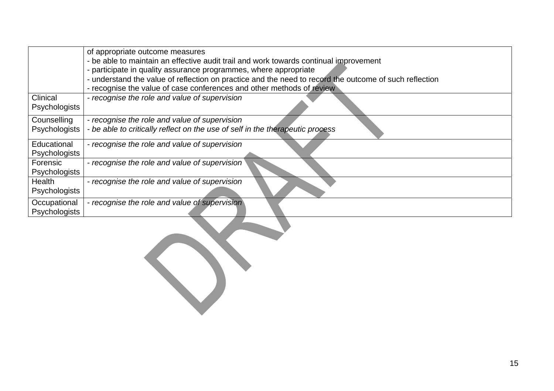|               | of appropriate outcome measures                                                                        |
|---------------|--------------------------------------------------------------------------------------------------------|
|               | - be able to maintain an effective audit trail and work towards continual improvement                  |
|               | - participate in quality assurance programmes, where appropriate                                       |
|               | - understand the value of reflection on practice and the need to record the outcome of such reflection |
|               | - recognise the value of case conferences and other methods of review                                  |
| Clinical      | - recognise the role and value of supervision                                                          |
| Psychologists |                                                                                                        |
| Counselling   | - recognise the role and value of supervision                                                          |
| Psychologists | - be able to critically reflect on the use of self in the therapeutic process                          |
| Educational   | - recognise the role and value of supervision                                                          |
| Psychologists |                                                                                                        |
| Forensic      | - recognise the role and value of supervision                                                          |
| Psychologists |                                                                                                        |
| Health        | - recognise the role and value of supervision                                                          |
| Psychologists |                                                                                                        |
| Occupational  | - recognise the role and value of supervision                                                          |
| Psychologists |                                                                                                        |
|               |                                                                                                        |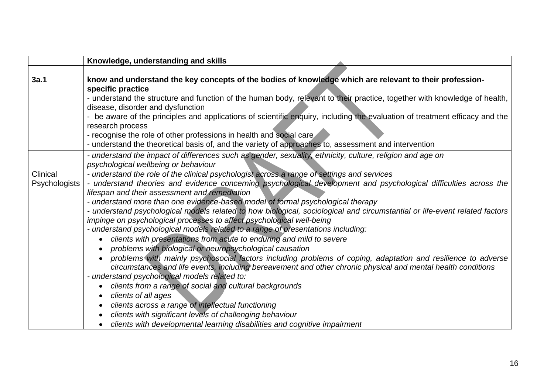|                           | Knowledge, understanding and skills                                                                                                                                                                                                                                                                                                                                                                                                                                                                                                                                                                                                                                                                                                                                                                                                                                                                                                                                                                                                                                                                                                                                                                                                                                                                                                                                            |
|---------------------------|--------------------------------------------------------------------------------------------------------------------------------------------------------------------------------------------------------------------------------------------------------------------------------------------------------------------------------------------------------------------------------------------------------------------------------------------------------------------------------------------------------------------------------------------------------------------------------------------------------------------------------------------------------------------------------------------------------------------------------------------------------------------------------------------------------------------------------------------------------------------------------------------------------------------------------------------------------------------------------------------------------------------------------------------------------------------------------------------------------------------------------------------------------------------------------------------------------------------------------------------------------------------------------------------------------------------------------------------------------------------------------|
|                           |                                                                                                                                                                                                                                                                                                                                                                                                                                                                                                                                                                                                                                                                                                                                                                                                                                                                                                                                                                                                                                                                                                                                                                                                                                                                                                                                                                                |
| 3a.1                      | know and understand the key concepts of the bodies of knowledge which are relevant to their profession-<br>specific practice<br>- understand the structure and function of the human body, relevant to their practice, together with knowledge of health,<br>disease, disorder and dysfunction<br>- be aware of the principles and applications of scientific enquiry, including the evaluation of treatment efficacy and the<br>research process<br>- recognise the role of other professions in health and social care<br>- understand the theoretical basis of, and the variety of approaches to, assessment and intervention                                                                                                                                                                                                                                                                                                                                                                                                                                                                                                                                                                                                                                                                                                                                               |
|                           | - understand the impact of differences such as gender, sexuality, ethnicity, culture, religion and age on<br>psychological wellbeing or behaviour                                                                                                                                                                                                                                                                                                                                                                                                                                                                                                                                                                                                                                                                                                                                                                                                                                                                                                                                                                                                                                                                                                                                                                                                                              |
| Clinical<br>Psychologists | - understand the role of the clinical psychologist across a range of settings and services<br>- understand theories and evidence concerning psychological development and psychological difficulties across the<br>lifespan and their assessment and remediation<br>- understand more than one evidence-based model of formal psychological therapy<br>- understand psychological models related to how biological, sociological and circumstantial or life-event related factors<br>impinge on psychological processes to affect psychological well-being<br>- understand psychological models related to a range of presentations including:<br>clients with presentations from acute to enduring and mild to severe<br>problems with biological or neuropsychological causation<br>problems with mainly psychosocial factors including problems of coping, adaptation and resilience to adverse<br>circumstances and life events, including bereavement and other chronic physical and mental health conditions<br>- understand psychological models related to:<br>clients from a range of social and cultural backgrounds<br>clients of all ages<br>$\bullet$<br>clients across a range of intellectual functioning<br>clients with significant levels of challenging behaviour<br>clients with developmental learning disabilities and cognitive impairment<br>$\bullet$ |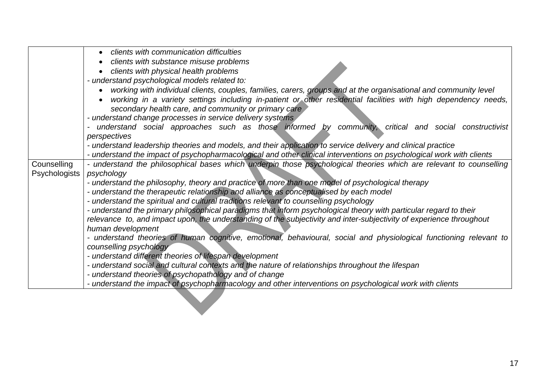|                      | clients with communication difficulties                                                                                          |
|----------------------|----------------------------------------------------------------------------------------------------------------------------------|
|                      |                                                                                                                                  |
|                      | clients with substance misuse problems                                                                                           |
|                      | clients with physical health problems                                                                                            |
|                      | - understand psychological models related to:                                                                                    |
|                      | working with individual clients, couples, families, carers, groups and at the organisational and community level                 |
|                      | working in a variety settings including in-patient or other residential facilities with high dependency needs,                   |
|                      | secondary health care, and community or primary care                                                                             |
|                      | - understand change processes in service delivery systems                                                                        |
|                      | understand social approaches such as those informed by community, critical and social constructivist<br>$\overline{\phantom{a}}$ |
|                      | perspectives                                                                                                                     |
|                      | - understand leadership theories and models, and their application to service delivery and clinical practice                     |
|                      | - understand the impact of psychopharmacological and other clinical interventions on psychological work with clients             |
| Counselling          | - understand the philosophical bases which underpin those psychological theories which are relevant to counselling               |
| <b>Psychologists</b> | psychology                                                                                                                       |
|                      | - understand the philosophy, theory and practice of more than one model of psychological therapy                                 |
|                      | - understand the therapeutic relationship and alliance as conceptualised by each model                                           |
|                      | - understand the spiritual and cultural traditions relevant to counselling psychology                                            |
|                      | - understand the primary philosophical paradigms that inform psychological theory with particular regard to their                |
|                      | relevance to, and impact upon, the understanding of the subjectivity and inter-subjectivity of experience throughout             |
|                      | human development                                                                                                                |
|                      | - understand theories of human cognitive, emotional, behavioural, social and physiological functioning relevant to               |
|                      | counselling psychology                                                                                                           |
|                      | - understand different theories of lifespan development                                                                          |
|                      | - understand social and cultural contexts and the nature of relationships throughout the lifespan                                |
|                      | - understand theories of psychopathology and of change                                                                           |
|                      |                                                                                                                                  |
|                      | - understand the impact of psychopharmacology and other interventions on psychological work with clients                         |
|                      |                                                                                                                                  |
|                      |                                                                                                                                  |
|                      |                                                                                                                                  |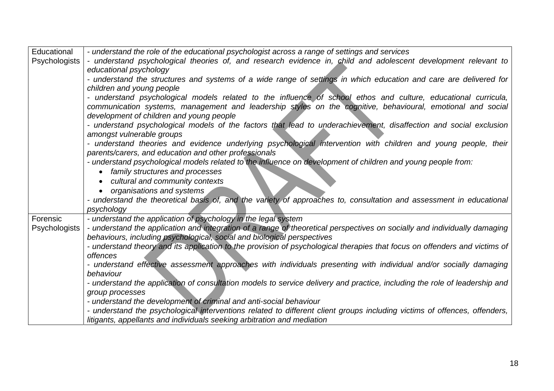| Educational   | - understand the role of the educational psychologist across a range of settings and services                                     |
|---------------|-----------------------------------------------------------------------------------------------------------------------------------|
| Psychologists | - understand psychological theories of, and research evidence in, child and adolescent development relevant to                    |
|               | educational psychology                                                                                                            |
|               | - understand the structures and systems of a wide range of settings in which education and care are delivered for                 |
|               | children and young people                                                                                                         |
|               | - understand psychological models related to the influence of school ethos and culture, educational curricula,                    |
|               | communication systems, management and leadership styles on the cognitive, behavioural, emotional and social                       |
|               | development of children and young people                                                                                          |
|               | - understand psychological models of the factors that lead to underachievement, disaffection and social exclusion                 |
|               | amongst vulnerable groups                                                                                                         |
|               | - understand theories and evidence underlying psychological intervention with children and young people, their                    |
|               | parents/carers, and education and other professionals                                                                             |
|               | - understand psychological models related to the influence on development of children and young people from:                      |
|               | family structures and processes                                                                                                   |
|               | cultural and community contexts                                                                                                   |
|               | organisations and systems                                                                                                         |
|               | - understand the theoretical basis of, and the variety of approaches to, consultation and assessment in educational<br>psychology |
| Forensic      | - understand the application of psychology in the legal system                                                                    |
| Psychologists | - understand the application and integration of a range of theoretical perspectives on socially and individually damaging         |
|               | behaviours, including psychological, social and biological perspectives                                                           |
|               | - understand theory and its application to the provision of psychological therapies that focus on offenders and victims of        |
|               | <i>offences</i>                                                                                                                   |
|               | - understand effective assessment approaches with individuals presenting with individual and/or socially damaging                 |
|               | behaviour                                                                                                                         |
|               | - understand the application of consultation models to service delivery and practice, including the role of leadership and        |
|               | group processes                                                                                                                   |
|               | - understand the development of criminal and anti-social behaviour                                                                |
|               | - understand the psychological interventions related to different client groups including victims of offences, offenders,         |
|               | litigants, appellants and individuals seeking arbitration and mediation                                                           |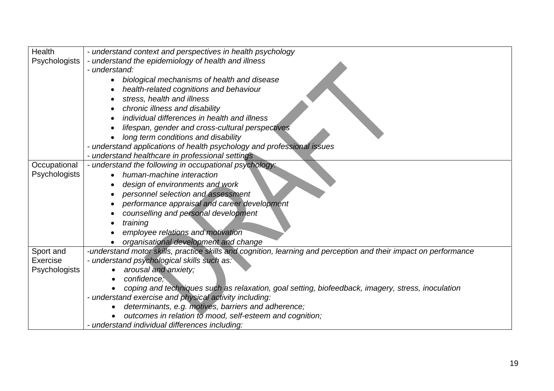| <b>Health</b> | - understand context and perspectives in health psychology                                                       |
|---------------|------------------------------------------------------------------------------------------------------------------|
| Psychologists | - understand the epidemiology of health and illness                                                              |
|               | - understand:                                                                                                    |
|               | biological mechanisms of health and disease                                                                      |
|               | health-related cognitions and behaviour                                                                          |
|               | stress, health and illness                                                                                       |
|               | chronic illness and disability                                                                                   |
|               | individual differences in health and illness                                                                     |
|               | lifespan, gender and cross-cultural perspectives                                                                 |
|               | long term conditions and disability                                                                              |
|               | - understand applications of health psychology and professional issues                                           |
|               | - understand healthcare in professional settings                                                                 |
| Occupational  | - understand the following in occupational psychology:                                                           |
| Psychologists | human-machine interaction                                                                                        |
|               | design of environments and work                                                                                  |
|               | personnel selection and assessment                                                                               |
|               | performance appraisal and career development                                                                     |
|               | counselling and personal development                                                                             |
|               | training                                                                                                         |
|               | employee relations and motivation                                                                                |
|               | organisational development and change                                                                            |
| Sport and     | -understand motor skills, practice skills and cognition, learning and perception and their impact on performance |
| Exercise      | - understand psychological skills such as:                                                                       |
| Psychologists | arousal and anxiety;                                                                                             |
|               | confidence;                                                                                                      |
|               | coping and techniques such as relaxation, goal setting, biofeedback, imagery, stress, inoculation                |
|               | - understand exercise and physical activity including:                                                           |
|               | determinants, e.g. motives, barriers and adherence;                                                              |
|               | outcomes in relation to mood, self-esteem and cognition;                                                         |
|               | - understand individual differences including:                                                                   |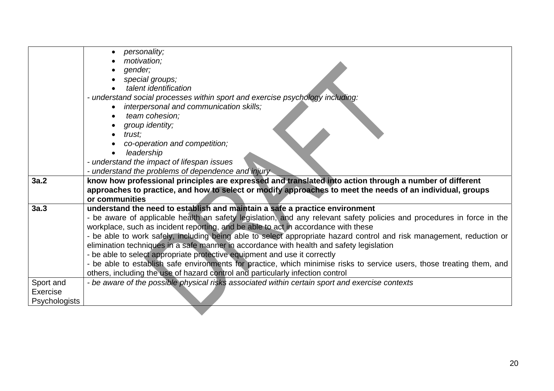|                      | personality;<br>motivation;<br>gender;<br>special groups;<br>talent identification<br>- understand social processes within sport and exercise psychology including:<br>interpersonal and communication skills;<br>team cohesion;<br>group identity;<br>trust;<br>co-operation and competition;<br>leadership<br>- understand the impact of lifespan issues |
|----------------------|------------------------------------------------------------------------------------------------------------------------------------------------------------------------------------------------------------------------------------------------------------------------------------------------------------------------------------------------------------|
|                      | - understand the problems of dependence and injury                                                                                                                                                                                                                                                                                                         |
| 3a.2                 | know how professional principles are expressed and translated into action through a number of different                                                                                                                                                                                                                                                    |
|                      | approaches to practice, and how to select or modify approaches to meet the needs of an individual, groups<br>or communities                                                                                                                                                                                                                                |
| 3a.3                 | understand the need to establish and maintain a safe a practice environment                                                                                                                                                                                                                                                                                |
|                      | - be aware of applicable health an safety legislation, and any relevant safety policies and procedures in force in the                                                                                                                                                                                                                                     |
|                      | workplace, such as incident reporting, and be able to act in accordance with these                                                                                                                                                                                                                                                                         |
|                      | - be able to work safely, including being able to select appropriate hazard control and risk management, reduction or                                                                                                                                                                                                                                      |
|                      | elimination techniques in a safe manner in accordance with health and safety legislation                                                                                                                                                                                                                                                                   |
|                      | - be able to select appropriate protective equipment and use it correctly                                                                                                                                                                                                                                                                                  |
|                      | - be able to establish safe environments for practice, which minimise risks to service users, those treating them, and                                                                                                                                                                                                                                     |
|                      | others, including the use of hazard control and particularly infection control                                                                                                                                                                                                                                                                             |
| Sport and            | - be aware of the possible physical risks associated within certain sport and exercise contexts                                                                                                                                                                                                                                                            |
| Exercise             |                                                                                                                                                                                                                                                                                                                                                            |
| <b>Psychologists</b> |                                                                                                                                                                                                                                                                                                                                                            |
|                      |                                                                                                                                                                                                                                                                                                                                                            |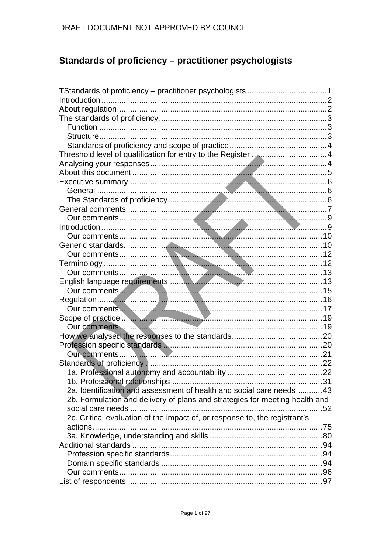# Standards of proficiency - practitioner psychologists

| Our comments 2000 and 2000 and 2000 and 2000 and 2000 and 2000 and 2000 and 2000 and 2000 and 2000 and 2000 and 2000 and 2000 and 2000 and 2000 and 2000 and 2000 and 2000 and 2000 and 2000 and 2000 and 2000 and 2000 and 20 |  |
|--------------------------------------------------------------------------------------------------------------------------------------------------------------------------------------------------------------------------------|--|
|                                                                                                                                                                                                                                |  |
|                                                                                                                                                                                                                                |  |
|                                                                                                                                                                                                                                |  |
|                                                                                                                                                                                                                                |  |
|                                                                                                                                                                                                                                |  |
|                                                                                                                                                                                                                                |  |
|                                                                                                                                                                                                                                |  |
|                                                                                                                                                                                                                                |  |
|                                                                                                                                                                                                                                |  |
|                                                                                                                                                                                                                                |  |
| 2a. Identification and assessment of health and social care needs43                                                                                                                                                            |  |
| 2b. Formulation and delivery of plans and strategies for meeting health and                                                                                                                                                    |  |
|                                                                                                                                                                                                                                |  |
| 2c. Critical evaluation of the impact of, or response to, the registrant's                                                                                                                                                     |  |
|                                                                                                                                                                                                                                |  |
|                                                                                                                                                                                                                                |  |
|                                                                                                                                                                                                                                |  |
|                                                                                                                                                                                                                                |  |
|                                                                                                                                                                                                                                |  |
|                                                                                                                                                                                                                                |  |
|                                                                                                                                                                                                                                |  |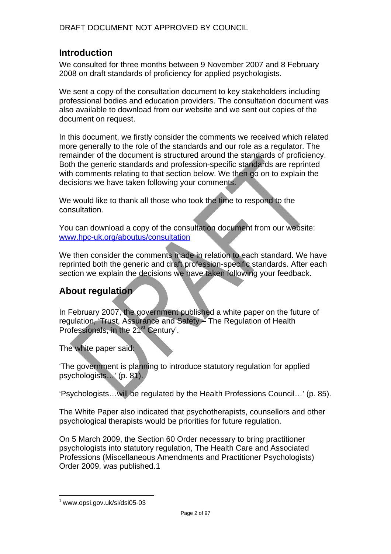## **Introduction**

We consulted for three months between 9 November 2007 and 8 February 2008 on draft standards of proficiency for applied psychologists.

We sent a copy of the consultation document to key stakeholders including professional bodies and education providers. The consultation document was also available to download from our website and we sent out copies of the document on request.

In this document, we firstly consider the comments we received which related more generally to the role of the standards and our role as a regulator. The remainder of the document is structured around the standards of proficiency. Both the generic standards and profession-specific standards are reprinted with comments relating to that section below. We then go on to explain the decisions we have taken following your comments.

We would like to thank all those who took the time to respond to the consultation.

You can download a copy of the consultation document from our website: www.hpc-uk.org/aboutus/consultation

We then consider the comments made in relation to each standard. We have reprinted both the generic and draft profession-specific standards. After each section we explain the decisions we have taken following your feedback.

## **About regulation**

In February 2007, the government published a white paper on the future of regulation, 'Trust, Assurance and Safety – The Regulation of Health Professionals, in the 21<sup>st</sup> Century'.

The white paper said:

'The government is planning to introduce statutory regulation for applied psychologists…' (p. 81).

'Psychologists…will be regulated by the Health Professions Council…' (p. 85).

The White Paper also indicated that psychotherapists, counsellors and other psychological therapists would be priorities for future regulation.

On 5 March 2009, the Section 60 Order necessary to bring practitioner psychologists into statutory regulation, The Health Care and Associated Professions (Miscellaneous Amendments and Practitioner Psychologists) Order 2009, was published.1

 $\overline{a}$ 

 $1$  www.opsi.gov.uk/si/dsi05-03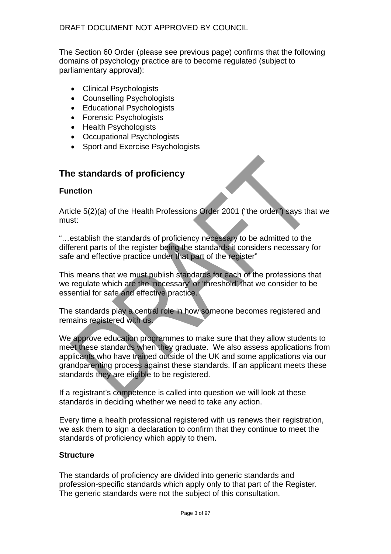The Section 60 Order (please see previous page) confirms that the following domains of psychology practice are to become regulated (subject to parliamentary approval):

- Clinical Psychologists
- Counselling Psychologists
- Educational Psychologists
- Forensic Psychologists
- Health Psychologists
- Occupational Psychologists
- Sport and Exercise Psychologists

## **The standards of proficiency**

## **Function**

Article 5(2)(a) of the Health Professions Order 2001 ("the order") says that we must:

"…establish the standards of proficiency necessary to be admitted to the different parts of the register being the standards it considers necessary for safe and effective practice under that part of the register"

This means that we must publish standards for each of the professions that we regulate which are the 'necessary' or 'threshold' that we consider to be essential for safe and effective practice.

The standards play a central role in how someone becomes registered and remains registered with us.

We approve education programmes to make sure that they allow students to meet these standards when they graduate. We also assess applications from applicants who have trained outside of the UK and some applications via our grandparenting process against these standards. If an applicant meets these standards they are eligible to be registered.

If a registrant's competence is called into question we will look at these standards in deciding whether we need to take any action.

Every time a health professional registered with us renews their registration, we ask them to sign a declaration to confirm that they continue to meet the standards of proficiency which apply to them.

## **Structure**

The standards of proficiency are divided into generic standards and profession-specific standards which apply only to that part of the Register. The generic standards were not the subject of this consultation.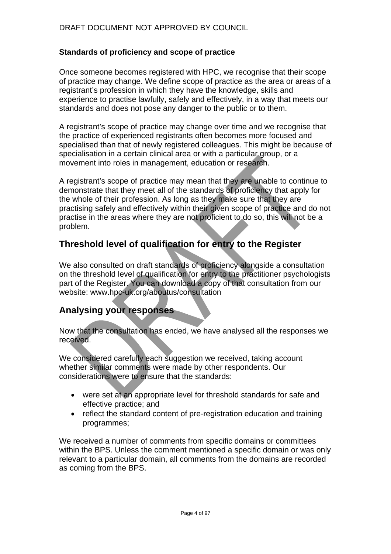## **Standards of proficiency and scope of practice**

Once someone becomes registered with HPC, we recognise that their scope of practice may change. We define scope of practice as the area or areas of a registrant's profession in which they have the knowledge, skills and experience to practise lawfully, safely and effectively, in a way that meets our standards and does not pose any danger to the public or to them.

A registrant's scope of practice may change over time and we recognise that the practice of experienced registrants often becomes more focused and specialised than that of newly registered colleagues. This might be because of specialisation in a certain clinical area or with a particular group, or a movement into roles in management, education or research.

A registrant's scope of practice may mean that they are unable to continue to demonstrate that they meet all of the standards of proficiency that apply for the whole of their profession. As long as they make sure that they are practising safely and effectively within their given scope of practice and do not practise in the areas where they are not proficient to do so, this will not be a problem.

## **Threshold level of qualification for entry to the Register**

We also consulted on draft standards of proficiency alongside a consultation on the threshold level of qualification for entry to the practitioner psychologists part of the Register. You can download a copy of that consultation from our website: www.hpc-uk.org/aboutus/consultation

## **Analysing your responses**

Now that the consultation has ended, we have analysed all the responses we received.

We considered carefully each suggestion we received, taking account whether similar comments were made by other respondents. Our considerations were to ensure that the standards:

- were set at an appropriate level for threshold standards for safe and effective practice; and
- reflect the standard content of pre-registration education and training programmes;

We received a number of comments from specific domains or committees within the BPS. Unless the comment mentioned a specific domain or was only relevant to a particular domain, all comments from the domains are recorded as coming from the BPS.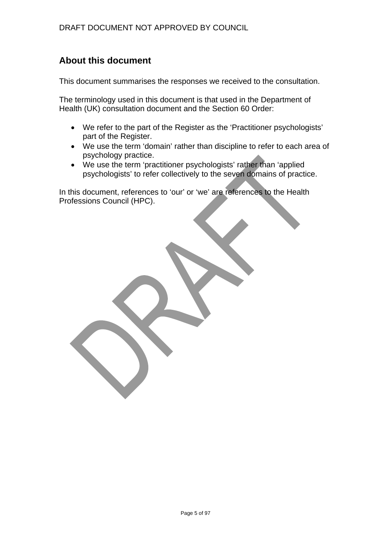## **About this document**

This document summarises the responses we received to the consultation.

The terminology used in this document is that used in the Department of Health (UK) consultation document and the Section 60 Order:

- We refer to the part of the Register as the 'Practitioner psychologists' part of the Register.
- We use the term 'domain' rather than discipline to refer to each area of psychology practice.
- We use the term 'practitioner psychologists' rather than 'applied psychologists' to refer collectively to the seven domains of practice.

In this document, references to 'our' or 'we' are references to the Health Professions Council (HPC).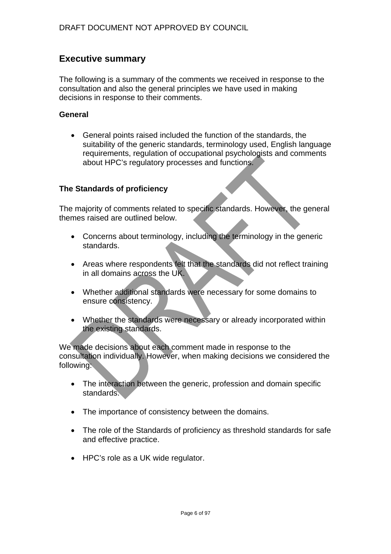## **Executive summary**

The following is a summary of the comments we received in response to the consultation and also the general principles we have used in making decisions in response to their comments.

#### **General**

• General points raised included the function of the standards, the suitability of the generic standards, terminology used, English language requirements, regulation of occupational psychologists and comments about HPC's regulatory processes and functions.

#### **The Standards of proficiency**

The majority of comments related to specific standards. However, the general themes raised are outlined below.

- Concerns about terminology, including the terminology in the generic standards.
- Areas where respondents felt that the standards did not reflect training in all domains across the UK.
- Whether additional standards were necessary for some domains to ensure consistency.
- Whether the standards were necessary or already incorporated within the existing standards.

We made decisions about each comment made in response to the consultation individually. However, when making decisions we considered the following:

- The interaction between the generic, profession and domain specific standards.
- The importance of consistency between the domains.
- The role of the Standards of proficiency as threshold standards for safe and effective practice.
- HPC's role as a UK wide regulator.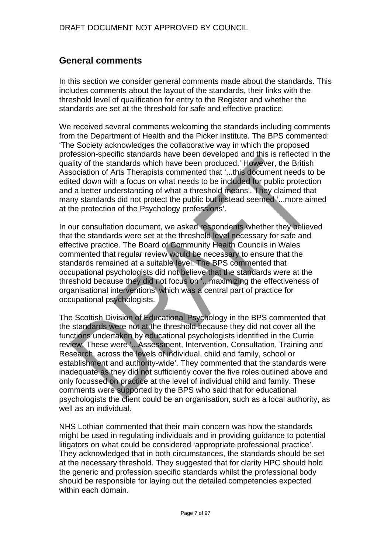## **General comments**

In this section we consider general comments made about the standards. This includes comments about the layout of the standards, their links with the threshold level of qualification for entry to the Register and whether the standards are set at the threshold for safe and effective practice.

We received several comments welcoming the standards including comments from the Department of Health and the Picker Institute. The BPS commented: 'The Society acknowledges the collaborative way in which the proposed profession-specific standards have been developed and this is reflected in the quality of the standards which have been produced.' However, the British Association of Arts Therapists commented that '...this document needs to be edited down with a focus on what needs to be included for public protection and a better understanding of what a threshold means'. They claimed that many standards did not protect the public but instead seemed '...more aimed at the protection of the Psychology professions'.

In our consultation document, we asked respondents whether they believed that the standards were set at the threshold level necessary for safe and effective practice. The Board of Community Health Councils in Wales commented that regular review would be necessary to ensure that the standards remained at a suitable level. The BPS commented that occupational psychologists did not believe that the standards were at the threshold because they did not focus on '...maximizing the effectiveness of organisational interventions' which was a central part of practice for occupational psychologists.

The Scottish Division of Educational Psychology in the BPS commented that the standards were not at the threshold because they did not cover all the functions undertaken by educational psychologists identified in the Currie review. These were '...Assessment, Intervention, Consultation, Training and Research, across the levels of individual, child and family, school or establishment and authority-wide'. They commented that the standards were inadequate as they did not sufficiently cover the five roles outlined above and only focussed on practice at the level of individual child and family. These comments were supported by the BPS who said that for educational psychologists the client could be an organisation, such as a local authority, as well as an individual

NHS Lothian commented that their main concern was how the standards might be used in regulating individuals and in providing guidance to potential litigators on what could be considered 'appropriate professional practice'. They acknowledged that in both circumstances, the standards should be set at the necessary threshold. They suggested that for clarity HPC should hold the generic and profession specific standards whilst the professional body should be responsible for laying out the detailed competencies expected within each domain.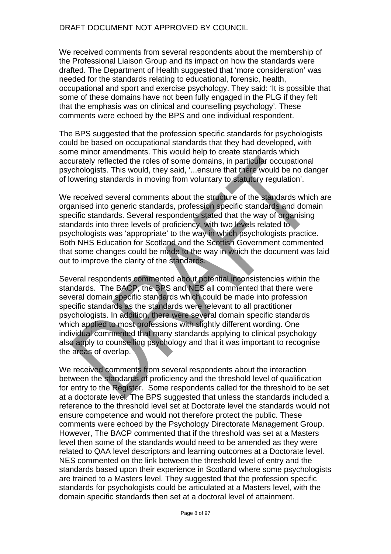We received comments from several respondents about the membership of the Professional Liaison Group and its impact on how the standards were drafted. The Department of Health suggested that 'more consideration' was needed for the standards relating to educational, forensic, health, occupational and sport and exercise psychology. They said: 'It is possible that some of these domains have not been fully engaged in the PLG if they felt that the emphasis was on clinical and counselling psychology'. These comments were echoed by the BPS and one individual respondent.

The BPS suggested that the profession specific standards for psychologists could be based on occupational standards that they had developed, with some minor amendments. This would help to create standards which accurately reflected the roles of some domains, in particular occupational psychologists. This would, they said, '...ensure that there would be no danger of lowering standards in moving from voluntary to statutory regulation'.

We received several comments about the structure of the standards which are organised into generic standards, profession specific standards and domain specific standards. Several respondents stated that the way of organising standards into three levels of proficiency, with two levels related to psychologists was 'appropriate' to the way in which psychologists practice. Both NHS Education for Scotland and the Scottish Government commented that some changes could be made to the way in which the document was laid out to improve the clarity of the standards.

Several respondents commented about potential inconsistencies within the standards. The BACP, the BPS and NES all commented that there were several domain specific standards which could be made into profession specific standards as the standards were relevant to all practitioner psychologists. In addition, there were several domain specific standards which applied to most professions with slightly different wording. One individual commented that many standards applying to clinical psychology also apply to counselling psychology and that it was important to recognise the areas of overlap.

We received comments from several respondents about the interaction between the standards of proficiency and the threshold level of qualification for entry to the Register. Some respondents called for the threshold to be set at a doctorate level. The BPS suggested that unless the standards included a reference to the threshold level set at Doctorate level the standards would not ensure competence and would not therefore protect the public. These comments were echoed by the Psychology Directorate Management Group. However, The BACP commented that if the threshold was set at a Masters level then some of the standards would need to be amended as they were related to QAA level descriptors and learning outcomes at a Doctorate level. NES commented on the link between the threshold level of entry and the standards based upon their experience in Scotland where some psychologists are trained to a Masters level. They suggested that the profession specific standards for psychologists could be articulated at a Masters level, with the domain specific standards then set at a doctoral level of attainment.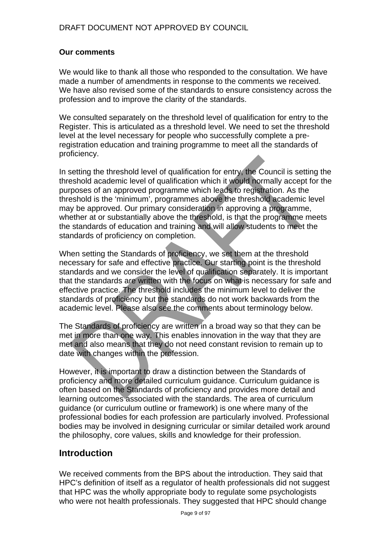#### **Our comments**

We would like to thank all those who responded to the consultation. We have made a number of amendments in response to the comments we received. We have also revised some of the standards to ensure consistency across the profession and to improve the clarity of the standards.

We consulted separately on the threshold level of qualification for entry to the Register. This is articulated as a threshold level. We need to set the threshold level at the level necessary for people who successfully complete a preregistration education and training programme to meet all the standards of proficiency.

In setting the threshold level of qualification for entry, the Council is setting the threshold academic level of qualification which it would normally accept for the purposes of an approved programme which leads to registration. As the threshold is the 'minimum', programmes above the threshold academic level may be approved. Our primary consideration in approving a programme, whether at or substantially above the threshold, is that the programme meets the standards of education and training and will allow students to meet the standards of proficiency on completion.

When setting the Standards of proficiency, we set them at the threshold necessary for safe and effective practice. Our starting point is the threshold standards and we consider the level of qualification separately. It is important that the standards are written with the focus on what is necessary for safe and effective practice. The threshold includes the minimum level to deliver the standards of proficiency but the standards do not work backwards from the academic level. Please also see the comments about terminology below.

The Standards of proficiency are written in a broad way so that they can be met in more than one way. This enables innovation in the way that they are met and also means that they do not need constant revision to remain up to date with changes within the profession.

However, it is important to draw a distinction between the Standards of proficiency and more detailed curriculum guidance. Curriculum guidance is often based on the Standards of proficiency and provides more detail and learning outcomes associated with the standards. The area of curriculum guidance (or curriculum outline or framework) is one where many of the professional bodies for each profession are particularly involved. Professional bodies may be involved in designing curricular or similar detailed work around the philosophy, core values, skills and knowledge for their profession.

## **Introduction**

We received comments from the BPS about the introduction. They said that HPC's definition of itself as a regulator of health professionals did not suggest that HPC was the wholly appropriate body to regulate some psychologists who were not health professionals. They suggested that HPC should change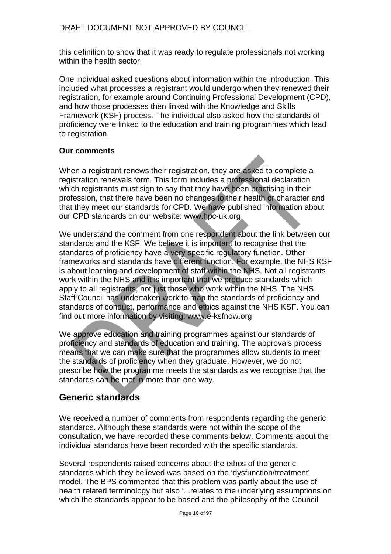this definition to show that it was ready to regulate professionals not working within the health sector.

One individual asked questions about information within the introduction. This included what processes a registrant would undergo when they renewed their registration, for example around Continuing Professional Development (CPD), and how those processes then linked with the Knowledge and Skills Framework (KSF) process. The individual also asked how the standards of proficiency were linked to the education and training programmes which lead to registration.

#### **Our comments**

When a registrant renews their registration, they are asked to complete a registration renewals form. This form includes a professional declaration which registrants must sign to say that they have been practising in their profession, that there have been no changes to their health or character and that they meet our standards for CPD. We have published information about our CPD standards on our website: www.hpc-uk.org

We understand the comment from one respondent about the link between our standards and the KSF. We believe it is important to recognise that the standards of proficiency have a very specific regulatory function. Other frameworks and standards have different function. For example, the NHS KSF is about learning and development of staff within the NHS. Not all registrants work within the NHS and it is important that we produce standards which apply to all registrants, not just those who work within the NHS. The NHS Staff Council has undertaken work to map the standards of proficiency and standards of conduct, performance and ethics against the NHS KSF. You can find out more information by visiting: www.e-ksfnow.org

We approve education and training programmes against our standards of proficiency and standards of education and training. The approvals process means that we can make sure that the programmes allow students to meet the standards of proficiency when they graduate. However, we do not prescribe how the programme meets the standards as we recognise that the standards can be met in more than one way.

## **Generic standards**

We received a number of comments from respondents regarding the generic standards. Although these standards were not within the scope of the consultation, we have recorded these comments below. Comments about the individual standards have been recorded with the specific standards.

Several respondents raised concerns about the ethos of the generic standards which they believed was based on the 'dysfunction/treatment' model. The BPS commented that this problem was partly about the use of health related terminology but also '...relates to the underlying assumptions on which the standards appear to be based and the philosophy of the Council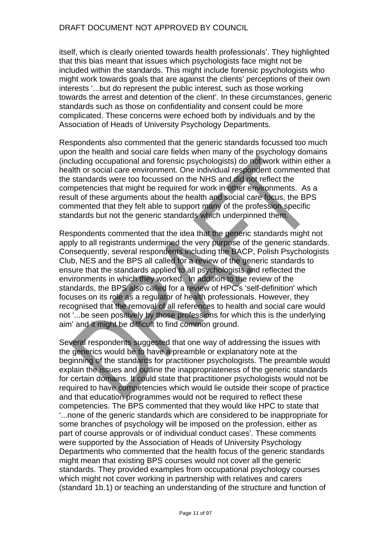itself, which is clearly oriented towards health professionals'. They highlighted that this bias meant that issues which psychologists face might not be included within the standards. This might include forensic psychologists who might work towards goals that are against the clients' perceptions of their own interests '...but do represent the public interest, such as those working towards the arrest and detention of the client'. In these circumstances, generic standards such as those on confidentiality and consent could be more complicated. These concerns were echoed both by individuals and by the Association of Heads of University Psychology Departments.

Respondents also commented that the generic standards focussed too much upon the health and social care fields when many of the psychology domains (including occupational and forensic psychologists) do not work within either a health or social care environment. One individual respondent commented that the standards were too focussed on the NHS and did not reflect the competencies that might be required for work in other environments. As a result of these arguments about the health and social care focus, the BPS commented that they felt able to support many of the profession specific standards but not the generic standards which underpinned them.

Respondents commented that the idea that the generic standards might not apply to all registrants undermined the very purpose of the generic standards. Consequently, several respondents including the BACP, Polish Psychologists Club, NES and the BPS all called for a review of the generic standards to ensure that the standards applied to all psychologists and reflected the environments in which they worked. In addition to the review of the standards, the BPS also called for a review of HPC's 'self-definition' which focuses on its role as a regulator of health professionals. However, they recognised that the removal of all references to health and social care would not '...be seen positively by those professions for which this is the underlying aim' and it might be difficult to find common ground.

Several respondents suggested that one way of addressing the issues with the generics would be to have a preamble or explanatory note at the beginning of the standards for practitioner psychologists. The preamble would explain the issues and outline the inappropriateness of the generic standards for certain domains. It could state that practitioner psychologists would not be required to have competencies which would lie outside their scope of practice and that education programmes would not be required to reflect these competencies. The BPS commented that they would like HPC to state that '...none of the generic standards which are considered to be inappropriate for some branches of psychology will be imposed on the profession, either as part of course approvals or of individual conduct cases'. These comments were supported by the Association of Heads of University Psychology Departments who commented that the health focus of the generic standards might mean that existing BPS courses would not cover all the generic standards. They provided examples from occupational psychology courses which might not cover working in partnership with relatives and carers (standard 1b.1) or teaching an understanding of the structure and function of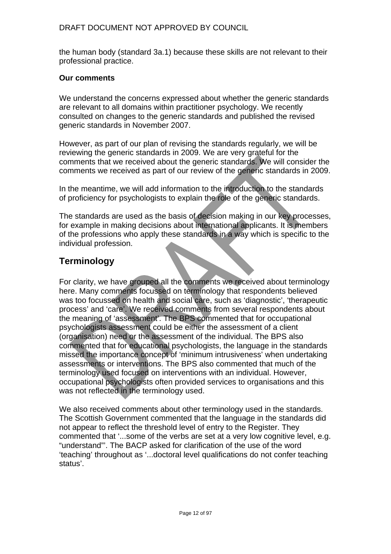the human body (standard 3a.1) because these skills are not relevant to their professional practice.

#### **Our comments**

We understand the concerns expressed about whether the generic standards are relevant to all domains within practitioner psychology. We recently consulted on changes to the generic standards and published the revised generic standards in November 2007.

However, as part of our plan of revising the standards regularly, we will be reviewing the generic standards in 2009. We are very grateful for the comments that we received about the generic standards. We will consider the comments we received as part of our review of the generic standards in 2009.

In the meantime, we will add information to the introduction to the standards of proficiency for psychologists to explain the role of the generic standards.

The standards are used as the basis of decision making in our key processes, for example in making decisions about international applicants. It is members of the professions who apply these standards in a way which is specific to the individual profession.

## **Terminology**

For clarity, we have grouped all the comments we received about terminology here. Many comments focussed on terminology that respondents believed was too focussed on health and social care, such as 'diagnostic', 'therapeutic process' and 'care'. We received comments from several respondents about the meaning of 'assessment'. The BPS commented that for occupational psychologists assessment could be either the assessment of a client (organisation) need or the assessment of the individual. The BPS also commented that for educational psychologists, the language in the standards missed the importance concept of 'minimum intrusiveness' when undertaking assessments or interventions. The BPS also commented that much of the terminology used focused on interventions with an individual. However, occupational psychologists often provided services to organisations and this was not reflected in the terminology used.

We also received comments about other terminology used in the standards. The Scottish Government commented that the language in the standards did not appear to reflect the threshold level of entry to the Register. They commented that '...some of the verbs are set at a very low cognitive level, e.g. "understand"'. The BACP asked for clarification of the use of the word 'teaching' throughout as '...doctoral level qualifications do not confer teaching status'.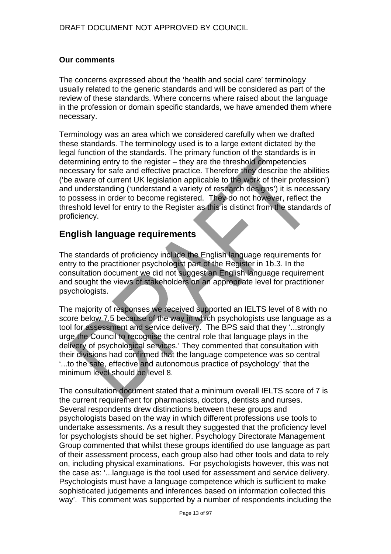#### **Our comments**

The concerns expressed about the 'health and social care' terminology usually related to the generic standards and will be considered as part of the review of these standards. Where concerns where raised about the language in the profession or domain specific standards, we have amended them where necessary.

Terminology was an area which we considered carefully when we drafted these standards. The terminology used is to a large extent dictated by the legal function of the standards. The primary function of the standards is in determining entry to the register – they are the threshold competencies necessary for safe and effective practice. Therefore they describe the abilities ('be aware of current UK legislation applicable to the work of their profession') and understanding ('understand a variety of research designs') it is necessary to possess in order to become registered. They do not however, reflect the threshold level for entry to the Register as this is distinct from the standards of proficiency.

## **English language requirements**

The standards of proficiency include the English language requirements for entry to the practitioner psychologist part of the Register in 1b.3. In the consultation document we did not suggest an English language requirement and sought the views of stakeholders on an appropriate level for practitioner psychologists.

The majority of responses we received supported an IELTS level of 8 with no score below 7.5 because of the way in which psychologists use language as a tool for assessment and service delivery. The BPS said that they '...strongly urge the Council to recognise the central role that language plays in the delivery of psychological services.' They commented that consultation with their divisions had confirmed that the language competence was so central '...to the safe, effective and autonomous practice of psychology' that the minimum level should be level 8.

The consultation document stated that a minimum overall IELTS score of 7 is the current requirement for pharmacists, doctors, dentists and nurses. Several respondents drew distinctions between these groups and psychologists based on the way in which different professions use tools to undertake assessments. As a result they suggested that the proficiency level for psychologists should be set higher. Psychology Directorate Management Group commented that whilst these groups identified do use language as part of their assessment process, each group also had other tools and data to rely on, including physical examinations. For psychologists however, this was not the case as: '...language is the tool used for assessment and service delivery. Psychologists must have a language competence which is sufficient to make sophisticated judgements and inferences based on information collected this way'. This comment was supported by a number of respondents including the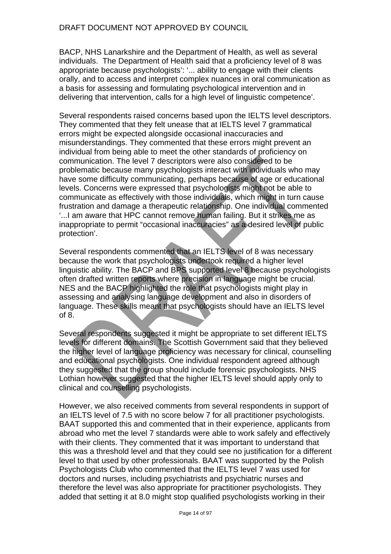BACP, NHS Lanarkshire and the Department of Health, as well as several individuals. The Department of Health said that a proficiency level of 8 was appropriate because psychologists': '... ability to engage with their clients orally, and to access and interpret complex nuances in oral communication as a basis for assessing and formulating psychological intervention and in delivering that intervention, calls for a high level of linguistic competence'.

Several respondents raised concerns based upon the IELTS level descriptors. They commented that they felt unease that at IELTS level 7 grammatical errors might be expected alongside occasional inaccuracies and misunderstandings. They commented that these errors might prevent an individual from being able to meet the other standards of proficiency on communication. The level 7 descriptors were also considered to be problematic because many psychologists interact with individuals who may have some difficulty communicating, perhaps because of age or educational levels. Concerns were expressed that psychologists might not be able to communicate as effectively with those individuals, which might in turn cause frustration and damage a therapeutic relationship. One individual commented '...I am aware that HPC cannot remove human failing. But it strikes me as inappropriate to permit "occasional inaccuracies" as a desired level of public protection'.

Several respondents commented that an IELTS level of 8 was necessary because the work that psychologists undertook required a higher level linguistic ability. The BACP and BPS supported level 8 because psychologists often drafted written reports where precision in language might be crucial. NES and the BACP highlighted the role that psychologists might play in assessing and analysing language development and also in disorders of language. These skills meant that psychologists should have an IELTS level of 8.

Several respondents suggested it might be appropriate to set different IELTS levels for different domains. The Scottish Government said that they believed the higher level of language proficiency was necessary for clinical, counselling and educational psychologists. One individual respondent agreed although they suggested that the group should include forensic psychologists. NHS Lothian however suggested that the higher IELTS level should apply only to clinical and counselling psychologists.

However, we also received comments from several respondents in support of an IELTS level of 7.5 with no score below 7 for all practitioner psychologists. BAAT supported this and commented that in their experience, applicants from abroad who met the level 7 standards were able to work safely and effectively with their clients. They commented that it was important to understand that this was a threshold level and that they could see no justification for a different level to that used by other professionals. BAAT was supported by the Polish Psychologists Club who commented that the IELTS level 7 was used for doctors and nurses, including psychiatrists and psychiatric nurses and therefore the level was also appropriate for practitioner psychologists. They added that setting it at 8.0 might stop qualified psychologists working in their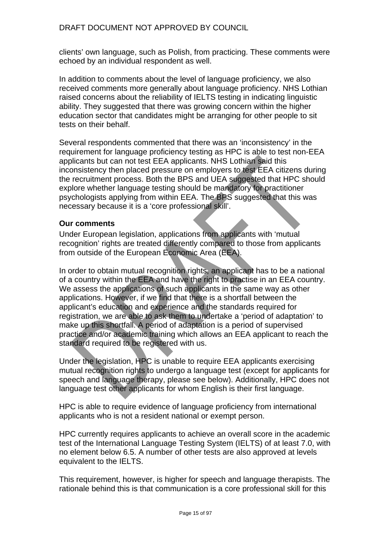# DRAFT DOCUMENT NOT APPROVED BY COUNCIL

clients' own language, such as Polish, from practicing. These comments were echoed by an individual respondent as well.

In addition to comments about the level of language proficiency, we also received comments more generally about language proficiency. NHS Lothian raised concerns about the reliability of IELTS testing in indicating linguistic ability. They suggested that there was growing concern within the higher education sector that candidates might be arranging for other people to sit tests on their behalf.

Several respondents commented that there was an 'inconsistency' in the requirement for language proficiency testing as HPC is able to test non-EEA applicants but can not test EEA applicants. NHS Lothian said this inconsistency then placed pressure on employers to test EEA citizens during the recruitment process. Both the BPS and UEA suggested that HPC should explore whether language testing should be mandatory for practitioner psychologists applying from within EEA. The BPS suggested that this was necessary because it is a 'core professional skill'.

#### **Our comments**

Under European legislation, applications from applicants with 'mutual recognition' rights are treated differently compared to those from applicants from outside of the European Economic Area (EEA).

In order to obtain mutual recognition rights, an applicant has to be a national of a country within the EEA and have the right to practise in an EEA country. We assess the applications of such applicants in the same way as other applications. However, if we find that there is a shortfall between the applicant's education and experience and the standards required for registration, we are able to ask them to undertake a 'period of adaptation' to make up this shortfall. A period of adaptation is a period of supervised practice and/or academic training which allows an EEA applicant to reach the standard required to be registered with us.

Under the legislation, HPC is unable to require EEA applicants exercising mutual recognition rights to undergo a language test (except for applicants for speech and language therapy, please see below). Additionally, HPC does not language test other applicants for whom English is their first language.

HPC is able to require evidence of language proficiency from international applicants who is not a resident national or exempt person.

HPC currently requires applicants to achieve an overall score in the academic test of the International Language Testing System (IELTS) of at least 7.0, with no element below 6.5. A number of other tests are also approved at levels equivalent to the IELTS.

This requirement, however, is higher for speech and language therapists. The rationale behind this is that communication is a core professional skill for this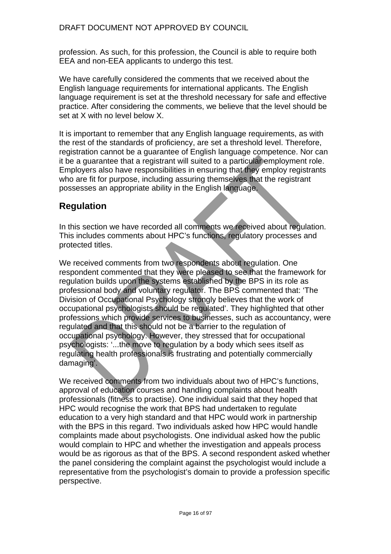profession. As such, for this profession, the Council is able to require both EEA and non-EEA applicants to undergo this test.

We have carefully considered the comments that we received about the English language requirements for international applicants. The English language requirement is set at the threshold necessary for safe and effective practice. After considering the comments, we believe that the level should be set at X with no level below X.

It is important to remember that any English language requirements, as with the rest of the standards of proficiency, are set a threshold level. Therefore, registration cannot be a guarantee of English language competence. Nor can it be a guarantee that a registrant will suited to a particular employment role. Employers also have responsibilities in ensuring that they employ registrants who are fit for purpose, including assuring themselves that the registrant possesses an appropriate ability in the English language.

# **Regulation**

In this section we have recorded all comments we received about regulation. This includes comments about HPC's functions, regulatory processes and protected titles.

We received comments from two respondents about regulation. One respondent commented that they were pleased to see that the framework for regulation builds upon the systems established by the BPS in its role as professional body and voluntary regulator. The BPS commented that: 'The Division of Occupational Psychology strongly believes that the work of occupational psychologists should be regulated'. They highlighted that other professions which provide services to businesses, such as accountancy, were regulated and that this should not be a barrier to the regulation of occupational psychology. However, they stressed that for occupational psychologists: '...the move to regulation by a body which sees itself as regulating health professionals is frustrating and potentially commercially damaging'.

We received comments from two individuals about two of HPC's functions, approval of education courses and handling complaints about health professionals (fitness to practise). One individual said that they hoped that HPC would recognise the work that BPS had undertaken to regulate education to a very high standard and that HPC would work in partnership with the BPS in this regard. Two individuals asked how HPC would handle complaints made about psychologists. One individual asked how the public would complain to HPC and whether the investigation and appeals process would be as rigorous as that of the BPS. A second respondent asked whether the panel considering the complaint against the psychologist would include a representative from the psychologist's domain to provide a profession specific perspective.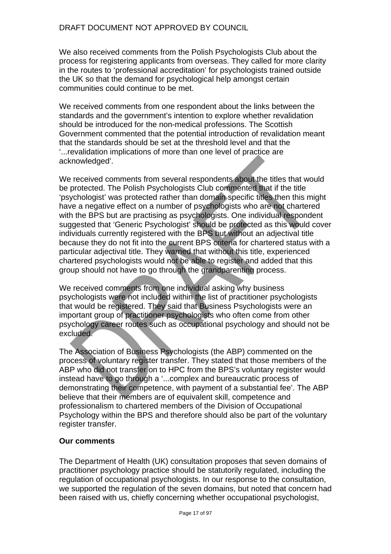We also received comments from the Polish Psychologists Club about the process for registering applicants from overseas. They called for more clarity in the routes to 'professional accreditation' for psychologists trained outside the UK so that the demand for psychological help amongst certain communities could continue to be met.

We received comments from one respondent about the links between the standards and the government's intention to explore whether revalidation should be introduced for the non-medical professions. The Scottish Government commented that the potential introduction of revalidation meant that the standards should be set at the threshold level and that the '...revalidation implications of more than one level of practice are acknowledged'.

We received comments from several respondents about the titles that would be protected. The Polish Psychologists Club commented that if the title 'psychologist' was protected rather than domain specific titles then this might have a negative effect on a number of psychologists who are not chartered with the BPS but are practising as psychologists. One individual respondent suggested that 'Generic Psychologist' should be protected as this would cover individuals currently registered with the BPS but without an adjectival title because they do not fit into the current BPS criteria for chartered status with a particular adjectival title. They warned that without this title, experienced chartered psychologists would not be able to register and added that this group should not have to go through the grandparenting process.

We received comments from one individual asking why business psychologists were not included within the list of practitioner psychologists that would be registered. They said that Business Psychologists were an important group of practitioner psychologists who often come from other psychology career routes such as occupational psychology and should not be excluded.

The Association of Business Psychologists (the ABP) commented on the process of voluntary register transfer. They stated that those members of the ABP who did not transfer on to HPC from the BPS's voluntary register would instead have to go through a '...complex and bureaucratic process of demonstrating their competence, with payment of a substantial fee'. The ABP believe that their members are of equivalent skill, competence and professionalism to chartered members of the Division of Occupational Psychology within the BPS and therefore should also be part of the voluntary register transfer.

### **Our comments**

The Department of Health (UK) consultation proposes that seven domains of practitioner psychology practice should be statutorily regulated, including the regulation of occupational psychologists. In our response to the consultation, we supported the regulation of the seven domains, but noted that concern had been raised with us, chiefly concerning whether occupational psychologist,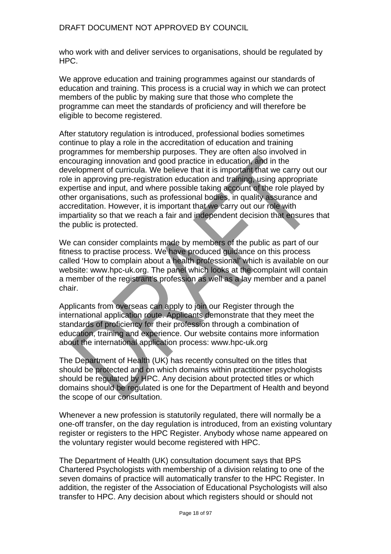### DRAFT DOCUMENT NOT APPROVED BY COUNCIL

who work with and deliver services to organisations, should be regulated by HPC.

We approve education and training programmes against our standards of education and training. This process is a crucial way in which we can protect members of the public by making sure that those who complete the programme can meet the standards of proficiency and will therefore be eligible to become registered.

After statutory regulation is introduced, professional bodies sometimes continue to play a role in the accreditation of education and training programmes for membership purposes. They are often also involved in encouraging innovation and good practice in education, and in the development of curricula. We believe that it is important that we carry out our role in approving pre-registration education and training, using appropriate expertise and input, and where possible taking account of the role played by other organisations, such as professional bodies, in quality assurance and accreditation. However, it is important that we carry out our role with impartiality so that we reach a fair and independent decision that ensures that the public is protected.

We can consider complaints made by members of the public as part of our fitness to practise process. We have produced guidance on this process called 'How to complain about a health professional' which is available on our website: www.hpc-uk.org. The panel which looks at the complaint will contain a member of the registrant's profession as well as a lay member and a panel chair.

Applicants from overseas can apply to join our Register through the international application route. Applicants demonstrate that they meet the standards of proficiency for their profession through a combination of education, training and experience. Our website contains more information about the international application process: www.hpc-uk.org

The Department of Health (UK) has recently consulted on the titles that should be protected and on which domains within practitioner psychologists should be regulated by HPC. Any decision about protected titles or which domains should be regulated is one for the Department of Health and beyond the scope of our consultation.

Whenever a new profession is statutorily regulated, there will normally be a one-off transfer, on the day regulation is introduced, from an existing voluntary register or registers to the HPC Register. Anybody whose name appeared on the voluntary register would become registered with HPC.

The Department of Health (UK) consultation document says that BPS Chartered Psychologists with membership of a division relating to one of the seven domains of practice will automatically transfer to the HPC Register. In addition, the register of the Association of Educational Psychologists will also transfer to HPC. Any decision about which registers should or should not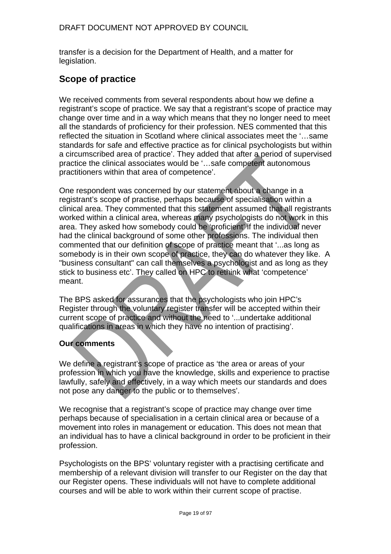transfer is a decision for the Department of Health, and a matter for legislation.

# **Scope of practice**

We received comments from several respondents about how we define a registrant's scope of practice. We say that a registrant's scope of practice may change over time and in a way which means that they no longer need to meet all the standards of proficiency for their profession. NES commented that this reflected the situation in Scotland where clinical associates meet the '…same standards for safe and effective practice as for clinical psychologists but within a circumscribed area of practice'. They added that after a period of supervised practice the clinical associates would be '…safe competent autonomous practitioners within that area of competence'.

One respondent was concerned by our statement about a change in a registrant's scope of practise, perhaps because of specialisation within a clinical area. They commented that this statement assumed that all registrants worked within a clinical area, whereas many psychologists do not work in this area. They asked how somebody could be 'proficient' if the individual never had the clinical background of some other professions. The individual then commented that our definition of scope of practice meant that '...as long as somebody is in their own scope of practice, they can do whatever they like. A "business consultant" can call themselves a psychologist and as long as they stick to business etc'. They called on HPC to rethink what 'competence' meant.

The BPS asked for assurances that the psychologists who join HPC's Register through the voluntary register transfer will be accepted within their current scope of practice and without the need to '...undertake additional qualifications in areas in which they have no intention of practising'.

# **Our comments**

We define a registrant's scope of practice as 'the area or areas of your profession in which you have the knowledge, skills and experience to practise lawfully, safely and effectively, in a way which meets our standards and does not pose any danger to the public or to themselves'.

We recognise that a registrant's scope of practice may change over time perhaps because of specialisation in a certain clinical area or because of a movement into roles in management or education. This does not mean that an individual has to have a clinical background in order to be proficient in their profession.

Psychologists on the BPS' voluntary register with a practising certificate and membership of a relevant division will transfer to our Register on the day that our Register opens. These individuals will not have to complete additional courses and will be able to work within their current scope of practise.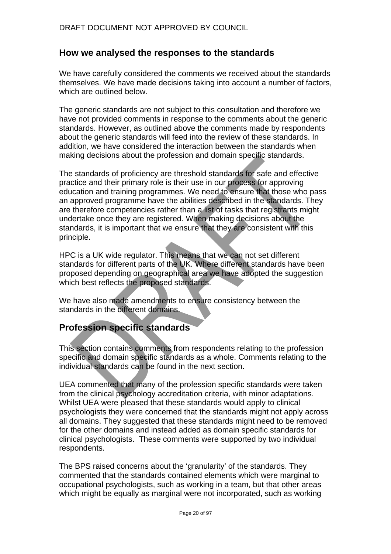# **How we analysed the responses to the standards**

We have carefully considered the comments we received about the standards themselves. We have made decisions taking into account a number of factors, which are outlined below.

The generic standards are not subject to this consultation and therefore we have not provided comments in response to the comments about the generic standards. However, as outlined above the comments made by respondents about the generic standards will feed into the review of these standards. In addition, we have considered the interaction between the standards when making decisions about the profession and domain specific standards.

The standards of proficiency are threshold standards for safe and effective practice and their primary role is their use in our process for approving education and training programmes. We need to ensure that those who pass an approved programme have the abilities described in the standards. They are therefore competencies rather than a list of tasks that registrants might undertake once they are registered. When making decisions about the standards, it is important that we ensure that they are consistent with this principle.

HPC is a UK wide regulator. This means that we can not set different standards for different parts of the UK. Where different standards have been proposed depending on geographical area we have adopted the suggestion which best reflects the proposed standards.

We have also made amendments to ensure consistency between the standards in the different domains.

# **Profession specific standards**

This section contains comments from respondents relating to the profession specific and domain specific standards as a whole. Comments relating to the individual standards can be found in the next section.

UEA commented that many of the profession specific standards were taken from the clinical psychology accreditation criteria, with minor adaptations. Whilst UEA were pleased that these standards would apply to clinical psychologists they were concerned that the standards might not apply across all domains. They suggested that these standards might need to be removed for the other domains and instead added as domain specific standards for clinical psychologists. These comments were supported by two individual respondents.

The BPS raised concerns about the 'granularity' of the standards. They commented that the standards contained elements which were marginal to occupational psychologists, such as working in a team, but that other areas which might be equally as marginal were not incorporated, such as working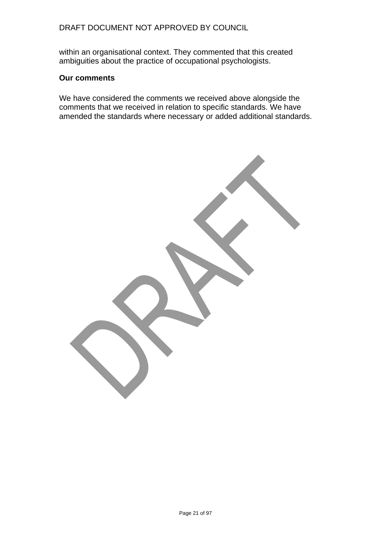# DRAFT DOCUMENT NOT APPROVED BY COUNCIL

within an organisational context. They commented that this created ambiguities about the practice of occupational psychologists.

### **Our comments**

We have considered the comments we received above alongside the comments that we received in relation to specific standards. We have amended the standards where necessary or added additional standards.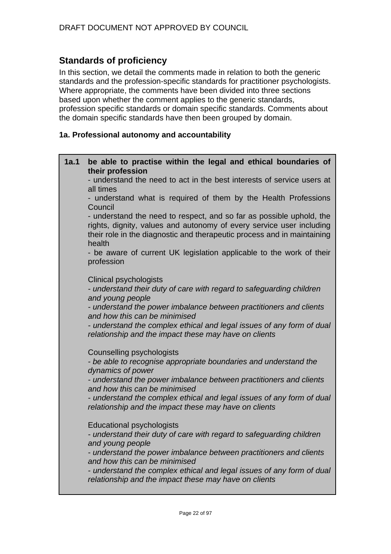# **Standards of proficiency**

In this section, we detail the comments made in relation to both the generic standards and the profession-specific standards for practitioner psychologists. Where appropriate, the comments have been divided into three sections based upon whether the comment applies to the generic standards, profession specific standards or domain specific standards. Comments about the domain specific standards have then been grouped by domain.

# **1a. Professional autonomy and accountability**

| 1a.1 | be able to practise within the legal and ethical boundaries of<br>their profession                                                                                                                                                |
|------|-----------------------------------------------------------------------------------------------------------------------------------------------------------------------------------------------------------------------------------|
|      | - understand the need to act in the best interests of service users at<br>all times                                                                                                                                               |
|      | - understand what is required of them by the Health Professions<br>Council                                                                                                                                                        |
|      | - understand the need to respect, and so far as possible uphold, the<br>rights, dignity, values and autonomy of every service user including<br>their role in the diagnostic and therapeutic process and in maintaining<br>health |
|      | - be aware of current UK legislation applicable to the work of their<br>profession                                                                                                                                                |
|      | <b>Clinical psychologists</b>                                                                                                                                                                                                     |
|      | - understand their duty of care with regard to safeguarding children<br>and young people                                                                                                                                          |
|      | - understand the power imbalance between practitioners and clients<br>and how this can be minimised                                                                                                                               |
|      | - understand the complex ethical and legal issues of any form of dual<br>relationship and the impact these may have on clients                                                                                                    |
|      | Counselling psychologists                                                                                                                                                                                                         |
|      | - be able to recognise appropriate boundaries and understand the<br>dynamics of power                                                                                                                                             |
|      | - understand the power imbalance between practitioners and clients<br>and how this can be minimised                                                                                                                               |
|      | - understand the complex ethical and legal issues of any form of dual<br>relationship and the impact these may have on clients                                                                                                    |
|      | <b>Educational psychologists</b>                                                                                                                                                                                                  |
|      | - understand their duty of care with regard to safeguarding children<br>and young people                                                                                                                                          |
|      | - understand the power imbalance between practitioners and clients<br>and how this can be minimised                                                                                                                               |
|      | - understand the complex ethical and legal issues of any form of dual<br>relationship and the impact these may have on clients                                                                                                    |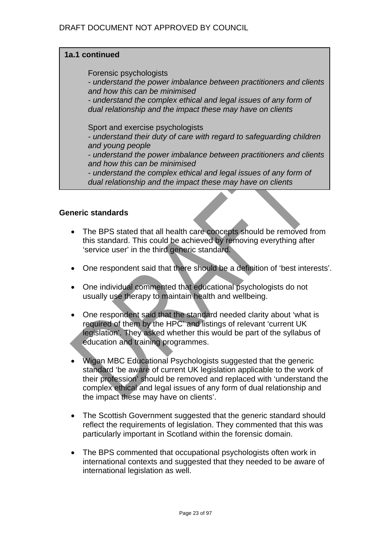# **1a.1 continued**

Forensic psychologists

*- understand the power imbalance between practitioners and clients and how this can be minimised* 

*- understand the complex ethical and legal issues of any form of dual relationship and the impact these may have on clients* 

Sport and exercise psychologists

*- understand their duty of care with regard to safeguarding children and young people* 

*- understand the power imbalance between practitioners and clients and how this can be minimised* 

*- understand the complex ethical and legal issues of any form of dual relationship and the impact these may have on clients* 

### **Generic standards**

- The BPS stated that all health care concepts should be removed from this standard. This could be achieved by removing everything after 'service user' in the third generic standard.
- One respondent said that there should be a definition of 'best interests'.
- One individual commented that educational psychologists do not usually use therapy to maintain health and wellbeing.
- One respondent said that the standard needed clarity about 'what is required of them by the HPC' and listings of relevant 'current UK legislation'. They asked whether this would be part of the syllabus of education and training programmes.
- Wigan MBC Educational Psychologists suggested that the generic standard 'be aware of current UK legislation applicable to the work of their profession' should be removed and replaced with 'understand the complex ethical and legal issues of any form of dual relationship and the impact these may have on clients'.
- The Scottish Government suggested that the generic standard should reflect the requirements of legislation. They commented that this was particularly important in Scotland within the forensic domain.
- The BPS commented that occupational psychologists often work in international contexts and suggested that they needed to be aware of international legislation as well.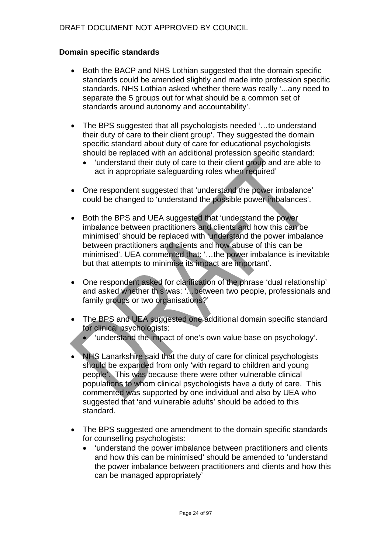# **Domain specific standards**

- Both the BACP and NHS Lothian suggested that the domain specific standards could be amended slightly and made into profession specific standards. NHS Lothian asked whether there was really '...any need to separate the 5 groups out for what should be a common set of standards around autonomy and accountability'.
- The BPS suggested that all psychologists needed '…to understand their duty of care to their client group'. They suggested the domain specific standard about duty of care for educational psychologists should be replaced with an additional profession specific standard:
	- 'understand their duty of care to their client group and are able to act in appropriate safeguarding roles when required'
- One respondent suggested that 'understand the power imbalance' could be changed to 'understand the possible power imbalances'.
- Both the BPS and UEA suggested that 'understand the power imbalance between practitioners and clients and how this can be minimised' should be replaced with 'understand the power imbalance between practitioners and clients and how abuse of this can be minimised'. UEA commented that: '…the power imbalance is inevitable but that attempts to minimise its impact are important'.
- One respondent asked for clarification of the phrase 'dual relationship' and asked whether this was: '…between two people, professionals and family groups or two organisations?'
- The BPS and UEA suggested one additional domain specific standard for clinical psychologists:
	- 'understand the impact of one's own value base on psychology'.
- NHS Lanarkshire said that the duty of care for clinical psychologists should be expanded from only 'with regard to children and young people'. This was because there were other vulnerable clinical populations to whom clinical psychologists have a duty of care. This commented was supported by one individual and also by UEA who suggested that 'and vulnerable adults' should be added to this standard.
- The BPS suggested one amendment to the domain specific standards for counselling psychologists:
	- 'understand the power imbalance between practitioners and clients and how this can be minimised' should be amended to 'understand the power imbalance between practitioners and clients and how this can be managed appropriately'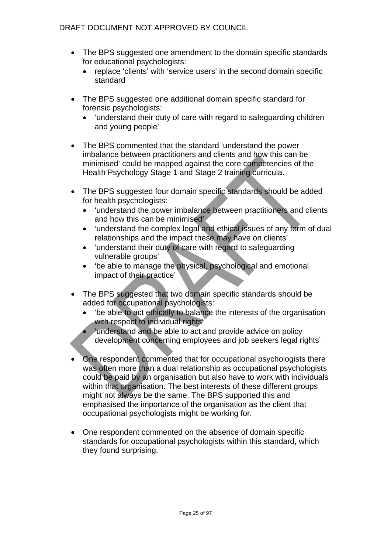- The BPS suggested one amendment to the domain specific standards for educational psychologists:
	- replace 'clients' with 'service users' in the second domain specific standard
- The BPS suggested one additional domain specific standard for forensic psychologists:
	- 'understand their duty of care with regard to safeguarding children and young people'
- The BPS commented that the standard 'understand the power imbalance between practitioners and clients and how this can be minimised' could be mapped against the core competencies of the Health Psychology Stage 1 and Stage 2 training curricula.
- The BPS suggested four domain specific standards should be added for health psychologists:
	- 'understand the power imbalance between practitioners and clients and how this can be minimised'
	- 'understand the complex legal and ethical issues of any form of dual relationships and the impact these may have on clients'
	- 'understand their duty of care with regard to safeguarding vulnerable groups'
	- 'be able to manage the physical, psychological and emotional impact of their practice'
- The BPS suggested that two domain specific standards should be added for occupational psychologists:
	- 'be able to act ethically to balance the interests of the organisation with respect to individual rights'
	- 'understand and be able to act and provide advice on policy development concerning employees and job seekers legal rights'
- One respondent commented that for occupational psychologists there was often more than a dual relationship as occupational psychologists could be paid by an organisation but also have to work with individuals within that organisation. The best interests of these different groups might not always be the same. The BPS supported this and emphasised the importance of the organisation as the client that occupational psychologists might be working for.
- One respondent commented on the absence of domain specific standards for occupational psychologists within this standard, which they found surprising.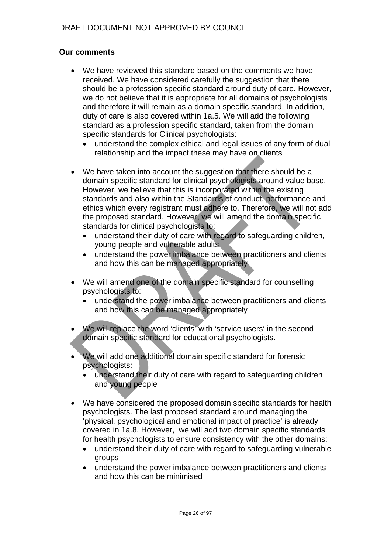# **Our comments**

- We have reviewed this standard based on the comments we have received. We have considered carefully the suggestion that there should be a profession specific standard around duty of care. However, we do not believe that it is appropriate for all domains of psychologists and therefore it will remain as a domain specific standard. In addition, duty of care is also covered within 1a.5. We will add the following standard as a profession specific standard, taken from the domain specific standards for Clinical psychologists:
	- understand the complex ethical and legal issues of any form of dual relationship and the impact these may have on clients
- We have taken into account the suggestion that there should be a domain specific standard for clinical psychologists around value base. However, we believe that this is incorporated within the existing standards and also within the Standards of conduct, performance and ethics which every registrant must adhere to. Therefore, we will not add the proposed standard. However, we will amend the domain specific standards for clinical psychologists to:
	- understand their duty of care with regard to safeguarding children, young people and vulnerable adults
	- understand the power imbalance between practitioners and clients and how this can be managed appropriately
- We will amend one of the domain specific standard for counselling psychologists to:
	- understand the power imbalance between practitioners and clients and how this can be managed appropriately
- We will replace the word 'clients' with 'service users' in the second domain specific standard for educational psychologists.
- We will add one additional domain specific standard for forensic psychologists:
	- understand their duty of care with regard to safeguarding children and young people
- We have considered the proposed domain specific standards for health psychologists. The last proposed standard around managing the 'physical, psychological and emotional impact of practice' is already covered in 1a.8. However, we will add two domain specific standards for health psychologists to ensure consistency with the other domains:
	- understand their duty of care with regard to safeguarding vulnerable groups
	- understand the power imbalance between practitioners and clients and how this can be minimised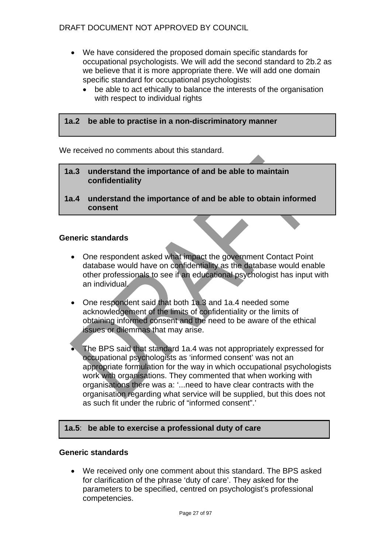# DRAFT DOCUMENT NOT APPROVED BY COUNCIL

- We have considered the proposed domain specific standards for occupational psychologists. We will add the second standard to 2b.2 as we believe that it is more appropriate there. We will add one domain specific standard for occupational psychologists:
	- be able to act ethically to balance the interests of the organisation with respect to individual rights

### **1a.2 be able to practise in a non-discriminatory manner**

We received no comments about this standard.

- **1a.3 understand the importance of and be able to maintain confidentiality**
- **1a.4 understand the importance of and be able to obtain informed consent**

### **Generic standards**

- One respondent asked what impact the government Contact Point database would have on confidentiality as the database would enable other professionals to see if an educational psychologist has input with an individual.
- One respondent said that both 1a.3 and 1a.4 needed some acknowledgement of the limits of confidentiality or the limits of obtaining informed consent and the need to be aware of the ethical issues or dilemmas that may arise.
- The BPS said that standard 1a.4 was not appropriately expressed for occupational psychologists as 'informed consent' was not an appropriate formulation for the way in which occupational psychologists work with organisations. They commented that when working with organisations there was a: '...need to have clear contracts with the organisation regarding what service will be supplied, but this does not as such fit under the rubric of "informed consent".'

### **1a.5**: **be able to exercise a professional duty of care**

### **Generic standards**

• We received only one comment about this standard. The BPS asked for clarification of the phrase 'duty of care'. They asked for the parameters to be specified, centred on psychologist's professional competencies.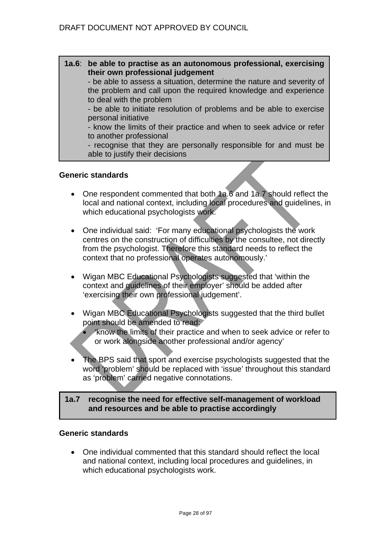**1a.6**: **be able to practise as an autonomous professional, exercising their own professional judgement** 

- be able to assess a situation, determine the nature and severity of the problem and call upon the required knowledge and experience to deal with the problem

- be able to initiate resolution of problems and be able to exercise personal initiative

- know the limits of their practice and when to seek advice or refer to another professional

- recognise that they are personally responsible for and must be able to justify their decisions

### **Generic standards**

- One respondent commented that both 1a.6 and 1a.7 should reflect the local and national context, including local procedures and guidelines, in which educational psychologists work.
- One individual said: 'For many educational psychologists the work centres on the construction of difficulties by the consultee, not directly from the psychologist. Therefore this standard needs to reflect the context that no professional operates autonomously.'
- Wigan MBC Educational Psychologists suggested that 'within the context and guidelines of their employer' should be added after 'exercising their own professional judgement'.
- Wigan MBC Educational Psychologists suggested that the third bullet point should be amended to read:

• 'know the limits of their practice and when to seek advice or refer to or work alongside another professional and/or agency'

• The BPS said that sport and exercise psychologists suggested that the word 'problem' should be replaced with 'issue' throughout this standard as 'problem' carried negative connotations.

### **1a.7 recognise the need for effective self-management of workload and resources and be able to practise accordingly**

### **Generic standards**

• One individual commented that this standard should reflect the local and national context, including local procedures and guidelines, in which educational psychologists work.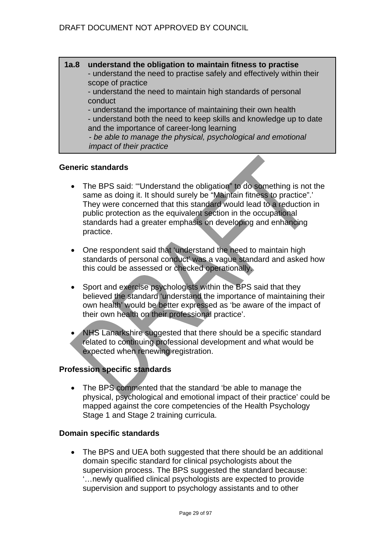# **1a.8 understand the obligation to maintain fitness to practise**

- understand the need to practise safely and effectively within their scope of practice

- understand the need to maintain high standards of personal conduct

- understand the importance of maintaining their own health

- understand both the need to keep skills and knowledge up to date and the importance of career-long learning

*- be able to manage the physical, psychological and emotional impact of their practice*

### **Generic standards**

- The BPS said: '"Understand the obligation" to do something is not the same as doing it. It should surely be "Maintain fitness to practice".' They were concerned that this standard would lead to a reduction in public protection as the equivalent section in the occupational standards had a greater emphasis on developing and enhancing practice.
- One respondent said that 'understand the need to maintain high standards of personal conduct' was a vague standard and asked how this could be assessed or checked operationally.
- Sport and exercise psychologists within the BPS said that they believed the standard 'understand the importance of maintaining their own health' would be better expressed as 'be aware of the impact of their own health on their professional practice'.
- NHS Lanarkshire suggested that there should be a specific standard related to continuing professional development and what would be expected when renewing registration.

# **Profession specific standards**

• The BPS commented that the standard 'be able to manage the physical, psychological and emotional impact of their practice' could be mapped against the core competencies of the Health Psychology Stage 1 and Stage 2 training curricula.

# **Domain specific standards**

• The BPS and UEA both suggested that there should be an additional domain specific standard for clinical psychologists about the supervision process. The BPS suggested the standard because: '…newly qualified clinical psychologists are expected to provide supervision and support to psychology assistants and to other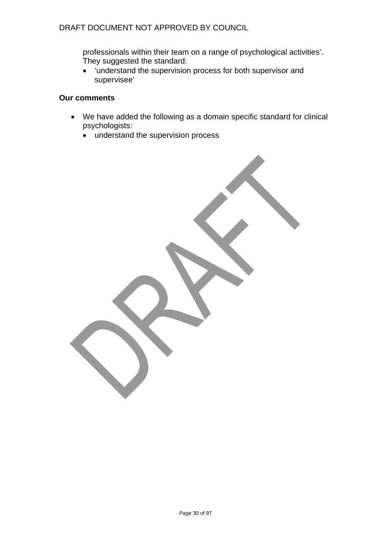# DRAFT DOCUMENT NOT APPROVED BY COUNCIL

professionals within their team on a range of psychological activities'. They suggested the standard:

• 'understand the supervision process for both supervisor and supervisee'

# **Our comments**

- We have added the following as a domain specific standard for clinical psychologists:
	- understand the supervision process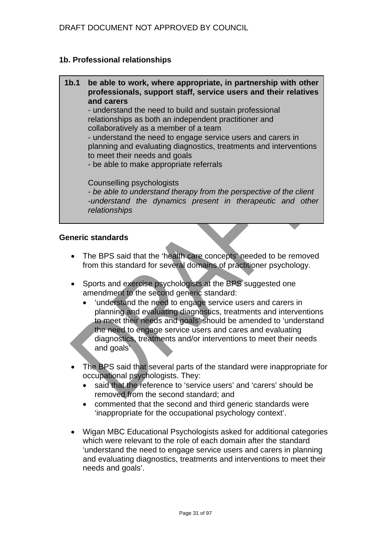# **1b. Professional relationships**

#### **1b.1 be able to work, where appropriate, in partnership with other professionals, support staff, service users and their relatives and carers** - understand the need to build and sustain professional

relationships as both an independent practitioner and collaboratively as a member of a team - understand the need to engage service users and carers in

planning and evaluating diagnostics, treatments and interventions to meet their needs and goals

- be able to make appropriate referrals

Counselling psychologists

*- be able to understand therapy from the perspective of the client -understand the dynamics present in therapeutic and other relationships*

### **Generic standards**

- The BPS said that the 'health care concepts' needed to be removed from this standard for several domains of practitioner psychology.
- Sports and exercise psychologists at the BPS suggested one amendment to the second generic standard:
	- 'understand the need to engage service users and carers in planning and evaluating diagnostics, treatments and interventions to meet their needs and goals' should be amended to 'understand the need to engage service users and cares and evaluating diagnostics, treatments and/or interventions to meet their needs and goals'
- The BPS said that several parts of the standard were inappropriate for occupational psychologists. They:
	- said that the reference to 'service users' and 'carers' should be removed from the second standard; and
	- commented that the second and third generic standards were 'inappropriate for the occupational psychology context'.
- Wigan MBC Educational Psychologists asked for additional categories which were relevant to the role of each domain after the standard 'understand the need to engage service users and carers in planning and evaluating diagnostics, treatments and interventions to meet their needs and goals'.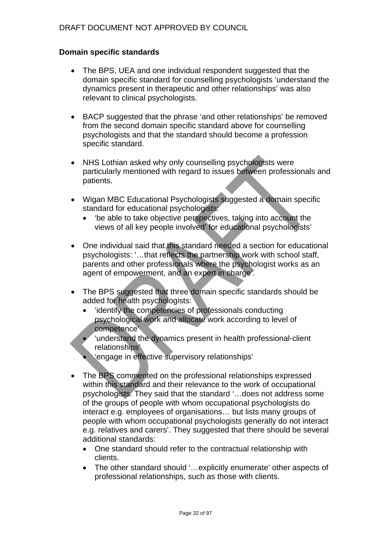# **Domain specific standards**

- The BPS, UEA and one individual respondent suggested that the domain specific standard for counselling psychologists 'understand the dynamics present in therapeutic and other relationships' was also relevant to clinical psychologists.
- BACP suggested that the phrase 'and other relationships' be removed from the second domain specific standard above for counselling psychologists and that the standard should become a profession specific standard.
- NHS Lothian asked why only counselling psychologists were particularly mentioned with regard to issues between professionals and patients.
- Wigan MBC Educational Psychologists suggested a domain specific standard for educational psychologists:
	- 'be able to take objective perspectives, taking into account the views of all key people involved' for educational psychologists'
- One individual said that this standard needed a section for educational psychologists: '…that reflects the partnership work with school staff, parents and other professionals where the psychologist works as an agent of empowerment, and an expert in charge'.
- The BPS suggested that three domain specific standards should be added for health psychologists:
	- 'identify the competencies of professionals conducting psychological work and allocate work according to level of competence'
	- 'understand the dynamics present in health professional-client relationships'
	- 'engage in effective supervisory relationships'
- The BPS commented on the professional relationships expressed within this standard and their relevance to the work of occupational psychologists. They said that the standard '…does not address some of the groups of people with whom occupational psychologists do interact e.g. employees of organisations… but lists many groups of people with whom occupational psychologists generally do not interact e.g. relatives and carers'. They suggested that there should be several additional standards:
	- One standard should refer to the contractual relationship with clients.
	- The other standard should '…explicitly enumerate' other aspects of professional relationships, such as those with clients.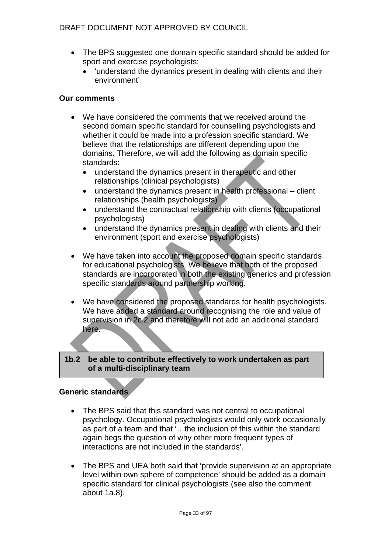# DRAFT DOCUMENT NOT APPROVED BY COUNCIL

- The BPS suggested one domain specific standard should be added for sport and exercise psychologists:
	- 'understand the dynamics present in dealing with clients and their environment'

### **Our comments**

- We have considered the comments that we received around the second domain specific standard for counselling psychologists and whether it could be made into a profession specific standard. We believe that the relationships are different depending upon the domains. Therefore, we will add the following as domain specific standards:
	- understand the dynamics present in therapeutic and other relationships (clinical psychologists)
	- understand the dynamics present in health professional client relationships (health psychologists)
	- understand the contractual relationship with clients (occupational psychologists)
	- understand the dynamics present in dealing with clients and their environment (sport and exercise psychologists)
- We have taken into account the proposed domain specific standards for educational psychologists. We believe that both of the proposed standards are incorporated in both the existing generics and profession specific standards around partnership working.
- We have considered the proposed standards for health psychologists. We have added a standard around recognising the role and value of supervision in 2c.2 and therefore will not add an additional standard here.

#### **1b.2 be able to contribute effectively to work undertaken as part of a multi-disciplinary team**

# **Generic standards**

- The BPS said that this standard was not central to occupational psychology. Occupational psychologists would only work occasionally as part of a team and that '…the inclusion of this within the standard again begs the question of why other more frequent types of interactions are not included in the standards'.
- The BPS and UEA both said that 'provide supervision at an appropriate level within own sphere of competence' should be added as a domain specific standard for clinical psychologists (see also the comment about 1a.8).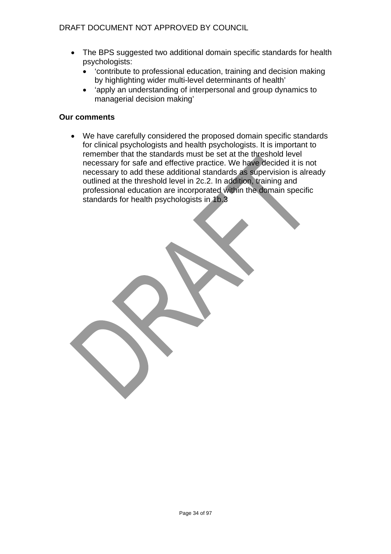- The BPS suggested two additional domain specific standards for health psychologists:
	- 'contribute to professional education, training and decision making by highlighting wider multi-level determinants of health'
	- 'apply an understanding of interpersonal and group dynamics to managerial decision making'

# **Our comments**

• We have carefully considered the proposed domain specific standards for clinical psychologists and health psychologists. It is important to remember that the standards must be set at the threshold level necessary for safe and effective practice. We have decided it is not necessary to add these additional standards as supervision is already outlined at the threshold level in 2c.2. In addition, training and professional education are incorporated within the domain specific standards for health psychologists in 1b.3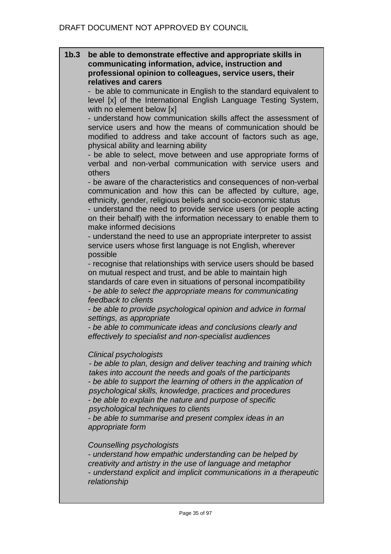### **1b.3 be able to demonstrate effective and appropriate skills in communicating information, advice, instruction and professional opinion to colleagues, service users, their relatives and carers**

be able to communicate in English to the standard equivalent to level [x] of the International English Language Testing System, with no element below [x]

- understand how communication skills affect the assessment of service users and how the means of communication should be modified to address and take account of factors such as age, physical ability and learning ability

- be able to select, move between and use appropriate forms of verbal and non-verbal communication with service users and others

- be aware of the characteristics and consequences of non-verbal communication and how this can be affected by culture, age, ethnicity, gender, religious beliefs and socio-economic status

- understand the need to provide service users (or people acting on their behalf) with the information necessary to enable them to make informed decisions

- understand the need to use an appropriate interpreter to assist service users whose first language is not English, wherever possible

- recognise that relationships with service users should be based on mutual respect and trust, and be able to maintain high standards of care even in situations of personal incompatibility *- be able to select the appropriate means for communicating feedback to clients* 

*- be able to provide psychological opinion and advice in formal settings, as appropriate* 

*- be able to communicate ideas and conclusions clearly and effectively to specialist and non-specialist audiences*

# *Clinical psychologists*

*- be able to plan, design and deliver teaching and training which takes into account the needs and goals of the participants - be able to support the learning of others in the application of psychological skills, knowledge, practices and procedures - be able to explain the nature and purpose of specific psychological techniques to clients* 

*- be able to summarise and present complex ideas in an appropriate form* 

### *Counselling psychologists*

*- understand how empathic understanding can be helped by creativity and artistry in the use of language and metaphor - understand explicit and implicit communications in a therapeutic relationship*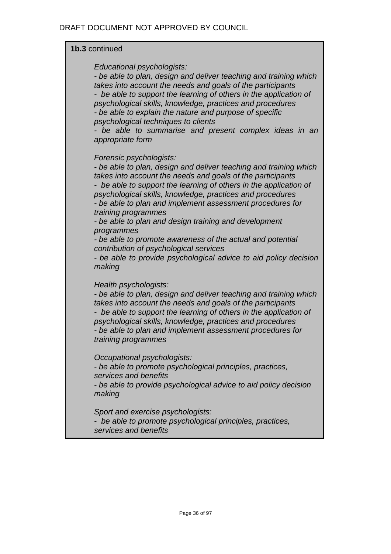# **1b.3** continued

*Educational psychologists:* 

*- be able to plan, design and deliver teaching and training which takes into account the needs and goals of the participants - be able to support the learning of others in the application of psychological skills, knowledge, practices and procedures - be able to explain the nature and purpose of specific psychological techniques to clients* 

*- be able to summarise and present complex ideas in an appropriate form* 

### *Forensic psychologists:*

*- be able to plan, design and deliver teaching and training which takes into account the needs and goals of the participants - be able to support the learning of others in the application of psychological skills, knowledge, practices and procedures - be able to plan and implement assessment procedures for training programmes* 

*- be able to plan and design training and development programmes* 

*- be able to promote awareness of the actual and potential contribution of psychological services* 

*- be able to provide psychological advice to aid policy decision making*

*Health psychologists:* 

*- be able to plan, design and deliver teaching and training which takes into account the needs and goals of the participants - be able to support the learning of others in the application of psychological skills, knowledge, practices and procedures - be able to plan and implement assessment procedures for training programmes* 

*Occupational psychologists:* 

*- be able to promote psychological principles, practices, services and benefits* 

*- be able to provide psychological advice to aid policy decision making* 

*Sport and exercise psychologists:* 

*- be able to promote psychological principles, practices, services and benefits*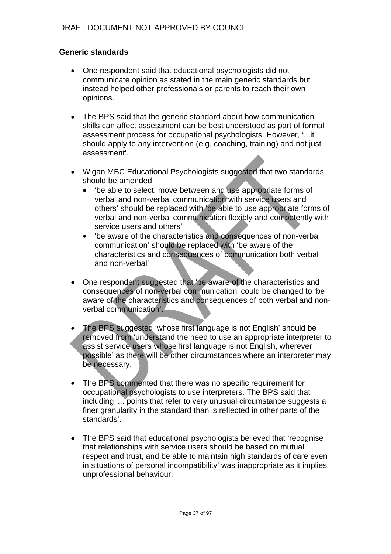# **Generic standards**

- One respondent said that educational psychologists did not communicate opinion as stated in the main generic standards but instead helped other professionals or parents to reach their own opinions.
- The BPS said that the generic standard about how communication skills can affect assessment can be best understood as part of formal assessment process for occupational psychologists. However, '...it should apply to any intervention (e.g. coaching, training) and not just assessment'.
- Wigan MBC Educational Psychologists suggested that two standards should be amended:
	- 'be able to select, move between and use appropriate forms of verbal and non-verbal communication with service users and others' should be replaced with 'be able to use appropriate forms of verbal and non-verbal communication flexibly and competently with service users and others'
	- 'be aware of the characteristics and consequences of non-verbal communication' should be replaced with 'be aware of the characteristics and consequences of communication both verbal and non-verbal'
- One respondent suggested that 'be aware of the characteristics and consequences of non-verbal communication' could be changed to 'be aware of the characteristics and consequences of both verbal and nonverbal communication'.
- The BPS suggested 'whose first language is not English' should be removed from 'understand the need to use an appropriate interpreter to assist service users whose first language is not English, wherever possible' as there will be other circumstances where an interpreter may be necessary.
- The BPS commented that there was no specific requirement for occupational psychologists to use interpreters. The BPS said that including '... points that refer to very unusual circumstance suggests a finer granularity in the standard than is reflected in other parts of the standards'.
- The BPS said that educational psychologists believed that 'recognise that relationships with service users should be based on mutual respect and trust, and be able to maintain high standards of care even in situations of personal incompatibility' was inappropriate as it implies unprofessional behaviour.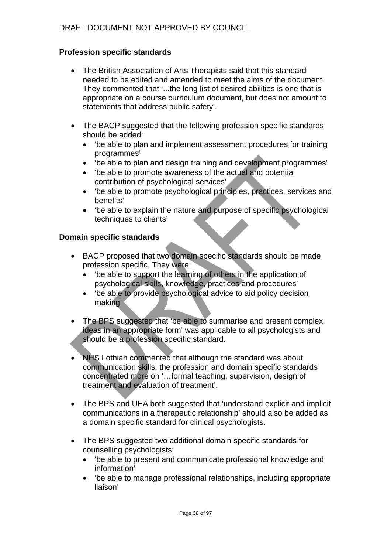# **Profession specific standards**

- The British Association of Arts Therapists said that this standard needed to be edited and amended to meet the aims of the document. They commented that '...the long list of desired abilities is one that is appropriate on a course curriculum document, but does not amount to statements that address public safety'.
- The BACP suggested that the following profession specific standards should be added:
	- 'be able to plan and implement assessment procedures for training programmes'
	- 'be able to plan and design training and development programmes'
	- 'be able to promote awareness of the actual and potential contribution of psychological services'
	- 'be able to promote psychological principles, practices, services and benefits'
	- 'be able to explain the nature and purpose of specific psychological techniques to clients'

### **Domain specific standards**

- BACP proposed that two domain specific standards should be made profession specific. They were:
	- 'be able to support the learning of others in the application of psychological skills, knowledge, practices and procedures'
	- 'be able to provide psychological advice to aid policy decision making'
- The BPS suggested that 'be able to summarise and present complex ideas in an appropriate form' was applicable to all psychologists and should be a profession specific standard.
- NHS Lothian commented that although the standard was about communication skills, the profession and domain specific standards concentrated more on '…formal teaching, supervision, design of treatment and evaluation of treatment'.
- The BPS and UEA both suggested that 'understand explicit and implicit communications in a therapeutic relationship' should also be added as a domain specific standard for clinical psychologists.
- The BPS suggested two additional domain specific standards for counselling psychologists:
	- 'be able to present and communicate professional knowledge and information'
	- 'be able to manage professional relationships, including appropriate liaison'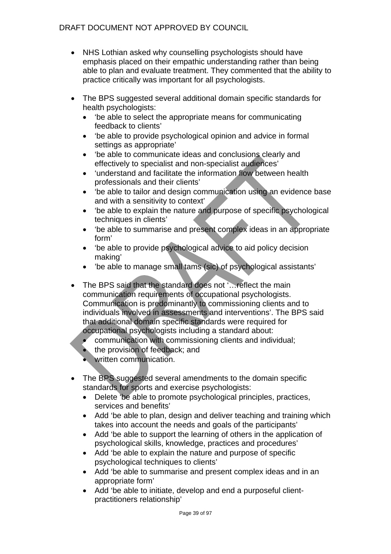- NHS Lothian asked why counselling psychologists should have emphasis placed on their empathic understanding rather than being able to plan and evaluate treatment. They commented that the ability to practice critically was important for all psychologists.
- The BPS suggested several additional domain specific standards for health psychologists:
	- 'be able to select the appropriate means for communicating feedback to clients'
	- 'be able to provide psychological opinion and advice in formal settings as appropriate'
	- 'be able to communicate ideas and conclusions clearly and effectively to specialist and non-specialist audiences'
	- 'understand and facilitate the information flow between health professionals and their clients'
	- 'be able to tailor and design communication using an evidence base and with a sensitivity to context'
	- 'be able to explain the nature and purpose of specific psychological techniques in clients'
	- 'be able to summarise and present complex ideas in an appropriate form'
	- 'be able to provide psychological advice to aid policy decision making'
	- 'be able to manage small tams (sic) of psychological assistants'
- The BPS said that the standard does not '... reflect the main communication requirements of occupational psychologists. Communication is predominantly to commissioning clients and to individuals involved in assessments and interventions'. The BPS said that additional domain specific standards were required for occupational psychologists including a standard about:
	- communication with commissioning clients and individual;
	- the provision of feedback; and
	- written communication.
- The BPS suggested several amendments to the domain specific standards for sports and exercise psychologists:
	- Delete 'be able to promote psychological principles, practices, services and benefits'
	- Add 'be able to plan, design and deliver teaching and training which takes into account the needs and goals of the participants'
	- Add 'be able to support the learning of others in the application of psychological skills, knowledge, practices and procedures'
	- Add 'be able to explain the nature and purpose of specific psychological techniques to clients'
	- Add 'be able to summarise and present complex ideas and in an appropriate form'
	- Add 'be able to initiate, develop and end a purposeful clientpractitioners relationship'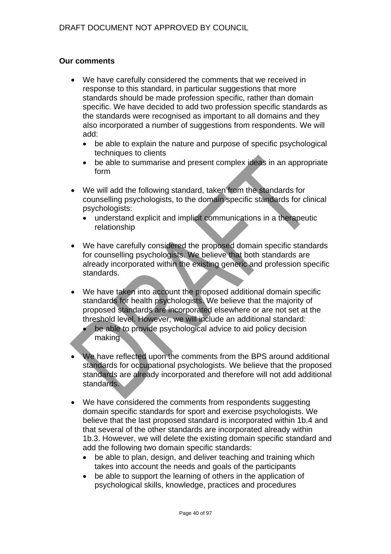### **Our comments**

- We have carefully considered the comments that we received in response to this standard, in particular suggestions that more standards should be made profession specific, rather than domain specific. We have decided to add two profession specific standards as the standards were recognised as important to all domains and they also incorporated a number of suggestions from respondents. We will add:
	- be able to explain the nature and purpose of specific psychological techniques to clients
	- be able to summarise and present complex ideas in an appropriate form
- We will add the following standard, taken from the standards for counselling psychologists, to the domain specific standards for clinical psychologists:
	- understand explicit and implicit communications in a therapeutic relationship
- We have carefully considered the proposed domain specific standards for counselling psychologists. We believe that both standards are already incorporated within the existing generic and profession specific standards.
- We have taken into account the proposed additional domain specific standards for health psychologists. We believe that the majority of proposed standards are incorporated elsewhere or are not set at the threshold level. However, we will include an additional standard:
	- be able to provide psychological advice to aid policy decision making
- We have reflected upon the comments from the BPS around additional standards for occupational psychologists. We believe that the proposed standards are already incorporated and therefore will not add additional standards.
- We have considered the comments from respondents suggesting domain specific standards for sport and exercise psychologists. We believe that the last proposed standard is incorporated within 1b.4 and that several of the other standards are incorporated already within 1b.3. However, we will delete the existing domain specific standard and add the following two domain specific standards:
	- be able to plan, design, and deliver teaching and training which takes into account the needs and goals of the participants
	- be able to support the learning of others in the application of psychological skills, knowledge, practices and procedures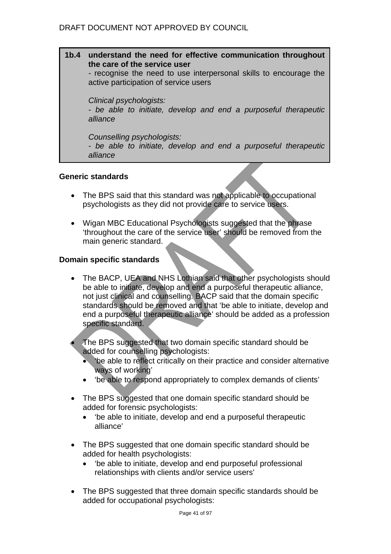**1b.4 understand the need for effective communication throughout the care of the service user**  *-* recognise the need to use interpersonal skills to encourage the active participation of service users *Clinical psychologists: - be able to initiate, develop and end a purposeful therapeutic alliance Counselling psychologists:* 

*- be able to initiate, develop and end a purposeful therapeutic alliance* 

### **Generic standards**

- The BPS said that this standard was not applicable to occupational psychologists as they did not provide care to service users.
- Wigan MBC Educational Psychologists suggested that the phrase 'throughout the care of the service user' should be removed from the main generic standard.

### **Domain specific standards**

- The BACP, UEA and NHS Lothian said that other psychologists should be able to initiate, develop and end a purposeful therapeutic alliance, not just clinical and counselling. BACP said that the domain specific standards should be removed and that 'be able to initiate, develop and end a purposeful therapeutic alliance' should be added as a profession specific standard.
- The BPS suggested that two domain specific standard should be added for counselling psychologists:
	- 'be able to reflect critically on their practice and consider alternative ways of working'
	- 'be able to respond appropriately to complex demands of clients'
- The BPS suggested that one domain specific standard should be added for forensic psychologists:
	- 'be able to initiate, develop and end a purposeful therapeutic alliance'
- The BPS suggested that one domain specific standard should be added for health psychologists:
	- 'be able to initiate, develop and end purposeful professional relationships with clients and/or service users'
- The BPS suggested that three domain specific standards should be added for occupational psychologists: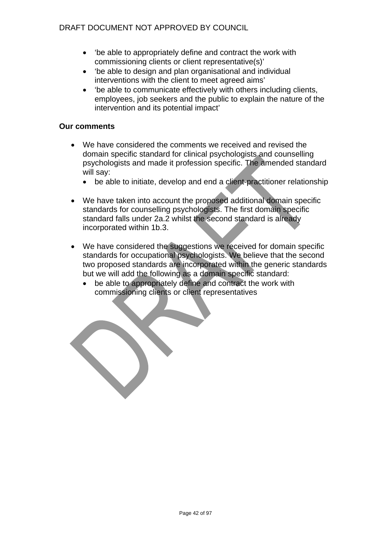- 'be able to appropriately define and contract the work with commissioning clients or client representative(s)'
- 'be able to design and plan organisational and individual interventions with the client to meet agreed aims'
- 'be able to communicate effectively with others including clients, employees, job seekers and the public to explain the nature of the intervention and its potential impact'

# **Our comments**

- We have considered the comments we received and revised the domain specific standard for clinical psychologists and counselling psychologists and made it profession specific. The amended standard will say:
	- be able to initiate, develop and end a client-practitioner relationship
- We have taken into account the proposed additional domain specific standards for counselling psychologists. The first domain specific standard falls under 2a.2 whilst the second standard is already incorporated within 1b.3.
- We have considered the suggestions we received for domain specific standards for occupational psychologists. We believe that the second two proposed standards are incorporated within the generic standards but we will add the following as a domain specific standard:
	- be able to appropriately define and contract the work with commissioning clients or client representatives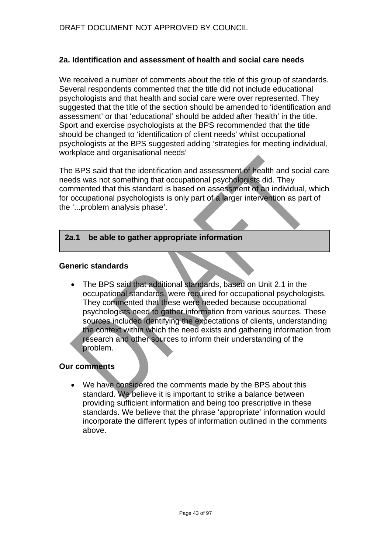# **2a. Identification and assessment of health and social care needs**

We received a number of comments about the title of this group of standards. Several respondents commented that the title did not include educational psychologists and that health and social care were over represented. They suggested that the title of the section should be amended to 'identification and assessment' or that 'educational' should be added after 'health' in the title. Sport and exercise psychologists at the BPS recommended that the title should be changed to 'identification of client needs' whilst occupational psychologists at the BPS suggested adding 'strategies for meeting individual, workplace and organisational needs'

The BPS said that the identification and assessment of health and social care needs was not something that occupational psychologists did. They commented that this standard is based on assessment of an individual, which for occupational psychologists is only part of a larger intervention as part of the '...problem analysis phase'.

#### **2a.1 be able to gather appropriate information**

#### **Generic standards**

• The BPS said that additional standards, based on Unit 2.1 in the occupational standards, were required for occupational psychologists. They commented that these were needed because occupational psychologists need to gather information from various sources. These sources included identifying the expectations of clients, understanding the context within which the need exists and gathering information from research and other sources to inform their understanding of the problem.

### **Our comments**

• We have considered the comments made by the BPS about this standard. We believe it is important to strike a balance between providing sufficient information and being too prescriptive in these standards. We believe that the phrase 'appropriate' information would incorporate the different types of information outlined in the comments above.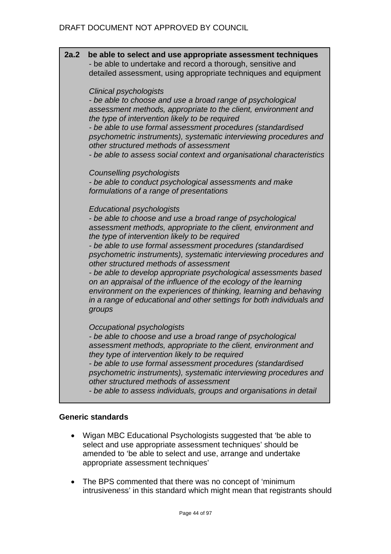**2a.2 be able to select and use appropriate assessment techniques**  - be able to undertake and record a thorough, sensitive and detailed assessment, using appropriate techniques and equipment *Clinical psychologists - be able to choose and use a broad range of psychological assessment methods, appropriate to the client, environment and the type of intervention likely to be required - be able to use formal assessment procedures (standardised psychometric instruments), systematic interviewing procedures and other structured methods of assessment - be able to assess social context and organisational characteristics Counselling psychologists - be able to conduct psychological assessments and make formulations of a range of presentations Educational psychologists - be able to choose and use a broad range of psychological assessment methods, appropriate to the client, environment and the type of intervention likely to be required - be able to use formal assessment procedures (standardised psychometric instruments), systematic interviewing procedures and other structured methods of assessment - be able to develop appropriate psychological assessments based on an appraisal of the influence of the ecology of the learning environment on the experiences of thinking, learning and behaving in a range of educational and other settings for both individuals and groups Occupational psychologists - be able to choose and use a broad range of psychological assessment methods, appropriate to the client, environment and they type of intervention likely to be required - be able to use formal assessment procedures (standardised psychometric instruments), systematic interviewing procedures and other structured methods of assessment - be able to assess individuals, groups and organisations in detail* 

# **Generic standards**

- Wigan MBC Educational Psychologists suggested that 'be able to select and use appropriate assessment techniques' should be amended to 'be able to select and use, arrange and undertake appropriate assessment techniques'
- The BPS commented that there was no concept of 'minimum intrusiveness' in this standard which might mean that registrants should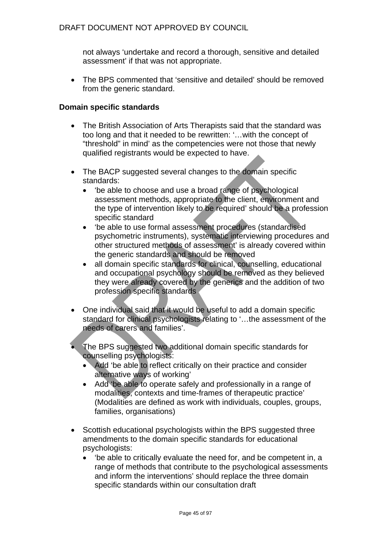not always 'undertake and record a thorough, sensitive and detailed assessment' if that was not appropriate.

• The BPS commented that 'sensitive and detailed' should be removed from the generic standard.

### **Domain specific standards**

- The British Association of Arts Therapists said that the standard was too long and that it needed to be rewritten: '…with the concept of "threshold" in mind' as the competencies were not those that newly qualified registrants would be expected to have.
- The BACP suggested several changes to the domain specific standards:
	- 'be able to choose and use a broad range of psychological assessment methods, appropriate to the client, environment and the type of intervention likely to be required' should be a profession specific standard
	- 'be able to use formal assessment procedures (standardised psychometric instruments), systematic interviewing procedures and other structured methods of assessment' is already covered within the generic standards and should be removed
	- all domain specific standards for clinical, counselling, educational and occupational psychology should be removed as they believed they were already covered by the generics and the addition of two profession specific standards
- One individual said that it would be useful to add a domain specific standard for clinical psychologists relating to '…the assessment of the needs of carers and families'.
- The BPS suggested two additional domain specific standards for counselling psychologists:
	- Add 'be able to reflect critically on their practice and consider alternative ways of working'
	- Add 'be able to operate safely and professionally in a range of modalities, contexts and time-frames of therapeutic practice' (Modalities are defined as work with individuals, couples, groups, families, organisations)
- Scottish educational psychologists within the BPS suggested three amendments to the domain specific standards for educational psychologists:
	- 'be able to critically evaluate the need for, and be competent in, a range of methods that contribute to the psychological assessments and inform the interventions' should replace the three domain specific standards within our consultation draft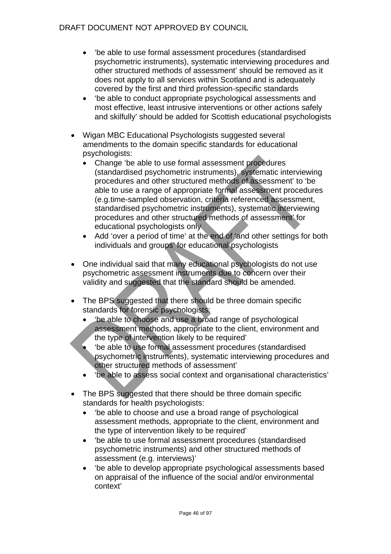- 'be able to use formal assessment procedures (standardised psychometric instruments), systematic interviewing procedures and other structured methods of assessment' should be removed as it does not apply to all services within Scotland and is adequately covered by the first and third profession-specific standards
- 'be able to conduct appropriate psychological assessments and most effective, least intrusive interventions or other actions safely and skilfully' should be added for Scottish educational psychologists
- Wigan MBC Educational Psychologists suggested several amendments to the domain specific standards for educational psychologists:
	- Change 'be able to use formal assessment procedures (standardised psychometric instruments), systematic interviewing procedures and other structured methods of assessment' to 'be able to use a range of appropriate formal assessment procedures (e.g.time-sampled observation, criteria referenced assessment, standardised psychometric instruments), systematic interviewing procedures and other structured methods of assessment' for educational psychologists only
	- Add 'over a period of time' at the end of 'and other settings for both individuals and groups' for educational psychologists
- One individual said that many educational psychologists do not use psychometric assessment instruments due to concern over their validity and suggested that the standard should be amended.
- The BPS suggested that there should be three domain specific standards for forensic psychologists:
	- 'be able to choose and use a broad range of psychological assessment methods, appropriate to the client, environment and the type of intervention likely to be required'
	- 'be able to use formal assessment procedures (standardised psychometric instruments), systematic interviewing procedures and other structured methods of assessment'
	- 'be able to assess social context and organisational characteristics'
- The BPS suggested that there should be three domain specific standards for health psychologists:
	- 'be able to choose and use a broad range of psychological assessment methods, appropriate to the client, environment and the type of intervention likely to be required'
	- 'be able to use formal assessment procedures (standardised psychometric instruments) and other structured methods of assessment (e.g. interviews)'
	- 'be able to develop appropriate psychological assessments based on appraisal of the influence of the social and/or environmental context'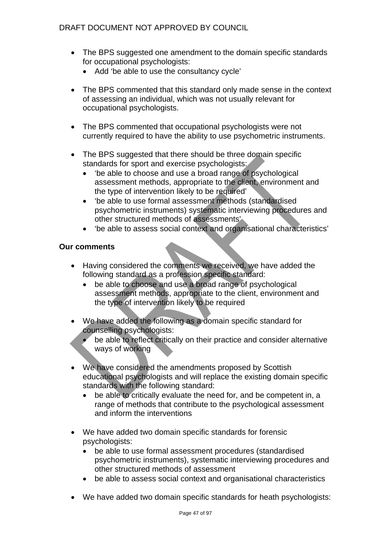- The BPS suggested one amendment to the domain specific standards for occupational psychologists:
	- Add 'be able to use the consultancy cycle'
- The BPS commented that this standard only made sense in the context of assessing an individual, which was not usually relevant for occupational psychologists.
- The BPS commented that occupational psychologists were not currently required to have the ability to use psychometric instruments.
- The BPS suggested that there should be three domain specific standards for sport and exercise psychologists:
	- 'be able to choose and use a broad range of psychological assessment methods, appropriate to the client, environment and the type of intervention likely to be required'
	- 'be able to use formal assessment methods (standardised psychometric instruments) systematic interviewing procedures and other structured methods of assessments'
	- 'be able to assess social context and organisational characteristics'

### **Our comments**

- Having considered the comments we received, we have added the following standard as a profession specific standard:
	- be able to choose and use a broad range of psychological assessment methods, appropriate to the client, environment and the type of intervention likely to be required
- We have added the following as a domain specific standard for counselling psychologists:
	- be able to reflect critically on their practice and consider alternative ways of working
- We have considered the amendments proposed by Scottish educational psychologists and will replace the existing domain specific standards with the following standard:
	- be able to critically evaluate the need for, and be competent in, a range of methods that contribute to the psychological assessment and inform the interventions
- We have added two domain specific standards for forensic psychologists:
	- be able to use formal assessment procedures (standardised psychometric instruments), systematic interviewing procedures and other structured methods of assessment
	- be able to assess social context and organisational characteristics
- We have added two domain specific standards for heath psychologists: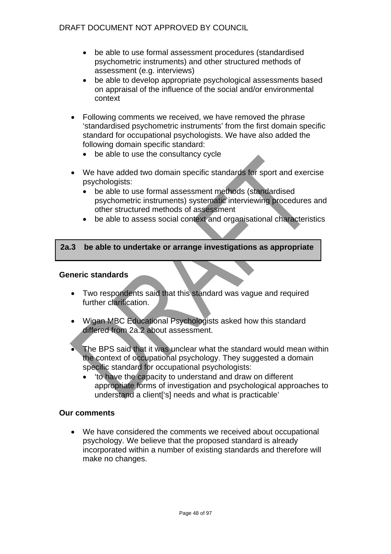- be able to use formal assessment procedures (standardised psychometric instruments) and other structured methods of assessment (e.g. interviews)
- be able to develop appropriate psychological assessments based on appraisal of the influence of the social and/or environmental context
- Following comments we received, we have removed the phrase 'standardised psychometric instruments' from the first domain specific standard for occupational psychologists. We have also added the following domain specific standard:
	- be able to use the consultancy cycle
- We have added two domain specific standards for sport and exercise psychologists:
	- be able to use formal assessment methods (standardised psychometric instruments) systematic interviewing procedures and other structured methods of assessment
	- be able to assess social context and organisational characteristics

### **2a.3 be able to undertake or arrange investigations as appropriate**

### **Generic standards**

- Two respondents said that this standard was vague and required further clarification.
- Wigan MBC Educational Psychologists asked how this standard differed from 2a.2 about assessment.
- The BPS said that it was unclear what the standard would mean within the context of occupational psychology. They suggested a domain specific standard for occupational psychologists:
	- 'to have the capacity to understand and draw on different appropriate forms of investigation and psychological approaches to understand a client['s] needs and what is practicable'

### **Our comments**

• We have considered the comments we received about occupational psychology. We believe that the proposed standard is already incorporated within a number of existing standards and therefore will make no changes.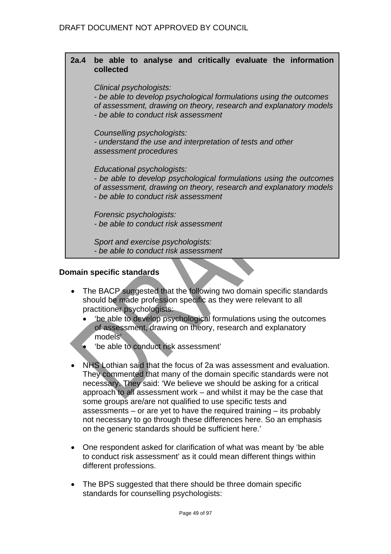### **2a.4 be able to analyse and critically evaluate the information collected**

*Clinical psychologists:* 

*- be able to develop psychological formulations using the outcomes of assessment, drawing on theory, research and explanatory models - be able to conduct risk assessment* 

*Counselling psychologists:* 

*- understand the use and interpretation of tests and other assessment procedures* 

*Educational psychologists:* 

*- be able to develop psychological formulations using the outcomes of assessment, drawing on theory, research and explanatory models - be able to conduct risk assessment* 

*Forensic psychologists: - be able to conduct risk assessment* 

*Sport and exercise psychologists: - be able to conduct risk assessment* 

### **Domain specific standards**

- The BACP suggested that the following two domain specific standards should be made profession specific as they were relevant to all practitioner psychologists:
	- 'be able to develop psychological formulations using the outcomes of assessment, drawing on theory, research and explanatory models'
	- 'be able to conduct risk assessment'
- NHS Lothian said that the focus of 2a was assessment and evaluation. They commented that many of the domain specific standards were not necessary. They said: 'We believe we should be asking for a critical approach to all assessment work – and whilst it may be the case that some groups are/are not qualified to use specific tests and assessments – or are yet to have the required training – its probably not necessary to go through these differences here. So an emphasis on the generic standards should be sufficient here.'
- One respondent asked for clarification of what was meant by 'be able to conduct risk assessment' as it could mean different things within different professions.
- The BPS suggested that there should be three domain specific standards for counselling psychologists: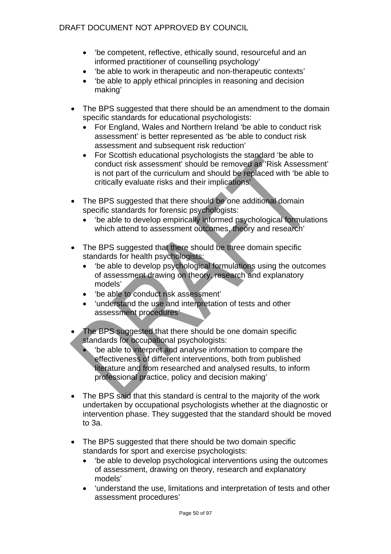- 'be competent, reflective, ethically sound, resourceful and an informed practitioner of counselling psychology'
- 'be able to work in therapeutic and non-therapeutic contexts'
- 'be able to apply ethical principles in reasoning and decision making'
- The BPS suggested that there should be an amendment to the domain specific standards for educational psychologists:
	- For England, Wales and Northern Ireland 'be able to conduct risk assessment' is better represented as 'be able to conduct risk assessment and subsequent risk reduction'
	- For Scottish educational psychologists the standard 'be able to conduct risk assessment' should be removed as 'Risk Assessment' is not part of the curriculum and should be replaced with 'be able to critically evaluate risks and their implications'
- The BPS suggested that there should be one additional domain specific standards for forensic psychologists:
	- 'be able to develop empirically informed psychological formulations which attend to assessment outcomes, theory and research'
- The BPS suggested that there should be three domain specific standards for health psychologists:
	- 'be able to develop psychological formulations using the outcomes of assessment drawing on theory, research and explanatory models'
	- 'be able to conduct risk assessment'
	- 'understand the use and interpretation of tests and other assessment procedures'
- The BPS suggested that there should be one domain specific standards for occupational psychologists:
	- 'be able to interpret and analyse information to compare the effectiveness of different interventions, both from published literature and from researched and analysed results, to inform professional practice, policy and decision making'
- The BPS said that this standard is central to the majority of the work undertaken by occupational psychologists whether at the diagnostic or intervention phase. They suggested that the standard should be moved to 3a.
- The BPS suggested that there should be two domain specific standards for sport and exercise psychologists:
	- 'be able to develop psychological interventions using the outcomes of assessment, drawing on theory, research and explanatory models'
	- 'understand the use, limitations and interpretation of tests and other assessment procedures'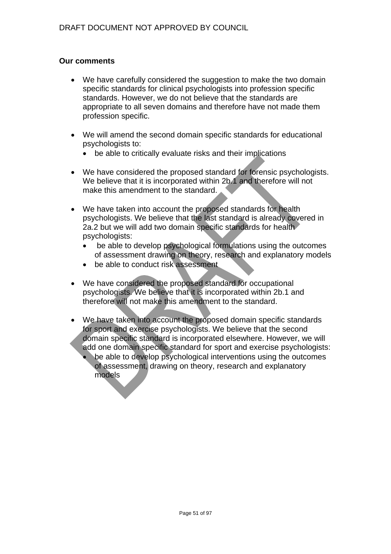- We have carefully considered the suggestion to make the two domain specific standards for clinical psychologists into profession specific standards. However, we do not believe that the standards are appropriate to all seven domains and therefore have not made them profession specific.
- We will amend the second domain specific standards for educational psychologists to:
	- be able to critically evaluate risks and their implications
- We have considered the proposed standard for forensic psychologists. We believe that it is incorporated within 2b.1 and therefore will not make this amendment to the standard.
- We have taken into account the proposed standards for health psychologists. We believe that the last standard is already covered in 2a.2 but we will add two domain specific standards for health psychologists:
	- be able to develop psychological formulations using the outcomes of assessment drawing on theory, research and explanatory models
	- be able to conduct risk assessment
- We have considered the proposed standard for occupational psychologists. We believe that it is incorporated within 2b.1 and therefore will not make this amendment to the standard.
- We have taken into account the proposed domain specific standards for sport and exercise psychologists. We believe that the second domain specific standard is incorporated elsewhere. However, we will add one domain specific standard for sport and exercise psychologists:
	- be able to develop psychological interventions using the outcomes of assessment, drawing on theory, research and explanatory models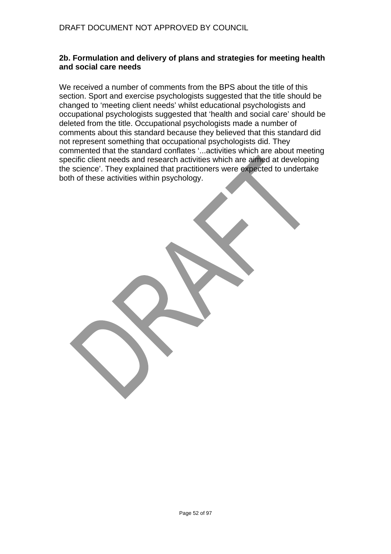#### **2b. Formulation and delivery of plans and strategies for meeting health and social care needs**

We received a number of comments from the BPS about the title of this section. Sport and exercise psychologists suggested that the title should be changed to 'meeting client needs' whilst educational psychologists and occupational psychologists suggested that 'health and social care' should be deleted from the title. Occupational psychologists made a number of comments about this standard because they believed that this standard did not represent something that occupational psychologists did. They commented that the standard conflates '...activities which are about meeting specific client needs and research activities which are aimed at developing the science'. They explained that practitioners were expected to undertake both of these activities within psychology.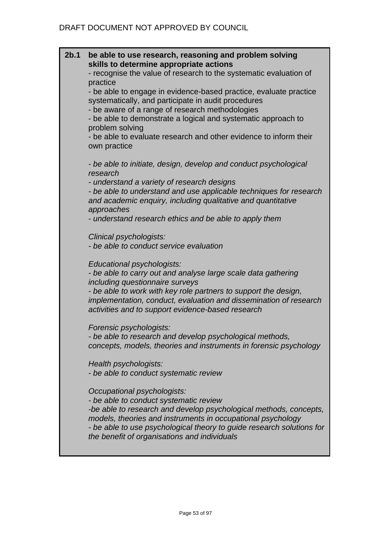| 2b.1 | be able to use research, reasoning and problem solving<br>skills to determine appropriate actions<br>- recognise the value of research to the systematic evaluation of<br>practice                                                                                                                                                 |
|------|------------------------------------------------------------------------------------------------------------------------------------------------------------------------------------------------------------------------------------------------------------------------------------------------------------------------------------|
|      | - be able to engage in evidence-based practice, evaluate practice<br>systematically, and participate in audit procedures<br>- be aware of a range of research methodologies<br>- be able to demonstrate a logical and systematic approach to                                                                                       |
|      | problem solving<br>- be able to evaluate research and other evidence to inform their<br>own practice                                                                                                                                                                                                                               |
|      | - be able to initiate, design, develop and conduct psychological<br>research                                                                                                                                                                                                                                                       |
|      | - understand a variety of research designs<br>- be able to understand and use applicable techniques for research<br>and academic enquiry, including qualitative and quantitative<br>approaches                                                                                                                                     |
|      | - understand research ethics and be able to apply them                                                                                                                                                                                                                                                                             |
|      | Clinical psychologists:<br>- be able to conduct service evaluation                                                                                                                                                                                                                                                                 |
|      | Educational psychologists:<br>- be able to carry out and analyse large scale data gathering<br>including questionnaire surveys<br>- be able to work with key role partners to support the design,                                                                                                                                  |
|      | implementation, conduct, evaluation and dissemination of research<br>activities and to support evidence-based research                                                                                                                                                                                                             |
|      | Forensic psychologists:<br>- be able to research and develop psychological methods,<br>concepts, models, theories and instruments in forensic psychology                                                                                                                                                                           |
|      | Health psychologists:<br>- be able to conduct systematic review                                                                                                                                                                                                                                                                    |
|      | Occupational psychologists:<br>- be able to conduct systematic review<br>-be able to research and develop psychological methods, concepts,<br>models, theories and instruments in occupational psychology<br>- be able to use psychological theory to guide research solutions for<br>the benefit of organisations and individuals |
|      |                                                                                                                                                                                                                                                                                                                                    |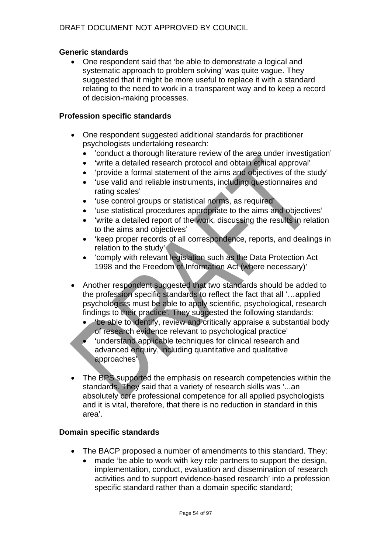# **Generic standards**

• One respondent said that 'be able to demonstrate a logical and systematic approach to problem solving' was quite vague. They suggested that it might be more useful to replace it with a standard relating to the need to work in a transparent way and to keep a record of decision-making processes.

## **Profession specific standards**

- One respondent suggested additional standards for practitioner psychologists undertaking research:
	- 'conduct a thorough literature review of the area under investigation'
	- 'write a detailed research protocol and obtain ethical approval'
	- 'provide a formal statement of the aims and objectives of the study'
	- 'use valid and reliable instruments, including questionnaires and rating scales'
	- 'use control groups or statistical norms, as required'
	- 'use statistical procedures appropriate to the aims and objectives'
	- 'write a detailed report of the work, discussing the results in relation to the aims and objectives'
	- 'keep proper records of all correspondence, reports, and dealings in relation to the study'
	- 'comply with relevant legislation such as the Data Protection Act 1998 and the Freedom of Information Act (where necessary)'
- Another respondent suggested that two standards should be added to the profession specific standards to reflect the fact that all '…applied psychologists must be able to apply scientific, psychological, research findings to their practice'. They suggested the following standards:
	- 'be able to identify, review and critically appraise a substantial body of research evidence relevant to psychological practice'
	- 'understand applicable techniques for clinical research and advanced enquiry, including quantitative and qualitative approaches'
- The BPS supported the emphasis on research competencies within the standards. They said that a variety of research skills was '...an absolutely core professional competence for all applied psychologists and it is vital, therefore, that there is no reduction in standard in this area'.

- The BACP proposed a number of amendments to this standard. They:
	- made 'be able to work with key role partners to support the design, implementation, conduct, evaluation and dissemination of research activities and to support evidence-based research' into a profession specific standard rather than a domain specific standard;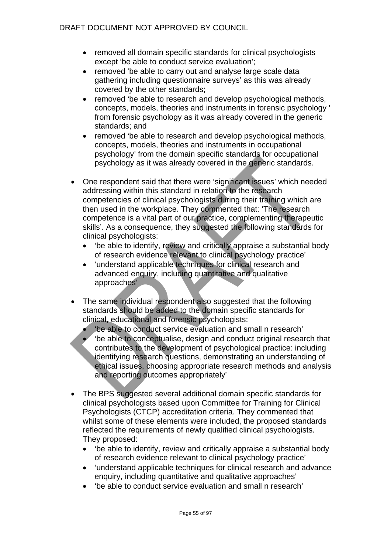- removed all domain specific standards for clinical psychologists except 'be able to conduct service evaluation';
- removed 'be able to carry out and analyse large scale data gathering including questionnaire surveys' as this was already covered by the other standards;
- removed 'be able to research and develop psychological methods, concepts, models, theories and instruments in forensic psychology ' from forensic psychology as it was already covered in the generic standards; and
- removed 'be able to research and develop psychological methods, concepts, models, theories and instruments in occupational psychology' from the domain specific standards for occupational psychology as it was already covered in the generic standards.
- One respondent said that there were 'significant issues' which needed addressing within this standard in relation to the research competencies of clinical psychologists during their training which are then used in the workplace. They commented that: 'The research competence is a vital part of our practice, complementing therapeutic skills'. As a consequence, they suggested the following standards for clinical psychologists:
	- 'be able to identify, review and critically appraise a substantial body of research evidence relevant to clinical psychology practice'
	- 'understand applicable techniques for clinical research and advanced enquiry, including quantitative and qualitative approaches'
- The same individual respondent also suggested that the following standards should be added to the domain specific standards for clinical, educational and forensic psychologists:
	- 'be able to conduct service evaluation and small n research'
	- 'be able to conceptualise, design and conduct original research that contributes to the development of psychological practice: including identifying research questions, demonstrating an understanding of ethical issues, choosing appropriate research methods and analysis and reporting outcomes appropriately'
- The BPS suggested several additional domain specific standards for clinical psychologists based upon Committee for Training for Clinical Psychologists (CTCP) accreditation criteria. They commented that whilst some of these elements were included, the proposed standards reflected the requirements of newly qualified clinical psychologists. They proposed:
	- 'be able to identify, review and critically appraise a substantial body of research evidence relevant to clinical psychology practice'
	- 'understand applicable techniques for clinical research and advance enquiry, including quantitative and qualitative approaches'
	- 'be able to conduct service evaluation and small n research'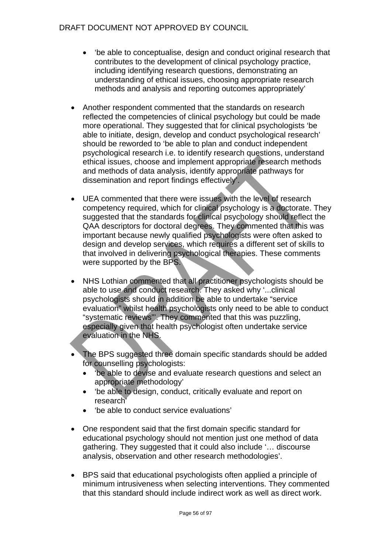- 'be able to conceptualise, design and conduct original research that contributes to the development of clinical psychology practice, including identifying research questions, demonstrating an understanding of ethical issues, choosing appropriate research methods and analysis and reporting outcomes appropriately'
- Another respondent commented that the standards on research reflected the competencies of clinical psychology but could be made more operational. They suggested that for clinical psychologists 'be able to initiate, design, develop and conduct psychological research' should be reworded to 'be able to plan and conduct independent psychological research i.e. to identify research questions, understand ethical issues, choose and implement appropriate research methods and methods of data analysis, identify appropriate pathways for dissemination and report findings effectively'.
- UEA commented that there were issues with the level of research competency required, which for clinical psychology is a doctorate. They suggested that the standards for clinical psychology should reflect the QAA descriptors for doctoral degrees. They commented that this was important because newly qualified psychologists were often asked to design and develop services, which requires a different set of skills to that involved in delivering psychological therapies. These comments were supported by the BPS.
- NHS Lothian commented that all practitioner psychologists should be able to use and conduct research. They asked why '...clinical psychologists should in addition be able to undertake "service evaluation" whilst health psychologists only need to be able to conduct "systematic reviews"'. They commented that this was puzzling, especially given that health psychologist often undertake service evaluation in the NHS.
- The BPS suggested three domain specific standards should be added for counselling psychologists:
	- 'be able to devise and evaluate research questions and select an appropriate methodology'
	- 'be able to design, conduct, critically evaluate and report on research'
	- 'be able to conduct service evaluations'
- One respondent said that the first domain specific standard for educational psychology should not mention just one method of data gathering. They suggested that it could also include '… discourse analysis, observation and other research methodologies'.
- BPS said that educational psychologists often applied a principle of minimum intrusiveness when selecting interventions. They commented that this standard should include indirect work as well as direct work.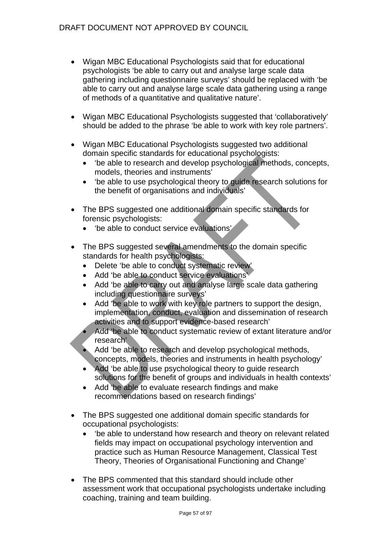- Wigan MBC Educational Psychologists said that for educational psychologists 'be able to carry out and analyse large scale data gathering including questionnaire surveys' should be replaced with 'be able to carry out and analyse large scale data gathering using a range of methods of a quantitative and qualitative nature'.
- Wigan MBC Educational Psychologists suggested that 'collaboratively' should be added to the phrase 'be able to work with key role partners'.
- Wigan MBC Educational Psychologists suggested two additional domain specific standards for educational psychologists:
	- 'be able to research and develop psychological methods, concepts, models, theories and instruments'
	- 'be able to use psychological theory to guide research solutions for the benefit of organisations and individuals'
- The BPS suggested one additional domain specific standards for forensic psychologists:
	- 'be able to conduct service evaluations'
- The BPS suggested several amendments to the domain specific standards for health psychologists:
	- Delete 'be able to conduct systematic review'
	- Add 'be able to conduct service evaluations'
	- Add 'be able to carry out and analyse large scale data gathering including questionnaire surveys'
	- Add 'be able to work with key role partners to support the design, implementation, conduct, evaluation and dissemination of research activities and to support evidence-based research'
	- Add 'be able to conduct systematic review of extant literature and/or research'
	- Add 'be able to research and develop psychological methods, concepts, models, theories and instruments in health psychology'
	- Add 'be able to use psychological theory to guide research solutions for the benefit of groups and individuals in health contexts'
	- Add 'be able to evaluate research findings and make recommendations based on research findings'
- The BPS suggested one additional domain specific standards for occupational psychologists:
	- 'be able to understand how research and theory on relevant related fields may impact on occupational psychology intervention and practice such as Human Resource Management, Classical Test Theory, Theories of Organisational Functioning and Change'
- The BPS commented that this standard should include other assessment work that occupational psychologists undertake including coaching, training and team building.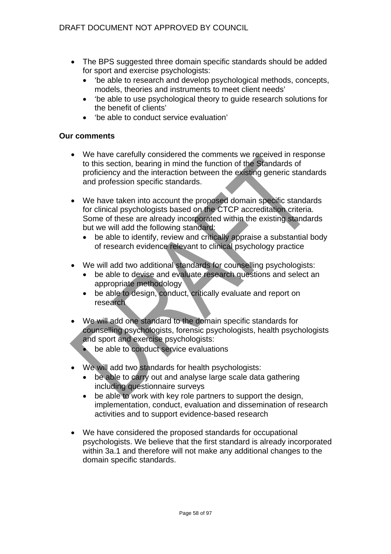- The BPS suggested three domain specific standards should be added for sport and exercise psychologists:
	- 'be able to research and develop psychological methods, concepts, models, theories and instruments to meet client needs'
	- 'be able to use psychological theory to guide research solutions for the benefit of clients'
	- 'be able to conduct service evaluation'

- We have carefully considered the comments we received in response to this section, bearing in mind the function of the Standards of proficiency and the interaction between the existing generic standards and profession specific standards.
- We have taken into account the proposed domain specific standards for clinical psychologists based on the CTCP accreditation criteria. Some of these are already incorporated within the existing standards but we will add the following standard:
	- be able to identify, review and critically appraise a substantial body of research evidence relevant to clinical psychology practice
- We will add two additional standards for counselling psychologists:
	- be able to devise and evaluate research questions and select an appropriate methodology
	- be able to design, conduct, critically evaluate and report on research
- We will add one standard to the domain specific standards for counselling psychologists, forensic psychologists, health psychologists and sport and exercise psychologists:
	- be able to conduct service evaluations
- We will add two standards for health psychologists:
	- be able to carry out and analyse large scale data gathering including questionnaire surveys
	- be able to work with key role partners to support the design, implementation, conduct, evaluation and dissemination of research activities and to support evidence-based research
- We have considered the proposed standards for occupational psychologists. We believe that the first standard is already incorporated within 3a.1 and therefore will not make any additional changes to the domain specific standards.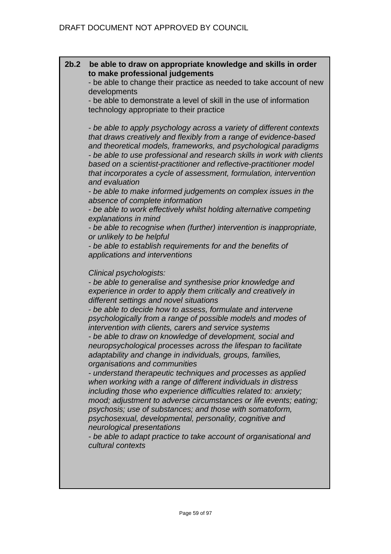## **2b.2 be able to draw on appropriate knowledge and skills in order to make professional judgements**

- be able to change their practice as needed to take account of new developments

- be able to demonstrate a level of skill in the use of information technology appropriate to their practice

*- be able to apply psychology across a variety of different contexts that draws creatively and flexibly from a range of evidence-based and theoretical models, frameworks, and psychological paradigms - be able to use professional and research skills in work with clients based on a scientist-practitioner and reflective-practitioner model that incorporates a cycle of assessment, formulation, intervention and evaluation* 

*- be able to make informed judgements on complex issues in the absence of complete information* 

*- be able to work effectively whilst holding alternative competing explanations in mind* 

*- be able to recognise when (further) intervention is inappropriate, or unlikely to be helpful* 

*- be able to establish requirements for and the benefits of applications and interventions* 

### *Clinical psychologists:*

*- be able to generalise and synthesise prior knowledge and experience in order to apply them critically and creatively in different settings and novel situations* 

*- be able to decide how to assess, formulate and intervene psychologically from a range of possible models and modes of intervention with clients, carers and service systems - be able to draw on knowledge of development, social and* 

*neuropsychological processes across the lifespan to facilitate adaptability and change in individuals, groups, families, organisations and communities* 

*- understand therapeutic techniques and processes as applied when working with a range of different individuals in distress including those who experience difficulties related to: anxiety; mood; adjustment to adverse circumstances or life events; eating; psychosis; use of substances; and those with somatoform, psychosexual, developmental, personality, cognitive and neurological presentations* 

*- be able to adapt practice to take account of organisational and cultural contexts*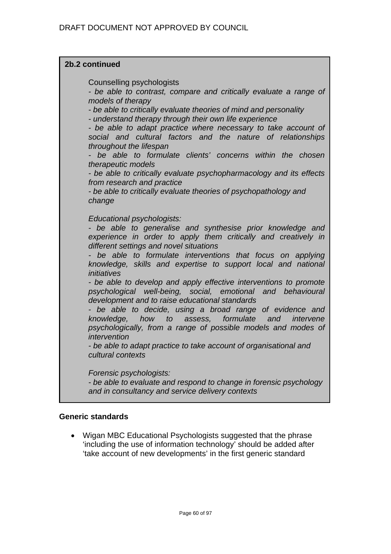## **2b.2 continued**

Counselling psychologists

*- be able to contrast, compare and critically evaluate a range of models of therapy* 

*- be able to critically evaluate theories of mind and personality* 

*- understand therapy through their own life experience* 

*- be able to adapt practice where necessary to take account of social and cultural factors and the nature of relationships throughout the lifespan* 

*- be able to formulate clients' concerns within the chosen therapeutic models* 

*- be able to critically evaluate psychopharmacology and its effects from research and practice* 

*- be able to critically evaluate theories of psychopathology and change* 

### *Educational psychologists:*

*- be able to generalise and synthesise prior knowledge and experience in order to apply them critically and creatively in different settings and novel situations* 

*- be able to formulate interventions that focus on applying knowledge, skills and expertise to support local and national initiatives* 

*- be able to develop and apply effective interventions to promote psychological well-being, social, emotional and behavioural development and to raise educational standards* 

*- be able to decide, using a broad range of evidence and knowledge, how to assess, formulate and intervene psychologically, from a range of possible models and modes of intervention* 

*- be able to adapt practice to take account of organisational and cultural contexts* 

*Forensic psychologists:* 

*- be able to evaluate and respond to change in forensic psychology and in consultancy and service delivery contexts*

### **Generic standards**

• Wigan MBC Educational Psychologists suggested that the phrase 'including the use of information technology' should be added after 'take account of new developments' in the first generic standard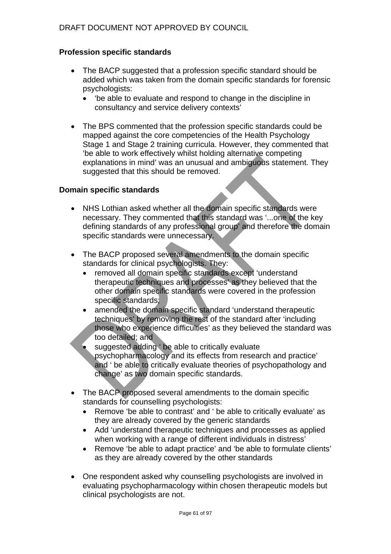# DRAFT DOCUMENT NOT APPROVED BY COUNCIL

## **Profession specific standards**

- The BACP suggested that a profession specific standard should be added which was taken from the domain specific standards for forensic psychologists:
	- 'be able to evaluate and respond to change in the discipline in consultancy and service delivery contexts'
- The BPS commented that the profession specific standards could be mapped against the core competencies of the Health Psychology Stage 1 and Stage 2 training curricula. However, they commented that 'be able to work effectively whilst holding alternative competing explanations in mind' was an unusual and ambiguous statement. They suggested that this should be removed.

- NHS Lothian asked whether all the domain specific standards were necessary. They commented that this standard was '...one of the key defining standards of any professional group' and therefore the domain specific standards were unnecessary.
- The BACP proposed several amendments to the domain specific standards for clinical psychologists. They:
	- removed all domain specific standards except 'understand therapeutic techniques and processes' as they believed that the other domain specific standards were covered in the profession specific standards;
	- amended the domain specific standard 'understand therapeutic techniques' by removing the rest of the standard after 'including those who experience difficulties' as they believed the standard was too detailed; and
	- suggested adding ' be able to critically evaluate psychopharmacology and its effects from research and practice' and ' be able to critically evaluate theories of psychopathology and change' as two domain specific standards.
- The BACP proposed several amendments to the domain specific standards for counselling psychologists:
	- Remove 'be able to contrast' and ' be able to critically evaluate' as they are already covered by the generic standards
	- Add 'understand therapeutic techniques and processes as applied when working with a range of different individuals in distress'
	- Remove 'be able to adapt practice' and 'be able to formulate clients' as they are already covered by the other standards
- One respondent asked why counselling psychologists are involved in evaluating psychopharmacology within chosen therapeutic models but clinical psychologists are not.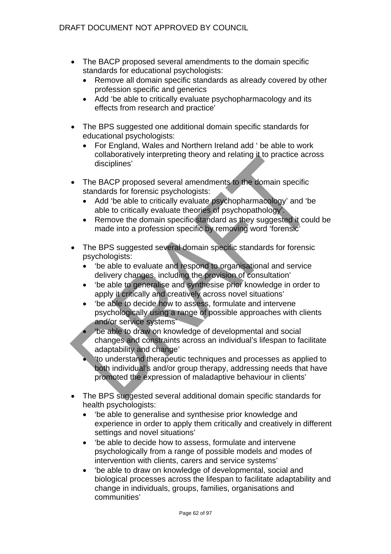- The BACP proposed several amendments to the domain specific standards for educational psychologists:
	- Remove all domain specific standards as already covered by other profession specific and generics
	- Add 'be able to critically evaluate psychopharmacology and its effects from research and practice'
- The BPS suggested one additional domain specific standards for educational psychologists:
	- For England, Wales and Northern Ireland add ' be able to work collaboratively interpreting theory and relating it to practice across disciplines'
- The BACP proposed several amendments to the domain specific standards for forensic psychologists:
	- Add 'be able to critically evaluate psychopharmacology' and 'be able to critically evaluate theories of psychopathology'.
	- Remove the domain specific standard as they suggested it could be made into a profession specific by removing word 'forensic'
- The BPS suggested several domain specific standards for forensic psychologists:
	- 'be able to evaluate and respond to organisational and service delivery changes, including the provision of consultation'
	- 'be able to generalise and synthesise prior knowledge in order to apply it critically and creatively across novel situations'
	- 'be able to decide how to assess, formulate and intervene psychologically using a range of possible approaches with clients and/or service systems'
	- 'be able to draw on knowledge of developmental and social changes and constraints across an individual's lifespan to facilitate adaptability and change'
	- 'to understand therapeutic techniques and processes as applied to both individual's and/or group therapy, addressing needs that have promoted the expression of maladaptive behaviour in clients'
- The BPS suggested several additional domain specific standards for health psychologists:
	- 'be able to generalise and synthesise prior knowledge and experience in order to apply them critically and creatively in different settings and novel situations'
	- 'be able to decide how to assess, formulate and intervene psychologically from a range of possible models and modes of intervention with clients, carers and service systems'
	- 'be able to draw on knowledge of developmental, social and biological processes across the lifespan to facilitate adaptability and change in individuals, groups, families, organisations and communities'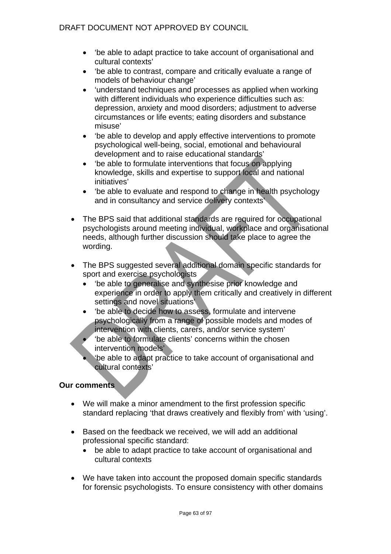- 'be able to adapt practice to take account of organisational and cultural contexts'
- 'be able to contrast, compare and critically evaluate a range of models of behaviour change'
- 'understand techniques and processes as applied when working with different individuals who experience difficulties such as: depression, anxiety and mood disorders; adjustment to adverse circumstances or life events; eating disorders and substance misuse'
- 'be able to develop and apply effective interventions to promote psychological well-being, social, emotional and behavioural development and to raise educational standards'
- 'be able to formulate interventions that focus on applying knowledge, skills and expertise to support local and national initiatives'
- 'be able to evaluate and respond to change in health psychology and in consultancy and service delivery contexts'
- The BPS said that additional standards are required for occupational psychologists around meeting individual, workplace and organisational needs, although further discussion should take place to agree the wording.
- The BPS suggested several additional domain specific standards for sport and exercise psychologists
	- 'be able to generalise and synthesise prior knowledge and experience in order to apply them critically and creatively in different settings and novel situations'
	- 'be able to decide how to assess, formulate and intervene psychologically from a range of possible models and modes of intervention with clients, carers, and/or service system'
	- 'be able to formulate clients' concerns within the chosen intervention models'
	- 'be able to adapt practice to take account of organisational and cultural contexts'

- We will make a minor amendment to the first profession specific standard replacing 'that draws creatively and flexibly from' with 'using'.
- Based on the feedback we received, we will add an additional professional specific standard:
	- be able to adapt practice to take account of organisational and cultural contexts
- We have taken into account the proposed domain specific standards for forensic psychologists. To ensure consistency with other domains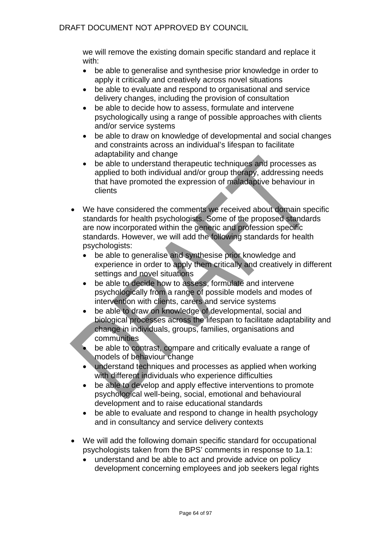we will remove the existing domain specific standard and replace it with:

- be able to generalise and synthesise prior knowledge in order to apply it critically and creatively across novel situations
- be able to evaluate and respond to organisational and service delivery changes, including the provision of consultation
- be able to decide how to assess, formulate and intervene psychologically using a range of possible approaches with clients and/or service systems
- be able to draw on knowledge of developmental and social changes and constraints across an individual's lifespan to facilitate adaptability and change
- be able to understand therapeutic techniques and processes as applied to both individual and/or group therapy, addressing needs that have promoted the expression of maladaptive behaviour in clients
- We have considered the comments we received about domain specific standards for health psychologists. Some of the proposed standards are now incorporated within the generic and profession specific standards. However, we will add the following standards for health psychologists:
	- be able to generalise and synthesise prior knowledge and experience in order to apply them critically and creatively in different settings and novel situations
	- be able to decide how to assess, formulate and intervene psychologically from a range of possible models and modes of intervention with clients, carers and service systems
	- be able to draw on knowledge of developmental, social and biological processes across the lifespan to facilitate adaptability and change in individuals, groups, families, organisations and communities
	- be able to contrast, compare and critically evaluate a range of models of behaviour change
	- understand techniques and processes as applied when working with different individuals who experience difficulties
	- be able to develop and apply effective interventions to promote psychological well-being, social, emotional and behavioural development and to raise educational standards
	- be able to evaluate and respond to change in health psychology and in consultancy and service delivery contexts
- We will add the following domain specific standard for occupational psychologists taken from the BPS' comments in response to 1a.1:
	- understand and be able to act and provide advice on policy development concerning employees and job seekers legal rights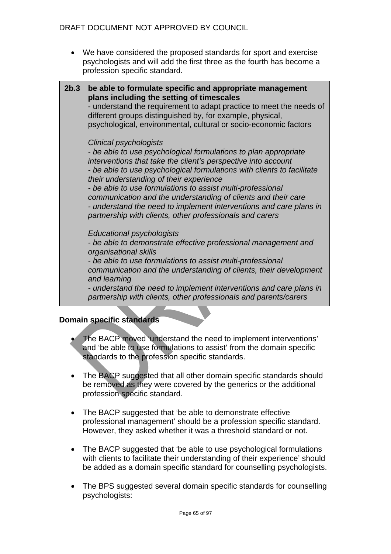• We have considered the proposed standards for sport and exercise psychologists and will add the first three as the fourth has become a profession specific standard.



*- understand the need to implement interventions and care plans in partnership with clients, other professionals and parents/carers* 

- The BACP moved 'understand the need to implement interventions' and 'be able to use formulations to assist' from the domain specific standards to the profession specific standards.
- The BACP suggested that all other domain specific standards should be removed as they were covered by the generics or the additional profession specific standard.
- The BACP suggested that 'be able to demonstrate effective professional management' should be a profession specific standard. However, they asked whether it was a threshold standard or not.
- The BACP suggested that 'be able to use psychological formulations with clients to facilitate their understanding of their experience' should be added as a domain specific standard for counselling psychologists.
- The BPS suggested several domain specific standards for counselling psychologists: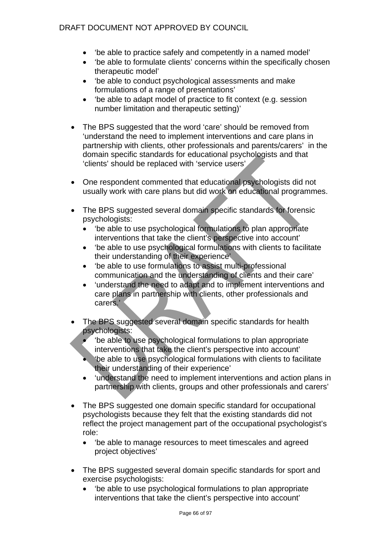- 'be able to practice safely and competently in a named model'
- 'be able to formulate clients' concerns within the specifically chosen therapeutic model'
- 'be able to conduct psychological assessments and make formulations of a range of presentations'
- 'be able to adapt model of practice to fit context (e.g. session number limitation and therapeutic setting)'
- The BPS suggested that the word 'care' should be removed from 'understand the need to implement interventions and care plans in partnership with clients, other professionals and parents/carers' in the domain specific standards for educational psychologists and that 'clients' should be replaced with 'service users'
- One respondent commented that educational psychologists did not usually work with care plans but did work on educational programmes.
- The BPS suggested several domain specific standards for forensic psychologists:
	- 'be able to use psychological formulations to plan appropriate interventions that take the client's perspective into account'
	- 'be able to use psychological formulations with clients to facilitate their understanding of their experience'
	- 'be able to use formulations to assist multi-professional communication and the understanding of clients and their care'
	- 'understand the need to adapt and to implement interventions and care plans in partnership with clients, other professionals and carers.'
- The BPS suggested several domain specific standards for health psychologists:
	- 'be able to use psychological formulations to plan appropriate interventions that take the client's perspective into account'
	- 'be able to use psychological formulations with clients to facilitate their understanding of their experience'
	- 'understand the need to implement interventions and action plans in partnership with clients, groups and other professionals and carers'
- The BPS suggested one domain specific standard for occupational psychologists because they felt that the existing standards did not reflect the project management part of the occupational psychologist's role:
	- 'be able to manage resources to meet timescales and agreed project objectives'
- The BPS suggested several domain specific standards for sport and exercise psychologists:
	- 'be able to use psychological formulations to plan appropriate interventions that take the client's perspective into account'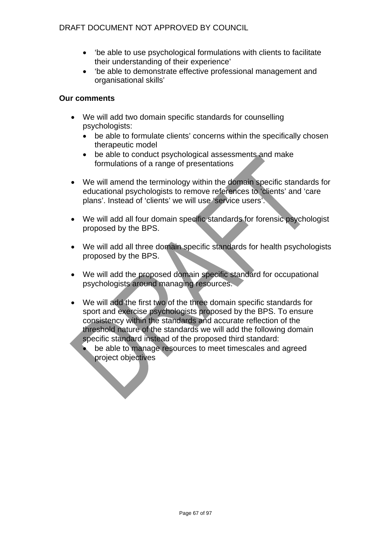- 'be able to use psychological formulations with clients to facilitate their understanding of their experience'
- 'be able to demonstrate effective professional management and organisational skills'

- We will add two domain specific standards for counselling psychologists:
	- be able to formulate clients' concerns within the specifically chosen therapeutic model
	- be able to conduct psychological assessments and make formulations of a range of presentations
- We will amend the terminology within the domain specific standards for educational psychologists to remove references to 'clients' and 'care plans'. Instead of 'clients' we will use 'service users'.
- We will add all four domain specific standards for forensic psychologist proposed by the BPS.
- We will add all three domain specific standards for health psychologists proposed by the BPS.
- We will add the proposed domain specific standard for occupational psychologists around managing resources.
- We will add the first two of the three domain specific standards for sport and exercise psychologists proposed by the BPS. To ensure consistency within the standards and accurate reflection of the threshold nature of the standards we will add the following domain specific standard instead of the proposed third standard:
	- be able to manage resources to meet timescales and agreed project objectives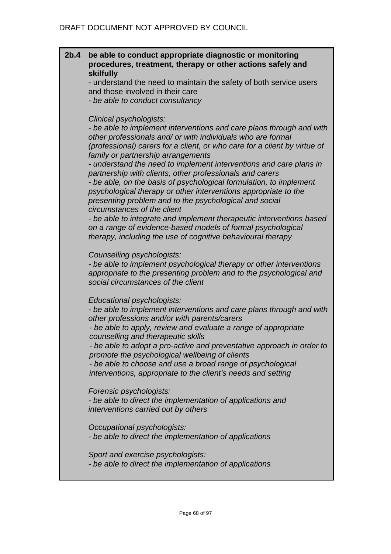## **2b.4 be able to conduct appropriate diagnostic or monitoring procedures, treatment, therapy or other actions safely and skilfully**

- understand the need to maintain the safety of both service users and those involved in their care

*- be able to conduct consultancy* 

## *Clinical psychologists:*

*- be able to implement interventions and care plans through and with other professionals and/ or with individuals who are formal (professional) carers for a client, or who care for a client by virtue of family or partnership arrangements* 

*- understand the need to implement interventions and care plans in partnership with clients, other professionals and carers - be able, on the basis of psychological formulation, to implement* 

*psychological therapy or other interventions appropriate to the presenting problem and to the psychological and social circumstances of the client* 

*- be able to integrate and implement therapeutic interventions based on a range of evidence-based models of formal psychological therapy, including the use of cognitive behavioural therapy*

*Counselling psychologists:* 

*- be able to implement psychological therapy or other interventions appropriate to the presenting problem and to the psychological and social circumstances of the client* 

*Educational psychologists:* 

*- be able to implement interventions and care plans through and with other professions and/or with parents/carers* 

*- be able to apply, review and evaluate a range of appropriate counselling and therapeutic skills* 

*- be able to adopt a pro-active and preventative approach in order to promote the psychological wellbeing of clients* 

*- be able to choose and use a broad range of psychological interventions, appropriate to the client's needs and setting* 

*Forensic psychologists:* 

*- be able to direct the implementation of applications and interventions carried out by others* 

*Occupational psychologists:* 

*- be able to direct the implementation of applications* 

*Sport and exercise psychologists:* 

*- be able to direct the implementation of applications*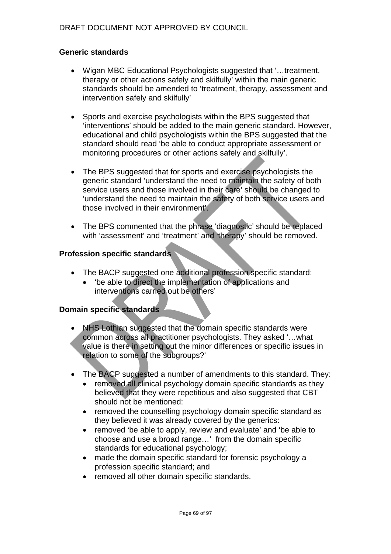## **Generic standards**

- Wigan MBC Educational Psychologists suggested that '…treatment, therapy or other actions safely and skilfully' within the main generic standards should be amended to 'treatment, therapy, assessment and intervention safely and skilfully'
- Sports and exercise psychologists within the BPS suggested that 'interventions' should be added to the main generic standard. However, educational and child psychologists within the BPS suggested that the standard should read 'be able to conduct appropriate assessment or monitoring procedures or other actions safely and skilfully'.
- The BPS suggested that for sports and exercise psychologists the generic standard 'understand the need to maintain the safety of both service users and those involved in their care' should be changed to 'understand the need to maintain the safety of both service users and those involved in their environment'.
- The BPS commented that the phrase 'diagnostic' should be replaced with 'assessment' and 'treatment' and 'therapy' should be removed.

### **Profession specific standards**

- The BACP suggested one additional profession specific standard:
	- 'be able to direct the implementation of applications and interventions carried out be others'

- NHS Lothian suggested that the domain specific standards were common across all practitioner psychologists. They asked '…what value is there in setting out the minor differences or specific issues in relation to some of the subgroups?'
- The BACP suggested a number of amendments to this standard. They:
	- removed all clinical psychology domain specific standards as they believed that they were repetitious and also suggested that CBT should not be mentioned:
	- removed the counselling psychology domain specific standard as they believed it was already covered by the generics:
	- removed 'be able to apply, review and evaluate' and 'be able to choose and use a broad range…' from the domain specific standards for educational psychology;
	- made the domain specific standard for forensic psychology a profession specific standard; and
	- removed all other domain specific standards.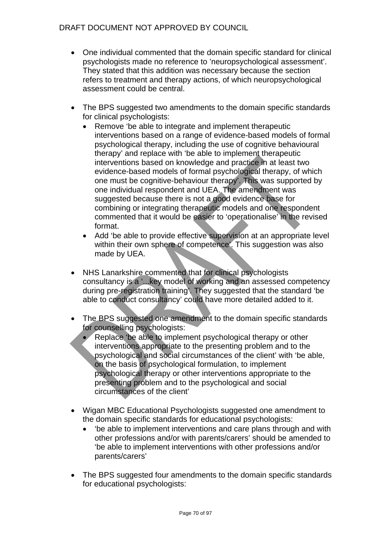- One individual commented that the domain specific standard for clinical psychologists made no reference to 'neuropsychological assessment'. They stated that this addition was necessary because the section refers to treatment and therapy actions, of which neuropsychological assessment could be central.
- The BPS suggested two amendments to the domain specific standards for clinical psychologists:
	- Remove 'be able to integrate and implement therapeutic interventions based on a range of evidence-based models of formal psychological therapy, including the use of cognitive behavioural therapy' and replace with 'be able to implement therapeutic interventions based on knowledge and practice in at least two evidence-based models of formal psychological therapy, of which one must be cognitive-behaviour therapy'. This was supported by one individual respondent and UEA. The amendment was suggested because there is not a good evidence base for combining or integrating therapeutic models and one respondent commented that it would be easier to 'operationalise' in the revised format.
	- Add 'be able to provide effective supervision at an appropriate level within their own sphere of competence'. This suggestion was also made by UEA.
- NHS Lanarkshire commented that for clinical psychologists consultancy is a '...key model of working and an assessed competency during pre-registration training'. They suggested that the standard 'be able to conduct consultancy' could have more detailed added to it.
- The BPS suggested one amendment to the domain specific standards for counselling psychologists:
	- Replace 'be able to implement psychological therapy or other interventions appropriate to the presenting problem and to the psychological and social circumstances of the client' with 'be able, on the basis of psychological formulation, to implement psychological therapy or other interventions appropriate to the presenting problem and to the psychological and social circumstances of the client'
- Wigan MBC Educational Psychologists suggested one amendment to the domain specific standards for educational psychologists:
	- 'be able to implement interventions and care plans through and with other professions and/or with parents/carers' should be amended to 'be able to implement interventions with other professions and/or parents/carers'
- The BPS suggested four amendments to the domain specific standards for educational psychologists: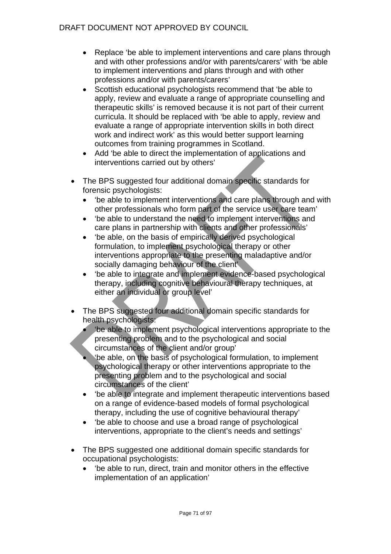- Replace 'be able to implement interventions and care plans through and with other professions and/or with parents/carers' with 'be able to implement interventions and plans through and with other professions and/or with parents/carers'
- Scottish educational psychologists recommend that 'be able to apply, review and evaluate a range of appropriate counselling and therapeutic skills' is removed because it is not part of their current curricula. It should be replaced with 'be able to apply, review and evaluate a range of appropriate intervention skills in both direct work and indirect work' as this would better support learning outcomes from training programmes in Scotland.
- Add 'be able to direct the implementation of applications and interventions carried out by others'
- The BPS suggested four additional domain specific standards for forensic psychologists:
	- 'be able to implement interventions and care plans through and with other professionals who form part of the service user care team'
	- 'be able to understand the need to implement interventions and care plans in partnership with clients and other professionals'
	- 'be able, on the basis of empirically derived psychological formulation, to implement psychological therapy or other interventions appropriate to the presenting maladaptive and/or socially damaging behaviour of the client'
	- 'be able to integrate and implement evidence-based psychological therapy, including cognitive behavioural therapy techniques, at either an individual or group level'
- The BPS suggested four additional domain specific standards for health psychologists:
	- 'be able to implement psychological interventions appropriate to the presenting problem and to the psychological and social circumstances of the client and/or group'
	- 'be able, on the basis of psychological formulation, to implement psychological therapy or other interventions appropriate to the presenting problem and to the psychological and social circumstances of the client'
	- 'be able to integrate and implement therapeutic interventions based on a range of evidence-based models of formal psychological therapy, including the use of cognitive behavioural therapy'
	- 'be able to choose and use a broad range of psychological interventions, appropriate to the client's needs and settings'
- The BPS suggested one additional domain specific standards for occupational psychologists:
	- 'be able to run, direct, train and monitor others in the effective implementation of an application'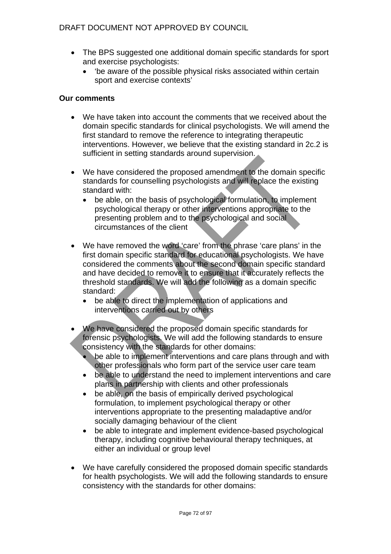- The BPS suggested one additional domain specific standards for sport and exercise psychologists:
	- 'be aware of the possible physical risks associated within certain sport and exercise contexts'

- We have taken into account the comments that we received about the domain specific standards for clinical psychologists. We will amend the first standard to remove the reference to integrating therapeutic interventions. However, we believe that the existing standard in 2c.2 is sufficient in setting standards around supervision.
- We have considered the proposed amendment to the domain specific standards for counselling psychologists and will replace the existing standard with:
	- be able, on the basis of psychological formulation, to implement psychological therapy or other interventions appropriate to the presenting problem and to the psychological and social circumstances of the client
- We have removed the word 'care' from the phrase 'care plans' in the first domain specific standard for educational psychologists. We have considered the comments about the second domain specific standard and have decided to remove it to ensure that it accurately reflects the threshold standards. We will add the following as a domain specific standard:
	- be able to direct the implementation of applications and interventions carried out by others
- We have considered the proposed domain specific standards for forensic psychologists. We will add the following standards to ensure consistency with the standards for other domains:
	- be able to implement interventions and care plans through and with other professionals who form part of the service user care team
	- be able to understand the need to implement interventions and care plans in partnership with clients and other professionals
	- be able, on the basis of empirically derived psychological formulation, to implement psychological therapy or other interventions appropriate to the presenting maladaptive and/or socially damaging behaviour of the client
	- be able to integrate and implement evidence-based psychological therapy, including cognitive behavioural therapy techniques, at either an individual or group level
- We have carefully considered the proposed domain specific standards for health psychologists. We will add the following standards to ensure consistency with the standards for other domains: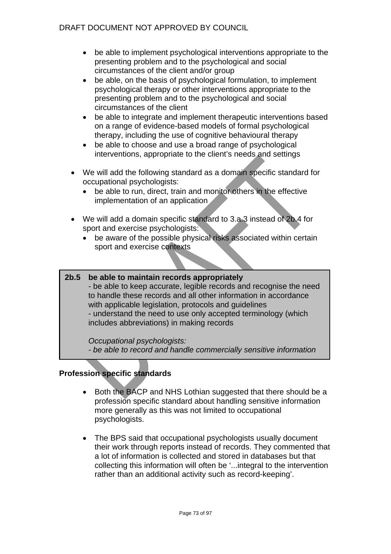- be able to implement psychological interventions appropriate to the presenting problem and to the psychological and social circumstances of the client and/or group
- be able, on the basis of psychological formulation, to implement psychological therapy or other interventions appropriate to the presenting problem and to the psychological and social circumstances of the client
- be able to integrate and implement therapeutic interventions based on a range of evidence-based models of formal psychological therapy, including the use of cognitive behavioural therapy
- be able to choose and use a broad range of psychological interventions, appropriate to the client's needs and settings
- We will add the following standard as a domain specific standard for occupational psychologists:
	- be able to run, direct, train and monitor others in the effective implementation of an application
- We will add a domain specific standard to 3.a.3 instead of 2b.4 for sport and exercise psychologists:
	- be aware of the possible physical risks associated within certain sport and exercise contexts
- **2b.5 be able to maintain records appropriately**  - be able to keep accurate, legible records and recognise the need to handle these records and all other information in accordance with applicable legislation, protocols and guidelines - understand the need to use only accepted terminology (which includes abbreviations) in making records

### *Occupational psychologists:*

*- be able to record and handle commercially sensitive information*

# **Profession specific standards**

- Both the BACP and NHS Lothian suggested that there should be a profession specific standard about handling sensitive information more generally as this was not limited to occupational psychologists.
- The BPS said that occupational psychologists usually document their work through reports instead of records. They commented that a lot of information is collected and stored in databases but that collecting this information will often be '...integral to the intervention rather than an additional activity such as record-keeping'.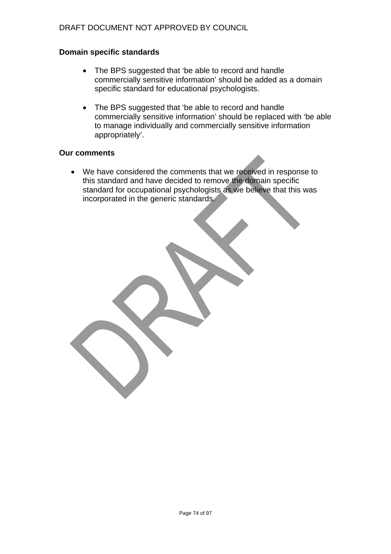## **Domain specific standards**

- The BPS suggested that 'be able to record and handle commercially sensitive information' should be added as a domain specific standard for educational psychologists.
- The BPS suggested that 'be able to record and handle commercially sensitive information' should be replaced with 'be able to manage individually and commercially sensitive information appropriately'.

#### **Our comments**

• We have considered the comments that we received in response to this standard and have decided to remove the domain specific standard for occupational psychologists as we believe that this was incorporated in the generic standards.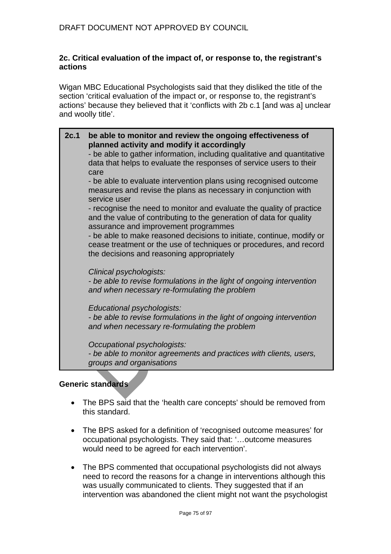## **2c. Critical evaluation of the impact of, or response to, the registrant's actions**

Wigan MBC Educational Psychologists said that they disliked the title of the section 'critical evaluation of the impact or, or response to, the registrant's actions' because they believed that it 'conflicts with 2b c.1 [and was a] unclear and woolly title'.

**2c.1 be able to monitor and review the ongoing effectiveness of planned activity and modify it accordingly**  - be able to gather information, including qualitative and quantitative data that helps to evaluate the responses of service users to their care - be able to evaluate intervention plans using recognised outcome measures and revise the plans as necessary in conjunction with service user - recognise the need to monitor and evaluate the quality of practice and the value of contributing to the generation of data for quality assurance and improvement programmes - be able to make reasoned decisions to initiate, continue, modify or cease treatment or the use of techniques or procedures, and record the decisions and reasoning appropriately *Clinical psychologists: - be able to revise formulations in the light of ongoing intervention and when necessary re-formulating the problem Educational psychologists: - be able to revise formulations in the light of ongoing intervention and when necessary re-formulating the problem Occupational psychologists: - be able to monitor agreements and practices with clients, users, groups and organisations*

### **Generic standards**

- The BPS said that the 'health care concepts' should be removed from this standard.
- The BPS asked for a definition of 'recognised outcome measures' for occupational psychologists. They said that: '…outcome measures would need to be agreed for each intervention'.
- The BPS commented that occupational psychologists did not always need to record the reasons for a change in interventions although this was usually communicated to clients. They suggested that if an intervention was abandoned the client might not want the psychologist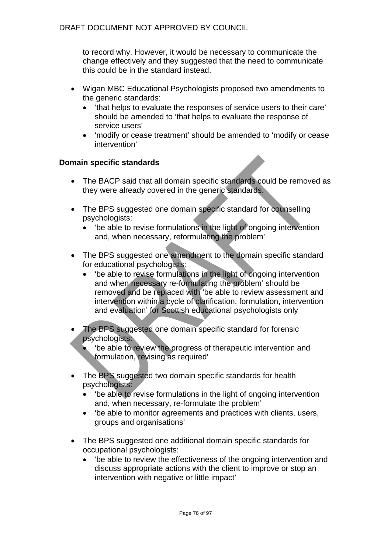to record why. However, it would be necessary to communicate the change effectively and they suggested that the need to communicate this could be in the standard instead.

- Wigan MBC Educational Psychologists proposed two amendments to the generic standards:
	- 'that helps to evaluate the responses of service users to their care' should be amended to 'that helps to evaluate the response of service users'
	- 'modify or cease treatment' should be amended to 'modify or cease intervention'

- The BACP said that all domain specific standards could be removed as they were already covered in the generic standards.
- The BPS suggested one domain specific standard for counselling psychologists:
	- 'be able to revise formulations in the light of ongoing intervention and, when necessary, reformulating the problem'
- The BPS suggested one amendment to the domain specific standard for educational psychologists:
	- 'be able to revise formulations in the light of ongoing intervention and when necessary re-formulating the problem' should be removed and be replaced with 'be able to review assessment and intervention within a cycle of clarification, formulation, intervention and evaluation' for Scottish educational psychologists only
- The BPS suggested one domain specific standard for forensic psychologists:
	- 'be able to review the progress of therapeutic intervention and formulation, revising as required'
- The BPS suggested two domain specific standards for health psychologists:
	- 'be able to revise formulations in the light of ongoing intervention and, when necessary, re-formulate the problem'
	- 'be able to monitor agreements and practices with clients, users, groups and organisations'
- The BPS suggested one additional domain specific standards for occupational psychologists:
	- 'be able to review the effectiveness of the ongoing intervention and discuss appropriate actions with the client to improve or stop an intervention with negative or little impact'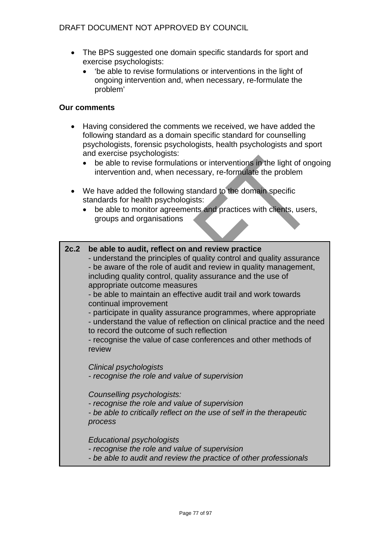# DRAFT DOCUMENT NOT APPROVED BY COUNCIL

- The BPS suggested one domain specific standards for sport and exercise psychologists:
	- 'be able to revise formulations or interventions in the light of ongoing intervention and, when necessary, re-formulate the problem'

### **Our comments**

- Having considered the comments we received, we have added the following standard as a domain specific standard for counselling psychologists, forensic psychologists, health psychologists and sport and exercise psychologists:
	- be able to revise formulations or interventions in the light of ongoing intervention and, when necessary, re-formulate the problem
- We have added the following standard to the domain specific standards for health psychologists:
	- be able to monitor agreements and practices with clients, users, groups and organisations

### **2c.2 be able to audit, reflect on and review practice**

- understand the principles of quality control and quality assurance - be aware of the role of audit and review in quality management, including quality control, quality assurance and the use of appropriate outcome measures

- be able to maintain an effective audit trail and work towards continual improvement

- participate in quality assurance programmes, where appropriate

- understand the value of reflection on clinical practice and the need to record the outcome of such reflection

- recognise the value of case conferences and other methods of review

*Clinical psychologists* 

*- recognise the role and value of supervision* 

*Counselling psychologists:* 

*- recognise the role and value of supervision* 

*- be able to critically reflect on the use of self in the therapeutic process* 

*Educational psychologists* 

- *recognise the role and value of supervision*
- *be able to audit and review the practice of other professionals*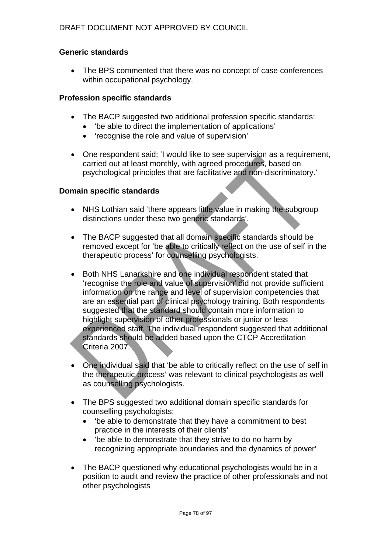# **Generic standards**

• The BPS commented that there was no concept of case conferences within occupational psychology.

## **Profession specific standards**

- The BACP suggested two additional profession specific standards:
	- 'be able to direct the implementation of applications'
	- 'recognise the role and value of supervision'
- One respondent said: 'I would like to see supervision as a requirement, carried out at least monthly, with agreed procedures, based on psychological principles that are facilitative and non-discriminatory.'

- NHS Lothian said 'there appears little value in making the subgroup distinctions under these two generic standards'.
- The BACP suggested that all domain specific standards should be removed except for 'be able to critically reflect on the use of self in the therapeutic process' for counselling psychologists.
- Both NHS Lanarkshire and one individual respondent stated that 'recognise the role and value of supervision' did not provide sufficient information on the range and level of supervision competencies that are an essential part of clinical psychology training. Both respondents suggested that the standard should contain more information to highlight supervision of other professionals or junior or less experienced staff. The individual respondent suggested that additional standards should be added based upon the CTCP Accreditation Criteria 2007.
- One individual said that 'be able to critically reflect on the use of self in the therapeutic process' was relevant to clinical psychologists as well as counselling psychologists.
- The BPS suggested two additional domain specific standards for counselling psychologists:
	- 'be able to demonstrate that they have a commitment to best practice in the interests of their clients'
	- 'be able to demonstrate that they strive to do no harm by recognizing appropriate boundaries and the dynamics of power'
- The BACP questioned why educational psychologists would be in a position to audit and review the practice of other professionals and not other psychologists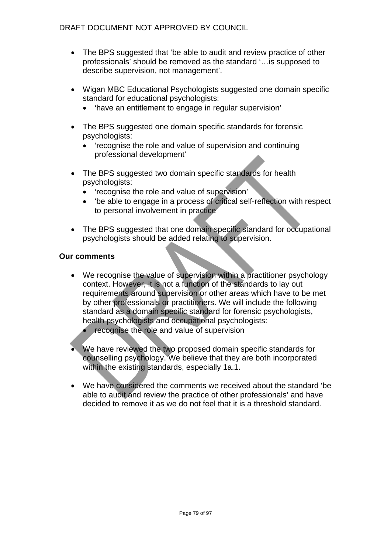- The BPS suggested that 'be able to audit and review practice of other professionals' should be removed as the standard '…is supposed to describe supervision, not management'.
- Wigan MBC Educational Psychologists suggested one domain specific standard for educational psychologists:
	- 'have an entitlement to engage in regular supervision'
- The BPS suggested one domain specific standards for forensic psychologists:
	- 'recognise the role and value of supervision and continuing professional development'
- The BPS suggested two domain specific standards for health psychologists:
	- 'recognise the role and value of supervision'
	- 'be able to engage in a process of critical self-reflection with respect to personal involvement in practice'
- The BPS suggested that one domain specific standard for occupational psychologists should be added relating to supervision.

- We recognise the value of supervision within a practitioner psychology context. However, it is not a function of the standards to lay out requirements around supervision or other areas which have to be met by other professionals or practitioners. We will include the following standard as a domain specific standard for forensic psychologists, health psychologists and occupational psychologists:
	- recognise the role and value of supervision
- We have reviewed the two proposed domain specific standards for counselling psychology. We believe that they are both incorporated within the existing standards, especially 1a.1.
- We have considered the comments we received about the standard 'be able to audit and review the practice of other professionals' and have decided to remove it as we do not feel that it is a threshold standard.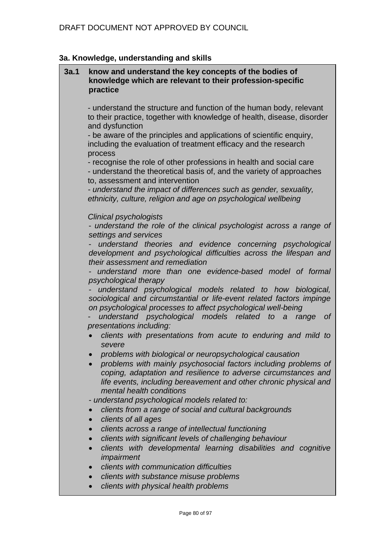# **3a. Knowledge, understanding and skills**

| 3a.1 | know and understand the key concepts of the bodies of<br>knowledge which are relevant to their profession-specific<br>practice                                                                                                                                                                                                                  |
|------|-------------------------------------------------------------------------------------------------------------------------------------------------------------------------------------------------------------------------------------------------------------------------------------------------------------------------------------------------|
|      | - understand the structure and function of the human body, relevant<br>to their practice, together with knowledge of health, disease, disorder<br>and dysfunction                                                                                                                                                                               |
|      | - be aware of the principles and applications of scientific enquiry,<br>including the evaluation of treatment efficacy and the research<br>process                                                                                                                                                                                              |
|      | - recognise the role of other professions in health and social care<br>- understand the theoretical basis of, and the variety of approaches<br>to, assessment and intervention                                                                                                                                                                  |
|      | - understand the impact of differences such as gender, sexuality,<br>ethnicity, culture, religion and age on psychological wellbeing                                                                                                                                                                                                            |
|      | <b>Clinical psychologists</b><br>- understand the role of the clinical psychologist across a range of<br>settings and services                                                                                                                                                                                                                  |
|      | understand theories and evidence concerning psychological<br>development and psychological difficulties across the lifespan and<br>their assessment and remediation                                                                                                                                                                             |
|      | understand more than one evidence-based model of formal<br>psychological therapy                                                                                                                                                                                                                                                                |
|      | understand psychological models related to how biological,<br>sociological and circumstantial or life-event related factors impinge<br>on psychological processes to affect psychological well-being<br>understand psychological models related<br>$\sigma$ f<br>to<br>$\boldsymbol{a}$<br>range<br>presentations including:                    |
|      | clients with presentations from acute to enduring and mild to<br>severe                                                                                                                                                                                                                                                                         |
|      | problems with biological or neuropsychological causation<br>problems with mainly psychosocial factors including problems of<br>coping, adaptation and resilience to adverse circumstances and<br>life events, including bereavement and other chronic physical and<br>mental health conditions<br>- understand psychological models related to: |
|      | clients from a range of social and cultural backgrounds<br>clients of all ages                                                                                                                                                                                                                                                                  |
|      | clients across a range of intellectual functioning<br>clients with significant levels of challenging behaviour<br>clients with developmental learning disabilities and cognitive<br>impairment                                                                                                                                                  |
|      | clients with communication difficulties<br>clients with substance misuse problems                                                                                                                                                                                                                                                               |
|      | clients with physical health problems                                                                                                                                                                                                                                                                                                           |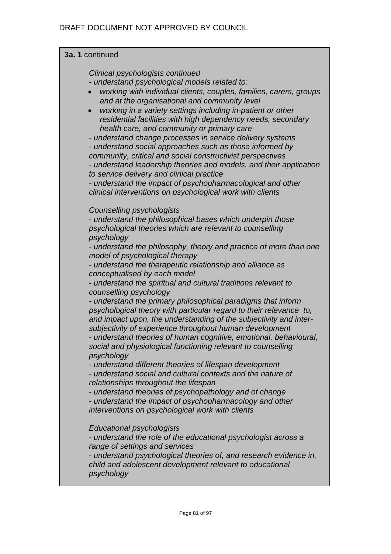| 3a. 1 continued                                                                                                                                                                                                                                                                                                                                                                                                                                                                                                                                                                                                                                                                                                                                                                                                                                                                                                                                                                                                                                                                                                                                                                                                                              |  |  |
|----------------------------------------------------------------------------------------------------------------------------------------------------------------------------------------------------------------------------------------------------------------------------------------------------------------------------------------------------------------------------------------------------------------------------------------------------------------------------------------------------------------------------------------------------------------------------------------------------------------------------------------------------------------------------------------------------------------------------------------------------------------------------------------------------------------------------------------------------------------------------------------------------------------------------------------------------------------------------------------------------------------------------------------------------------------------------------------------------------------------------------------------------------------------------------------------------------------------------------------------|--|--|
| Clinical psychologists continued<br>- understand psychological models related to:<br>working with individual clients, couples, families, carers, groups<br>and at the organisational and community level<br>working in a variety settings including in-patient or other<br>residential facilities with high dependency needs, secondary<br>health care, and community or primary care<br>- understand change processes in service delivery systems<br>- understand social approaches such as those informed by<br>community, critical and social constructivist perspectives<br>- understand leadership theories and models, and their application<br>to service delivery and clinical practice<br>- understand the impact of psychopharmacological and other<br>clinical interventions on psychological work with clients                                                                                                                                                                                                                                                                                                                                                                                                                   |  |  |
| <b>Counselling psychologists</b><br>- understand the philosophical bases which underpin those<br>psychological theories which are relevant to counselling<br>psychology<br>- understand the philosophy, theory and practice of more than one<br>model of psychological therapy<br>- understand the therapeutic relationship and alliance as<br>conceptualised by each model<br>- understand the spiritual and cultural traditions relevant to<br>counselling psychology<br>- understand the primary philosophical paradigms that inform<br>psychological theory with particular regard to their relevance to,<br>and impact upon, the understanding of the subjectivity and inter-<br>subjectivity of experience throughout human development<br>- understand theories of human cognitive, emotional, behavioural,<br>social and physiological functioning relevant to counselling<br>psychology<br>- understand different theories of lifespan development<br>- understand social and cultural contexts and the nature of<br>relationships throughout the lifespan<br>- understand theories of psychopathology and of change<br>- understand the impact of psychopharmacology and other<br>interventions on psychological work with clients |  |  |
| Educational psychologists<br>- understand the role of the educational psychologist across a<br>range of settings and services<br>- understand psychological theories of, and research evidence in,<br>child and adolescent development relevant to educational<br>psychology                                                                                                                                                                                                                                                                                                                                                                                                                                                                                                                                                                                                                                                                                                                                                                                                                                                                                                                                                                 |  |  |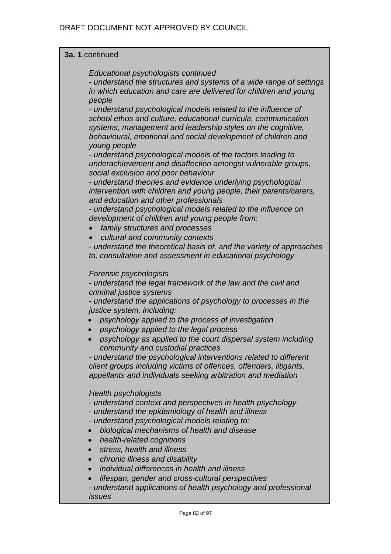## **3a. 1** continued

*Educational psychologists continued* 

*- understand the structures and systems of a wide range of settings in which education and care are delivered for children and young people* 

*- understand psychological models related to the influence of school ethos and culture, educational curricula, communication systems, management and leadership styles on the cognitive, behavioural, emotional and social development of children and young people* 

*- understand psychological models of the factors leading to underachievement and disaffection amongst vulnerable groups, social exclusion and poor behaviour* 

*- understand theories and evidence underlying psychological intervention with children and young people, their parents/carers, and education and other professionals* 

*- understand psychological models related to the influence on development of children and young people from:* 

- *family structures and processes*
- *cultural and community contexts*

*- understand the theoretical basis of, and the variety of approaches to, consultation and assessment in educational psychology* 

### *Forensic psychologists*

*- understand the legal framework of the law and the civil and criminal justice systems* 

*- understand the applications of psychology to processes in the justice system, including:* 

- *psychology applied to the process of investigation*
- *psychology applied to the legal process*
- *psychology as applied to the court dispersal system including community and custodial practices*

*- understand the psychological interventions related to different client groups including victims of offences, offenders, litigants, appellants and individuals seeking arbitration and mediation* 

### *Health psychologists*

*- understand context and perspectives in health psychology* 

- *understand the epidemiology of health and illness*
- *understand psychological models relating to:*
- *biological mechanisms of health and disease*
- *health-related cognitions*
- *stress, health and illness*
- *chronic illness and disability*
- *individual differences in health and illness*
- *lifespan, gender and cross-cultural perspectives*

*- understand applications of health psychology and professional issues*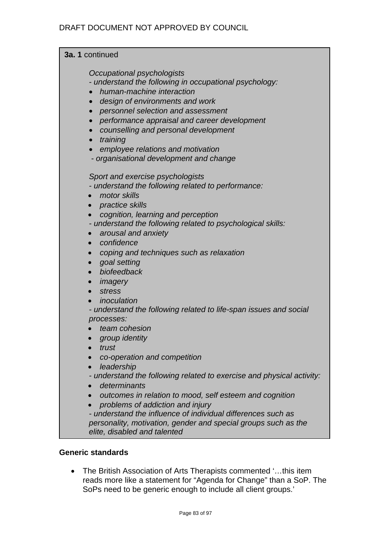| 3a. 1 continued                                                                                                                                                                                                                                                                                                                                                                                                                                                                                                                                                                                                                             |  |  |
|---------------------------------------------------------------------------------------------------------------------------------------------------------------------------------------------------------------------------------------------------------------------------------------------------------------------------------------------------------------------------------------------------------------------------------------------------------------------------------------------------------------------------------------------------------------------------------------------------------------------------------------------|--|--|
| Occupational psychologists<br>- understand the following in occupational psychology:<br>human-machine interaction<br>design of environments and work<br>$\bullet$<br>personnel selection and assessment<br>$\bullet$<br>performance appraisal and career development<br>$\bullet$<br>counselling and personal development<br>$\bullet$<br>training<br>employee relations and motivation                                                                                                                                                                                                                                                     |  |  |
| - organisational development and change<br>Sport and exercise psychologists<br>- understand the following related to performance:<br>motor skills<br>• practice skills<br>cognition, learning and perception<br>$\bullet$<br>- understand the following related to psychological skills:<br>arousal and anxiety<br>$\bullet$<br>confidence<br>$\bullet$<br>coping and techniques such as relaxation<br>$\bullet$<br>goal setting<br>$\bullet$<br>biofeedback<br>$\bullet$<br>imagery<br>$\bullet$<br>stress<br>$\bullet$<br>inoculation<br>- understand the following related to life-span issues and social<br>processes:<br>team cohesion |  |  |
| group identity<br>trust<br>co-operation and competition<br>leadership<br>- understand the following related to exercise and physical activity:<br>determinants<br>outcomes in relation to mood, self esteem and cognition<br>$\bullet$<br>problems of addiction and injury<br>- understand the influence of individual differences such as                                                                                                                                                                                                                                                                                                  |  |  |

*personality, motivation, gender and special groups such as the elite, disabled and talented*

# **Generic standards**

• The British Association of Arts Therapists commented '…this item reads more like a statement for "Agenda for Change" than a SoP. The SoPs need to be generic enough to include all client groups.'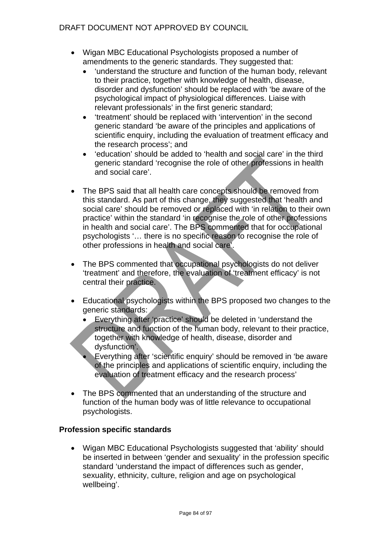# DRAFT DOCUMENT NOT APPROVED BY COUNCIL

- Wigan MBC Educational Psychologists proposed a number of amendments to the generic standards. They suggested that:
	- 'understand the structure and function of the human body, relevant to their practice, together with knowledge of health, disease, disorder and dysfunction' should be replaced with 'be aware of the psychological impact of physiological differences. Liaise with relevant professionals' in the first generic standard;
	- 'treatment' should be replaced with 'intervention' in the second generic standard 'be aware of the principles and applications of scientific enquiry, including the evaluation of treatment efficacy and the research process'; and
	- 'education' should be added to 'health and social care' in the third generic standard 'recognise the role of other professions in health and social care'.
- The BPS said that all health care concepts should be removed from this standard. As part of this change, they suggested that 'health and social care' should be removed or replaced with 'in relation to their own practice' within the standard 'in recognise the role of other professions in health and social care'. The BPS commented that for occupational psychologists '… there is no specific reason to recognise the role of other professions in health and social care'.
- The BPS commented that occupational psychologists do not deliver 'treatment' and therefore, the evaluation of 'treatment efficacy' is not central their practice.
- Educational psychologists within the BPS proposed two changes to the generic standards:
	- Everything after 'practice' should be deleted in 'understand the structure and function of the human body, relevant to their practice, together with knowledge of health, disease, disorder and dysfunction'.
	- Everything after 'scientific enquiry' should be removed in 'be aware of the principles and applications of scientific enquiry, including the evaluation of treatment efficacy and the research process'
- The BPS commented that an understanding of the structure and function of the human body was of little relevance to occupational psychologists.

# **Profession specific standards**

• Wigan MBC Educational Psychologists suggested that 'ability' should be inserted in between 'gender and sexuality' in the profession specific standard 'understand the impact of differences such as gender, sexuality, ethnicity, culture, religion and age on psychological wellbeing'.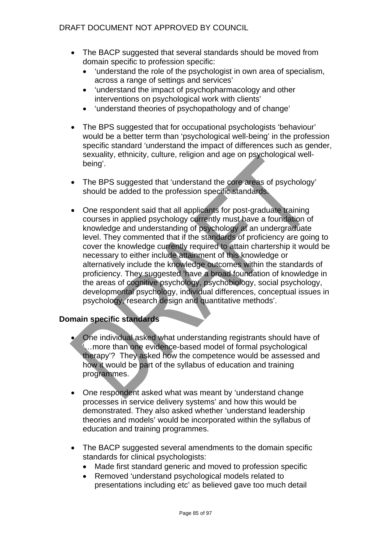# DRAFT DOCUMENT NOT APPROVED BY COUNCIL

- The BACP suggested that several standards should be moved from domain specific to profession specific:
	- 'understand the role of the psychologist in own area of specialism, across a range of settings and services'
	- 'understand the impact of psychopharmacology and other interventions on psychological work with clients'
	- 'understand theories of psychopathology and of change'
- The BPS suggested that for occupational psychologists 'behaviour' would be a better term than 'psychological well-being' in the profession specific standard 'understand the impact of differences such as gender, sexuality, ethnicity, culture, religion and age on psychological wellbeing'.
- The BPS suggested that 'understand the core areas of psychology' should be added to the profession specific standards.
- One respondent said that all applicants for post-graduate training courses in applied psychology currently must have a foundation of knowledge and understanding of psychology at an undergraduate level. They commented that if the standards of proficiency are going to cover the knowledge currently required to attain chartership it would be necessary to either include attainment of this knowledge or alternatively include the knowledge outcomes within the standards of proficiency. They suggested 'have a broad foundation of knowledge in the areas of cognitive psychology, psychobiology, social psychology, developmental psychology, individual differences, conceptual issues in psychology, research design and quantitative methods'.

- One individual asked what understanding registrants should have of ... more than one evidence-based model of formal psychological therapy'? They asked how the competence would be assessed and how it would be part of the syllabus of education and training programmes.
- One respondent asked what was meant by 'understand change processes in service delivery systems' and how this would be demonstrated. They also asked whether 'understand leadership theories and models' would be incorporated within the syllabus of education and training programmes.
- The BACP suggested several amendments to the domain specific standards for clinical psychologists:
	- Made first standard generic and moved to profession specific
	- Removed 'understand psychological models related to presentations including etc' as believed gave too much detail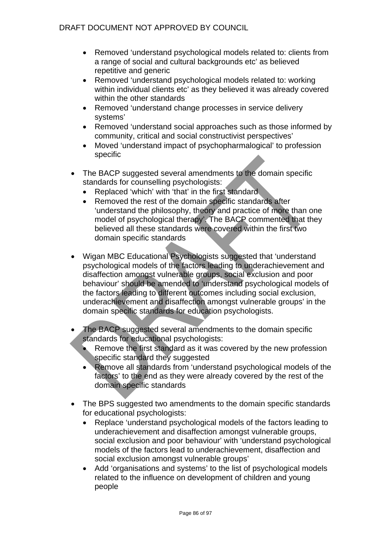- Removed 'understand psychological models related to: clients from a range of social and cultural backgrounds etc' as believed repetitive and generic
- Removed 'understand psychological models related to: working within individual clients etc' as they believed it was already covered within the other standards
- Removed 'understand change processes in service delivery systems'
- Removed 'understand social approaches such as those informed by community, critical and social constructivist perspectives'
- Moved 'understand impact of psychopharmalogical' to profession specific
- The BACP suggested several amendments to the domain specific standards for counselling psychologists:
	- Replaced 'which' with 'that' in the first standard
	- Removed the rest of the domain specific standards after 'understand the philosophy, theory and practice of more than one model of psychological therapy'. The BACP commented that they believed all these standards were covered within the first two domain specific standards
- Wigan MBC Educational Psychologists suggested that 'understand psychological models of the factors leading to underachievement and disaffection amongst vulnerable groups, social exclusion and poor behaviour' should be amended to 'understand psychological models of the factors leading to different outcomes including social exclusion, underachievement and disaffection amongst vulnerable groups' in the domain specific standards for education psychologists.
- The BACP suggested several amendments to the domain specific standards for educational psychologists:
	- Remove the first standard as it was covered by the new profession specific standard they suggested
	- Remove all standards from 'understand psychological models of the factors' to the end as they were already covered by the rest of the domain specific standards
- The BPS suggested two amendments to the domain specific standards for educational psychologists:
	- Replace 'understand psychological models of the factors leading to underachievement and disaffection amongst vulnerable groups, social exclusion and poor behaviour' with 'understand psychological models of the factors lead to underachievement, disaffection and social exclusion amongst vulnerable groups'
	- Add 'organisations and systems' to the list of psychological models related to the influence on development of children and young people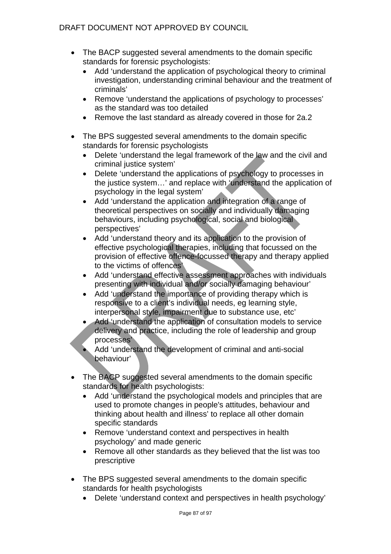- The BACP suggested several amendments to the domain specific standards for forensic psychologists:
	- Add 'understand the application of psychological theory to criminal investigation, understanding criminal behaviour and the treatment of criminals'
	- Remove 'understand the applications of psychology to processes' as the standard was too detailed
	- Remove the last standard as already covered in those for 2a.2
- The BPS suggested several amendments to the domain specific standards for forensic psychologists
	- Delete 'understand the legal framework of the law and the civil and criminal justice system'
	- Delete 'understand the applications of psychology to processes in the justice system…' and replace with 'understand the application of psychology in the legal system'
	- Add 'understand the application and integration of a range of theoretical perspectives on socially and individually damaging behaviours, including psychological, social and biological perspectives'
	- Add 'understand theory and its application to the provision of effective psychological therapies, including that focussed on the provision of effective offence-focussed therapy and therapy applied to the victims of offences'
	- Add 'understand effective assessment approaches with individuals presenting with individual and/or socially damaging behaviour'
	- Add 'understand the importance of providing therapy which is responsive to a client's individual needs, eg learning style, interpersonal style, impairment due to substance use, etc'
	- Add 'understand the application of consultation models to service delivery and practice, including the role of leadership and group processes'
	- Add 'understand the development of criminal and anti-social behaviour'
- The BACP suggested several amendments to the domain specific standards for health psychologists:
	- Add 'understand the psychological models and principles that are used to promote changes in people's attitudes, behaviour and thinking about health and illness' to replace all other domain specific standards
	- Remove 'understand context and perspectives in health psychology' and made generic
	- Remove all other standards as they believed that the list was too prescriptive
- The BPS suggested several amendments to the domain specific standards for health psychologists
	- Delete 'understand context and perspectives in health psychology'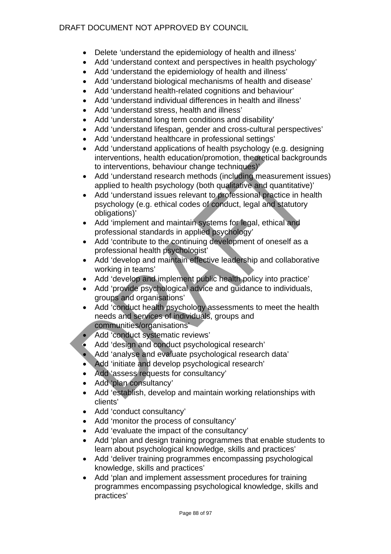# DRAFT DOCUMENT NOT APPROVED BY COUNCIL

- Delete 'understand the epidemiology of health and illness'
- Add 'understand context and perspectives in health psychology'
- Add 'understand the epidemiology of health and illness'
- Add 'understand biological mechanisms of health and disease'
- Add 'understand health-related cognitions and behaviour'
- Add 'understand individual differences in health and illness'
- Add 'understand stress, health and illness'
- Add 'understand long term conditions and disability'
- Add 'understand lifespan, gender and cross-cultural perspectives'
- Add 'understand healthcare in professional settings'
- Add 'understand applications of health psychology (e.g. designing interventions, health education/promotion, theoretical backgrounds to interventions, behaviour change techniques)'
- Add 'understand research methods (including measurement issues) applied to health psychology (both qualitative and quantitative)'
- Add 'understand issues relevant to professional practice in health psychology (e.g. ethical codes of conduct, legal and statutory obligations)'
- Add 'implement and maintain systems for legal, ethical and professional standards in applied psychology'
- Add 'contribute to the continuing development of oneself as a professional health psychologist'
- Add 'develop and maintain effective leadership and collaborative working in teams'
- Add 'develop and implement public health policy into practice'
- Add 'provide psychological advice and guidance to individuals, groups and organisations'
- Add 'conduct health psychology assessments to meet the health needs and services of individuals, groups and communities/organisations'
- Add 'conduct systematic reviews'
- Add 'design and conduct psychological research'
- Add 'analyse and evaluate psychological research data'
- Add 'initiate and develop psychological research'
- Add 'assess requests for consultancy'
- Add 'plan consultancy'
- Add 'establish, develop and maintain working relationships with clients'
- Add 'conduct consultancy'
- Add 'monitor the process of consultancy'
- Add 'evaluate the impact of the consultancy'
- Add 'plan and design training programmes that enable students to learn about psychological knowledge, skills and practices'
- Add 'deliver training programmes encompassing psychological knowledge, skills and practices'
- Add 'plan and implement assessment procedures for training programmes encompassing psychological knowledge, skills and practices'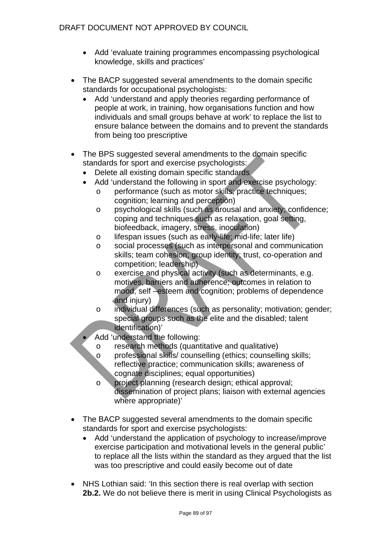- Add 'evaluate training programmes encompassing psychological knowledge, skills and practices'
- The BACP suggested several amendments to the domain specific standards for occupational psychologists:
	- Add 'understand and apply theories regarding performance of people at work, in training, how organisations function and how individuals and small groups behave at work' to replace the list to ensure balance between the domains and to prevent the standards from being too prescriptive
- The BPS suggested several amendments to the domain specific standards for sport and exercise psychologists:
	- Delete all existing domain specific standards
	- Add 'understand the following in sport and exercise psychology:
		- o performance (such as motor skills; practice techniques; cognition; learning and perception)
		- o psychological skills (such as arousal and anxiety; confidence; coping and techniques such as relaxation, goal setting, biofeedback, imagery, stress, inoculation)
		- o lifespan issues (such as early-life; mid-life; later life)
		- o social processes (such as interpersonal and communication skills; team cohesion; group identity; trust, co-operation and competition; leadership)
		- o exercise and physical activity (such as determinants, e.g. motives, barriers and adherence; outcomes in relation to mood, self –esteem and cognition; problems of dependence and injury)
		- o individual differences (such as personality; motivation; gender; special groups such as the elite and the disabled; talent identification)'
	- Add 'understand the following:
		- o research methods (quantitative and qualitative)
		- o professional skills/ counselling (ethics; counselling skills; reflective practice; communication skills; awareness of cognate disciplines; equal opportunities)
		- o project planning (research design; ethical approval; dissemination of project plans; liaison with external agencies where appropriate)'
- The BACP suggested several amendments to the domain specific standards for sport and exercise psychologists:
	- Add 'understand the application of psychology to increase/improve exercise participation and motivational levels in the general public' to replace all the lists within the standard as they argued that the list was too prescriptive and could easily become out of date
- NHS Lothian said: 'In this section there is real overlap with section **2b.2.** We do not believe there is merit in using Clinical Psychologists as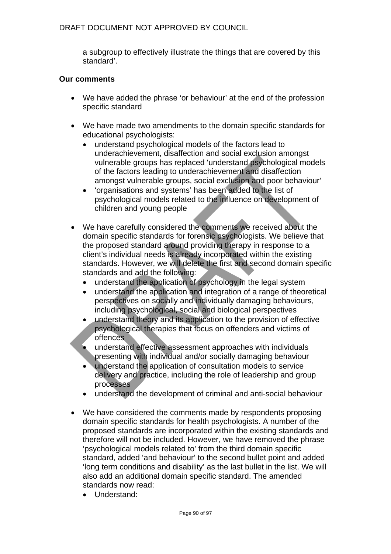a subgroup to effectively illustrate the things that are covered by this standard'.

#### **Our comments**

- We have added the phrase 'or behaviour' at the end of the profession specific standard
- We have made two amendments to the domain specific standards for educational psychologists:
	- understand psychological models of the factors lead to underachievement, disaffection and social exclusion amongst vulnerable groups has replaced 'understand psychological models of the factors leading to underachievement and disaffection amongst vulnerable groups, social exclusion and poor behaviour'
	- 'organisations and systems' has been added to the list of psychological models related to the influence on development of children and young people
- We have carefully considered the comments we received about the domain specific standards for forensic psychologists. We believe that the proposed standard around providing therapy in response to a client's individual needs is already incorporated within the existing standards. However, we will delete the first and second domain specific standards and add the following:
	- understand the application of psychology in the legal system
	- understand the application and integration of a range of theoretical perspectives on socially and individually damaging behaviours, including psychological, social and biological perspectives
	- understand theory and its application to the provision of effective psychological therapies that focus on offenders and victims of offences
	- understand effective assessment approaches with individuals presenting with individual and/or socially damaging behaviour
	- understand the application of consultation models to service delivery and practice, including the role of leadership and group processes
	- understand the development of criminal and anti-social behaviour
- We have considered the comments made by respondents proposing domain specific standards for health psychologists. A number of the proposed standards are incorporated within the existing standards and therefore will not be included. However, we have removed the phrase 'psychological models related to' from the third domain specific standard, added 'and behaviour' to the second bullet point and added 'long term conditions and disability' as the last bullet in the list. We will also add an additional domain specific standard. The amended standards now read:
	- Understand: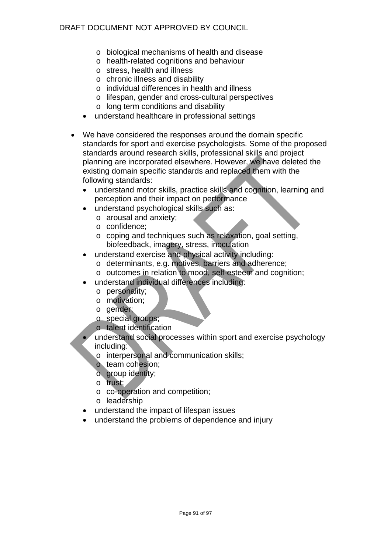## DRAFT DOCUMENT NOT APPROVED BY COUNCIL

- o biological mechanisms of health and disease
- o health-related cognitions and behaviour
- o stress, health and illness
- o chronic illness and disability
- o individual differences in health and illness
- o lifespan, gender and cross-cultural perspectives
- o long term conditions and disability
- understand healthcare in professional settings
- We have considered the responses around the domain specific standards for sport and exercise psychologists. Some of the proposed standards around research skills, professional skills and project planning are incorporated elsewhere. However, we have deleted the existing domain specific standards and replaced them with the following standards:
	- understand motor skills, practice skills and cognition, learning and perception and their impact on performance
	- understand psychological skills such as:
		- o arousal and anxiety;
		- o confidence;
		- o coping and techniques such as relaxation, goal setting, biofeedback, imagery, stress, inoculation
	- understand exercise and physical activity including:
		- o determinants, e.g. motives, barriers and adherence;
		- o outcomes in relation to mood, self-esteem and cognition;
	- understand individual differences including:
		- o personality;
		- o motivation;
		- o gender;
		- o special groups;
		- o talent identification
	- understand social processes within sport and exercise psychology including:
		- o interpersonal and communication skills;
		- o team cohesion;
		- o group identity;
		- o trust;
		- o co-operation and competition;
		- o leadership
	- understand the impact of lifespan issues
	- understand the problems of dependence and injury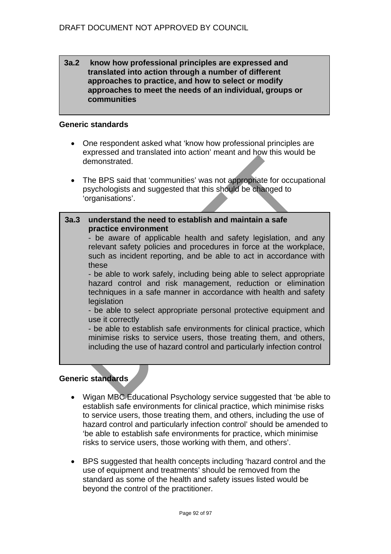#### **3a.2 know how professional principles are expressed and translated into action through a number of different approaches to practice, and how to select or modify approaches to meet the needs of an individual, groups or communities**

#### **Generic standards**

- One respondent asked what 'know how professional principles are expressed and translated into action' meant and how this would be demonstrated.
- The BPS said that 'communities' was not appropriate for occupational psychologists and suggested that this should be changed to 'organisations'.

# **3a.3 understand the need to establish and maintain a safe practice environment**

- be aware of applicable health and safety legislation, and any relevant safety policies and procedures in force at the workplace, such as incident reporting, and be able to act in accordance with these

- be able to work safely, including being able to select appropriate hazard control and risk management, reduction or elimination techniques in a safe manner in accordance with health and safety **legislation** 

- be able to select appropriate personal protective equipment and use it correctly

- be able to establish safe environments for clinical practice, which minimise risks to service users, those treating them, and others, including the use of hazard control and particularly infection control

## **Generic standards**

- Wigan MBC Educational Psychology service suggested that 'be able to establish safe environments for clinical practice, which minimise risks to service users, those treating them, and others, including the use of hazard control and particularly infection control' should be amended to 'be able to establish safe environments for practice, which minimise risks to service users, those working with them, and others'.
- BPS suggested that health concepts including 'hazard control and the use of equipment and treatments' should be removed from the standard as some of the health and safety issues listed would be beyond the control of the practitioner.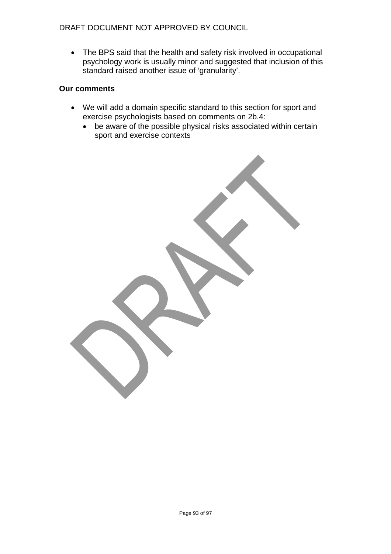• The BPS said that the health and safety risk involved in occupational psychology work is usually minor and suggested that inclusion of this standard raised another issue of 'granularity'.

#### **Our comments**

- We will add a domain specific standard to this section for sport and exercise psychologists based on comments on 2b.4:
	- be aware of the possible physical risks associated within certain sport and exercise contexts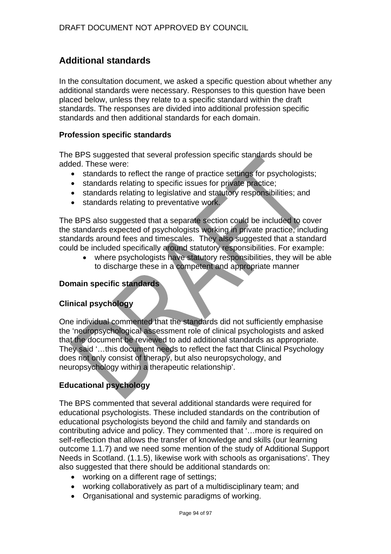# **Additional standards**

In the consultation document, we asked a specific question about whether any additional standards were necessary. Responses to this question have been placed below, unless they relate to a specific standard within the draft standards. The responses are divided into additional profession specific standards and then additional standards for each domain.

#### **Profession specific standards**

The BPS suggested that several profession specific standards should be added. These were:

- standards to reflect the range of practice settings for psychologists;
- standards relating to specific issues for private practice;
- standards relating to legislative and statutory responsibilities; and
- standards relating to preventative work.

The BPS also suggested that a separate section could be included to cover the standards expected of psychologists working in private practice, including standards around fees and timescales. They also suggested that a standard could be included specifically around statutory responsibilities. For example:

where psychologists have statutory responsibilities, they will be able to discharge these in a competent and appropriate manner

## **Domain specific standards**

## **Clinical psychology**

One individual commented that the standards did not sufficiently emphasise the 'neuropsychological assessment role of clinical psychologists and asked that the document be reviewed to add additional standards as appropriate. They said '…this document needs to reflect the fact that Clinical Psychology does not only consist of therapy, but also neuropsychology, and neuropsychology within a therapeutic relationship'.

## **Educational psychology**

The BPS commented that several additional standards were required for educational psychologists. These included standards on the contribution of educational psychologists beyond the child and family and standards on contributing advice and policy. They commented that '…more is required on self-reflection that allows the transfer of knowledge and skills (our learning outcome 1.1.7) and we need some mention of the study of Additional Support Needs in Scotland. (1.1.5), likewise work with schools as organisations'. They also suggested that there should be additional standards on:

- working on a different rage of settings;
- working collaboratively as part of a multidisciplinary team; and
- Organisational and systemic paradigms of working.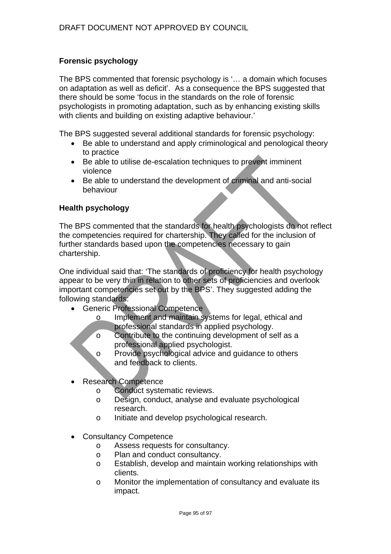## **Forensic psychology**

The BPS commented that forensic psychology is '… a domain which focuses on adaptation as well as deficit'. As a consequence the BPS suggested that there should be some 'focus in the standards on the role of forensic psychologists in promoting adaptation, such as by enhancing existing skills with clients and building on existing adaptive behaviour.'

The BPS suggested several additional standards for forensic psychology:

- Be able to understand and apply criminological and penological theory to practice
- Be able to utilise de-escalation techniques to prevent imminent violence
- Be able to understand the development of criminal and anti-social behaviour

#### **Health psychology**

The BPS commented that the standards for health psychologists do not reflect the competencies required for chartership. They called for the inclusion of further standards based upon the competencies necessary to gain chartership.

One individual said that: 'The standards of proficiency for health psychology appear to be very thin in relation to other sets of proficiencies and overlook important competencies set out by the BPS'. They suggested adding the following standards:

- Generic Professional Competence
	- o Implement and maintain systems for legal, ethical and professional standards in applied psychology.
	- o Contribute to the continuing development of self as a professional applied psychologist.
	- o Provide psychological advice and guidance to others and feedback to clients.
- Research Competence
	- o Conduct systematic reviews.
	- o Design, conduct, analyse and evaluate psychological research.
	- o Initiate and develop psychological research.
- Consultancy Competence
	- o Assess requests for consultancy.
	- o Plan and conduct consultancy.
	- o Establish, develop and maintain working relationships with clients.
	- o Monitor the implementation of consultancy and evaluate its impact.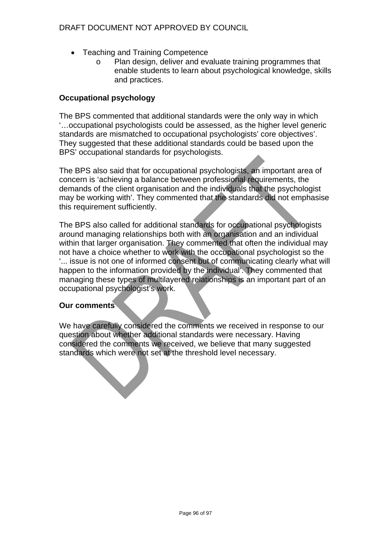## DRAFT DOCUMENT NOT APPROVED BY COUNCIL

- Teaching and Training Competence
	- o Plan design, deliver and evaluate training programmes that enable students to learn about psychological knowledge, skills and practices.

## **Occupational psychology**

The BPS commented that additional standards were the only way in which '…occupational psychologists could be assessed, as the higher level generic standards are mismatched to occupational psychologists' core objectives'. They suggested that these additional standards could be based upon the BPS' occupational standards for psychologists.

The BPS also said that for occupational psychologists, an important area of concern is 'achieving a balance between professional requirements, the demands of the client organisation and the individuals that the psychologist may be working with'. They commented that the standards did not emphasise this requirement sufficiently.

The BPS also called for additional standards for occupational psychologists around managing relationships both with an organisation and an individual within that larger organisation. They commented that often the individual may not have a choice whether to work with the occupational psychologist so the '... issue is not one of informed consent but of communicating clearly what will happen to the information provided by the individual'. They commented that managing these types of multilayered relationships is an important part of an occupational psychologist's work.

## **Our comments**

We have carefully considered the comments we received in response to our question about whether additional standards were necessary. Having considered the comments we received, we believe that many suggested standards which were not set at the threshold level necessary.